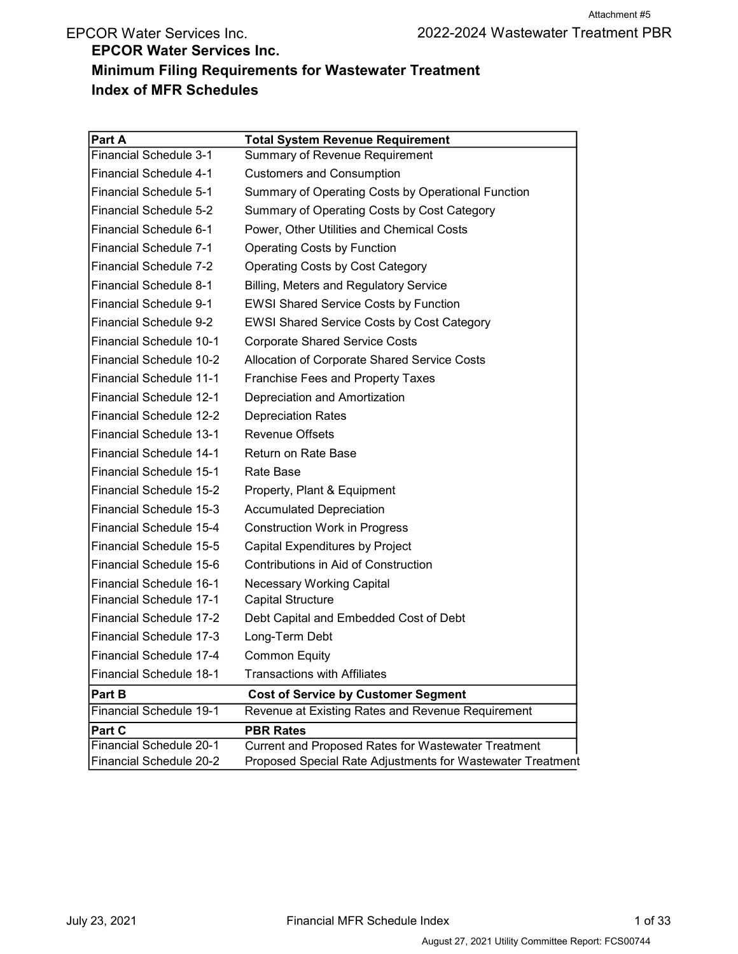# EPCOR Water Services Inc. Minimum Filing Requirements for Wastewater Treatment Index of MFR Schedules

| Part A                         | <b>Total System Revenue Requirement</b>                    |
|--------------------------------|------------------------------------------------------------|
| Financial Schedule 3-1         | Summary of Revenue Requirement                             |
| <b>Financial Schedule 4-1</b>  | <b>Customers and Consumption</b>                           |
| <b>Financial Schedule 5-1</b>  | Summary of Operating Costs by Operational Function         |
| <b>Financial Schedule 5-2</b>  | Summary of Operating Costs by Cost Category                |
| <b>Financial Schedule 6-1</b>  | Power, Other Utilities and Chemical Costs                  |
| <b>Financial Schedule 7-1</b>  | <b>Operating Costs by Function</b>                         |
| <b>Financial Schedule 7-2</b>  | <b>Operating Costs by Cost Category</b>                    |
| <b>Financial Schedule 8-1</b>  | <b>Billing, Meters and Regulatory Service</b>              |
| <b>Financial Schedule 9-1</b>  | <b>EWSI Shared Service Costs by Function</b>               |
| <b>Financial Schedule 9-2</b>  | <b>EWSI Shared Service Costs by Cost Category</b>          |
| <b>Financial Schedule 10-1</b> | <b>Corporate Shared Service Costs</b>                      |
| <b>Financial Schedule 10-2</b> | Allocation of Corporate Shared Service Costs               |
| <b>Financial Schedule 11-1</b> | <b>Franchise Fees and Property Taxes</b>                   |
| <b>Financial Schedule 12-1</b> | Depreciation and Amortization                              |
| Financial Schedule 12-2        | <b>Depreciation Rates</b>                                  |
| <b>Financial Schedule 13-1</b> | <b>Revenue Offsets</b>                                     |
| <b>Financial Schedule 14-1</b> | Return on Rate Base                                        |
| <b>Financial Schedule 15-1</b> | Rate Base                                                  |
| <b>Financial Schedule 15-2</b> | Property, Plant & Equipment                                |
| Financial Schedule 15-3        | <b>Accumulated Depreciation</b>                            |
| Financial Schedule 15-4        | <b>Construction Work in Progress</b>                       |
| Financial Schedule 15-5        | Capital Expenditures by Project                            |
| Financial Schedule 15-6        | Contributions in Aid of Construction                       |
| Financial Schedule 16-1        | <b>Necessary Working Capital</b>                           |
| <b>Financial Schedule 17-1</b> | Capital Structure                                          |
| Financial Schedule 17-2        | Debt Capital and Embedded Cost of Debt                     |
| <b>Financial Schedule 17-3</b> | Long-Term Debt                                             |
| Financial Schedule 17-4        | <b>Common Equity</b>                                       |
| <b>Financial Schedule 18-1</b> | <b>Transactions with Affiliates</b>                        |
| Part B                         | <b>Cost of Service by Customer Segment</b>                 |
| <b>Financial Schedule 19-1</b> | Revenue at Existing Rates and Revenue Requirement          |
| Part C                         | <b>PBR Rates</b>                                           |
| Financial Schedule 20-1        | Current and Proposed Rates for Wastewater Treatment        |
| Financial Schedule 20-2        | Proposed Special Rate Adjustments for Wastewater Treatment |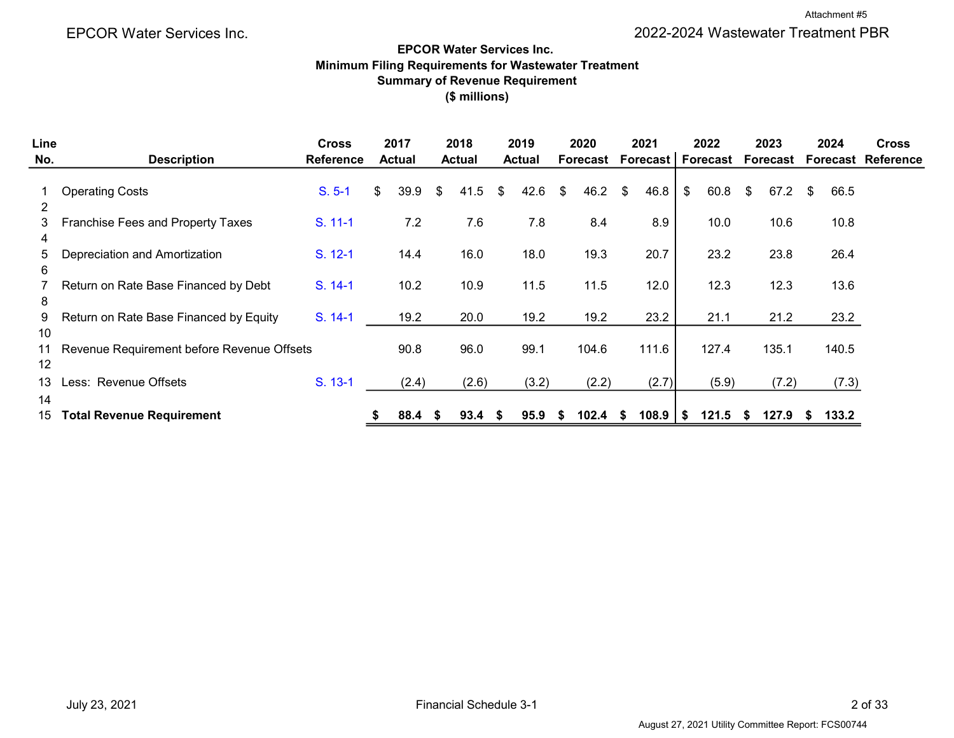#### EPCOR Water Services Inc. Minimum Filing Requirements for Wastewater Treatment Summary of Revenue Requirement (\$ millions)

| Line           |                                            | <b>Cross</b>     | 2017          | 2018          |    | 2019          |    | 2020     |    | 2021     |    | 2022            | 2023       |     | 2024  | <b>Cross</b>              |
|----------------|--------------------------------------------|------------------|---------------|---------------|----|---------------|----|----------|----|----------|----|-----------------|------------|-----|-------|---------------------------|
| No.            | <b>Description</b>                         | <b>Reference</b> | <b>Actual</b> | <b>Actual</b> |    | <b>Actual</b> |    | Forecast |    | Forecast |    | <b>Forecast</b> | Forecast   |     |       | <b>Forecast Reference</b> |
|                | <b>Operating Costs</b>                     | $S. 5-1$         | \$<br>39.9    | \$<br>41.5    | \$ | 42.6          | \$ | 46.2     | \$ | 46.8     | \$ | 60.8            | \$<br>67.2 | \$. | 66.5  |                           |
| $\overline{2}$ |                                            |                  |               |               |    |               |    |          |    |          |    |                 |            |     |       |                           |
| 3              | Franchise Fees and Property Taxes          | S. 11-1          | 7.2           | 7.6           |    | 7.8           |    | 8.4      |    | 8.9      |    | 10.0            | 10.6       |     | 10.8  |                           |
| 4              |                                            |                  |               |               |    |               |    |          |    |          |    |                 |            |     |       |                           |
| 5.<br>6        | Depreciation and Amortization              | S. 12-1          | 14.4          | 16.0          |    | 18.0          |    | 19.3     |    | 20.7     |    | 23.2            | 23.8       |     | 26.4  |                           |
|                | Return on Rate Base Financed by Debt       | S. 14-1          | 10.2          | 10.9          |    | 11.5          |    | 11.5     |    | 12.0     |    | 12.3            | 12.3       |     | 13.6  |                           |
| 8              |                                            |                  |               |               |    |               |    |          |    |          |    |                 |            |     |       |                           |
| 9              | Return on Rate Base Financed by Equity     | S. 14-1          | 19.2          | 20.0          |    | 19.2          |    | 19.2     |    | 23.2     |    | 21.1            | 21.2       |     | 23.2  |                           |
| 10             |                                            |                  |               |               |    |               |    |          |    |          |    |                 |            |     |       |                           |
| 11             | Revenue Requirement before Revenue Offsets |                  | 90.8          | 96.0          |    | 99.1          |    | 104.6    |    | 111.6    |    | 127.4           | 135.1      |     | 140.5 |                           |
| 12             |                                            |                  |               |               |    |               |    |          |    |          |    |                 |            |     |       |                           |
| 13             | Less: Revenue Offsets                      | S. 13-1          | (2.4)         | (2.6)         |    | (3.2)         |    | (2.2)    |    | (2.7)    |    | (5.9)           | (7.2)      |     | (7.3) |                           |
| 14             |                                            |                  |               |               |    |               |    |          |    |          |    |                 |            |     |       |                           |
| 15             | <b>Total Revenue Requirement</b>           |                  | 88.4          | 93.4          | S  | 95.9          | S  | 102.4    | S  | 108.9    | S  | 121.5           | 127.9      | æ.  | 133.2 |                           |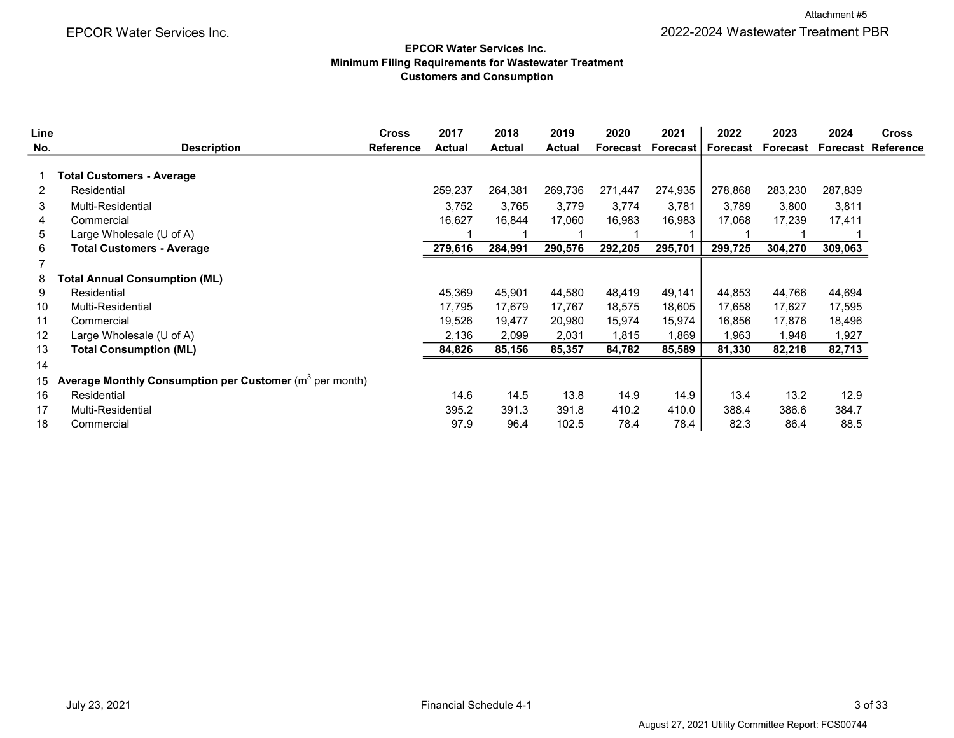#### EPCOR Water Services Inc. Minimum Filing Requirements for Wastewater Treatment Customers and Consumption

| Line |                                                                    | <b>Cross</b>     | 2017          | 2018          | 2019          | 2020     | 2021     | 2022     | 2023     | 2024    | <b>Cross</b>              |
|------|--------------------------------------------------------------------|------------------|---------------|---------------|---------------|----------|----------|----------|----------|---------|---------------------------|
| No.  | <b>Description</b>                                                 | <b>Reference</b> | <b>Actual</b> | <b>Actual</b> | <b>Actual</b> | Forecast | Forecast | Forecast | Forecast |         | <b>Forecast Reference</b> |
|      |                                                                    |                  |               |               |               |          |          |          |          |         |                           |
|      | Total Customers - Average                                          |                  |               |               |               |          |          |          |          |         |                           |
| 2    | Residential                                                        |                  | 259,237       | 264,381       | 269,736       | 271,447  | 274,935  | 278,868  | 283,230  | 287,839 |                           |
| 3    | Multi-Residential                                                  |                  | 3,752         | 3.765         | 3,779         | 3,774    | 3,781    | 3,789    | 3,800    | 3,811   |                           |
| 4    | Commercial                                                         |                  | 16,627        | 16,844        | 17,060        | 16,983   | 16,983   | 17,068   | 17,239   | 17,411  |                           |
| 5    | Large Wholesale (U of A)                                           |                  |               |               |               |          |          |          |          |         |                           |
| 6    | <b>Total Customers - Average</b>                                   |                  | 279,616       | 284,991       | 290,576       | 292,205  | 295,701  | 299,725  | 304,270  | 309,063 |                           |
|      |                                                                    |                  |               |               |               |          |          |          |          |         |                           |
| 8    | <b>Total Annual Consumption (ML)</b>                               |                  |               |               |               |          |          |          |          |         |                           |
| 9    | Residential                                                        |                  | 45,369        | 45,901        | 44,580        | 48,419   | 49,141   | 44,853   | 44,766   | 44,694  |                           |
| 10   | Multi-Residential                                                  |                  | 17,795        | 17,679        | 17,767        | 18,575   | 18,605   | 17,658   | 17,627   | 17,595  |                           |
| 11   | Commercial                                                         |                  | 19,526        | 19,477        | 20,980        | 15,974   | 15,974   | 16,856   | 17,876   | 18,496  |                           |
| 12   | Large Wholesale (U of A)                                           |                  | 2,136         | 2,099         | 2,031         | 1,815    | 1,869    | 963, ا   | 1,948    | 1,927   |                           |
| 13   | <b>Total Consumption (ML)</b>                                      |                  | 84,826        | 85,156        | 85,357        | 84,782   | 85,589   | 81,330   | 82,218   | 82,713  |                           |
| 14   |                                                                    |                  |               |               |               |          |          |          |          |         |                           |
| 15   | <b>Average Monthly Consumption per Customer</b> ( $m^3$ per month) |                  |               |               |               |          |          |          |          |         |                           |
| 16   | Residential                                                        |                  | 14.6          | 14.5          | 13.8          | 14.9     | 14.9     | 13.4     | 13.2     | 12.9    |                           |
| 17   | Multi-Residential                                                  |                  | 395.2         | 391.3         | 391.8         | 410.2    | 410.0    | 388.4    | 386.6    | 384.7   |                           |
| 18   | Commercial                                                         |                  | 97.9          | 96.4          | 102.5         | 78.4     | 78.4     | 82.3     | 86.4     | 88.5    |                           |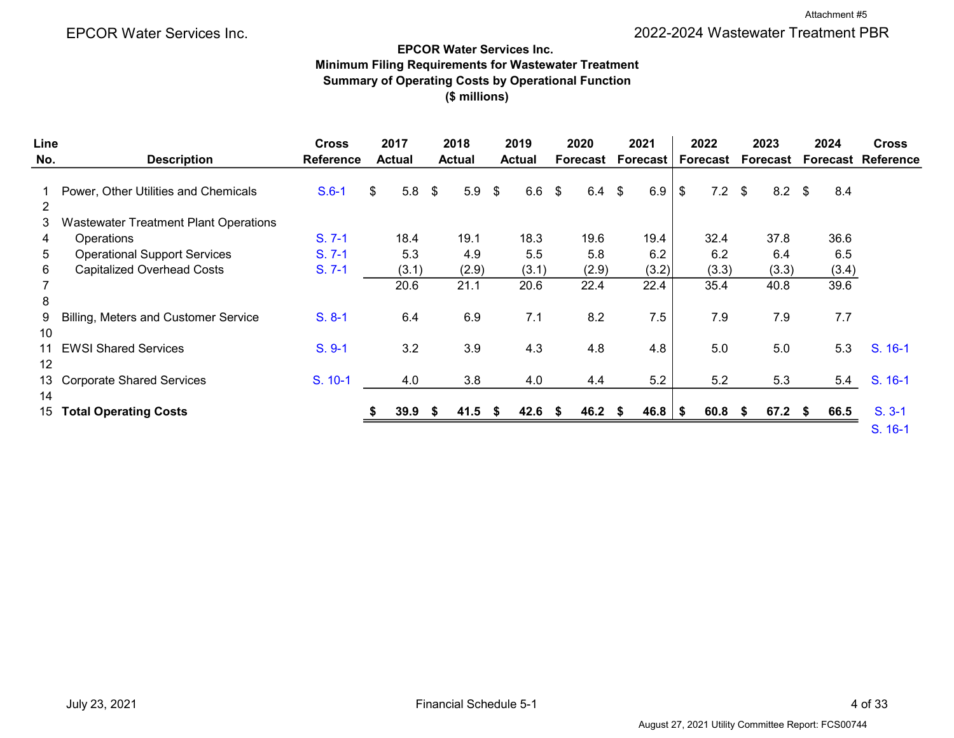#### EPCOR Water Services Inc.

#### Minimum Filing Requirements for Wastewater Treatment Summary of Operating Costs by Operational Function (\$ millions)

| Line     |                                              | <b>Cross</b>     | 2017          |       | 2018              | 2019          |      | 2020     | 2021            |            | 2022     |        | 2023          | 2024  | <b>Cross</b>              |
|----------|----------------------------------------------|------------------|---------------|-------|-------------------|---------------|------|----------|-----------------|------------|----------|--------|---------------|-------|---------------------------|
| No.      | <b>Description</b>                           | <b>Reference</b> | <b>Actual</b> |       | <b>Actual</b>     | <b>Actual</b> |      | Forecast | <b>Forecast</b> |            | Forecast |        | Forecast      |       | <b>Forecast Reference</b> |
| 2        | Power, Other Utilities and Chemicals         | $S.6-1$          | \$            | 5.8   | $5.9$ \$<br>\$    | $6.6$ \$      |      | 6.4      | 6.9<br>\$       | \$         | $7.2$ \$ |        | $8.2 \quad $$ | 8.4   |                           |
| 3.       | <b>Wastewater Treatment Plant Operations</b> |                  |               |       |                   |               |      |          |                 |            |          |        |               |       |                           |
| 4        | <b>Operations</b>                            | $S. 7-1$         |               | 18.4  | 19.1              | 18.3          |      | 19.6     | 19.4            |            | 32.4     |        | 37.8          | 36.6  |                           |
| 5        | <b>Operational Support Services</b>          | $S. 7-1$         |               | 5.3   | 4.9               | 5.5           |      | 5.8      | 6.2             |            | 6.2      |        | 6.4           | 6.5   |                           |
| 6        | <b>Capitalized Overhead Costs</b>            | $S. 7-1$         |               | (3.1) | (2.9)             | (3.1)         |      | (2.9)    | (3.2)           |            | (3.3)    |        | (3.3)         | (3.4) |                           |
| 8        |                                              |                  |               | 20.6  | 21.1              | 20.6          |      | 22.4     | 22.4            |            | 35.4     |        | 40.8          | 39.6  |                           |
| 9<br>10  | Billing, Meters and Customer Service         | $S. 8-1$         |               | 6.4   | 6.9               | 7.1           |      | 8.2      | 7.5             |            | 7.9      |        | 7.9           | 7.7   |                           |
| 11<br>12 | <b>EWSI Shared Services</b>                  | $S. 9-1$         |               | 3.2   | 3.9               | 4.3           |      | 4.8      | 4.8             |            | 5.0      |        | 5.0           | 5.3   | S. 16-1                   |
| 14       | 13 Corporate Shared Services                 | S. 10-1          |               | 4.0   | 3.8               | 4.0           |      | 4.4      | 5.2             |            | 5.2      |        | 5.3           | 5.4   | S. 16-1                   |
| 15       | <b>Total Operating Costs</b>                 |                  |               | 39.9  | $41.5$ \$<br>- 56 | 42.6          | - \$ | 46.2     | 46.8<br>-5      | $\sqrt{3}$ | 60.8     | $\sim$ | $67.2$ \$     | 66.5  | $S. 3-1$<br>S. 16-1       |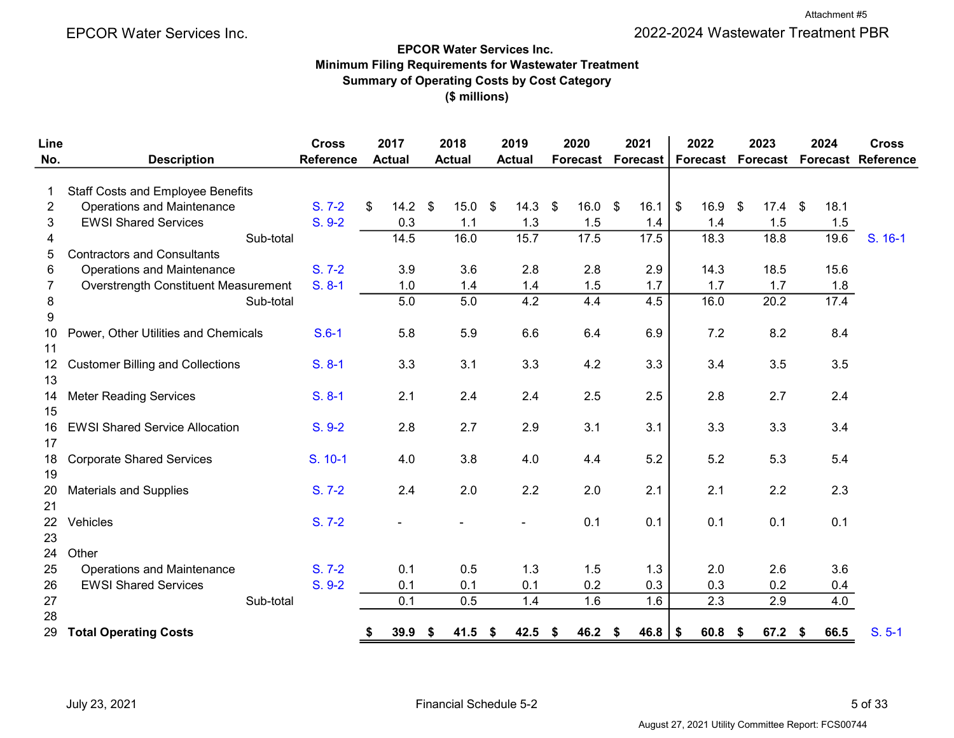# EPCOR Water Services Inc. Minimum Filing Requirements for Wastewater Treatment Summary of Operating Costs by Cost Category (\$ millions)

| Line             |                                          | <b>Cross</b>     |    | 2017             |                           | 2018          |               | 2019          |      | 2020      | 2021                     |                         | 2022      | 2023                     | 2024 | <b>Cross</b>              |
|------------------|------------------------------------------|------------------|----|------------------|---------------------------|---------------|---------------|---------------|------|-----------|--------------------------|-------------------------|-----------|--------------------------|------|---------------------------|
| No.              | <b>Description</b>                       | <b>Reference</b> |    | <b>Actual</b>    |                           | <b>Actual</b> |               | <b>Actual</b> |      |           | <b>Forecast Forecast</b> |                         |           | <b>Forecast Forecast</b> |      | <b>Forecast Reference</b> |
| 1                | <b>Staff Costs and Employee Benefits</b> |                  |    |                  |                           |               |               |               |      |           |                          |                         |           |                          |      |                           |
| $\overline{2}$   | <b>Operations and Maintenance</b>        | $S. 7-2$         | \$ | 14.2             | $\boldsymbol{\mathsf{S}}$ | 15.0          | $\sqrt[6]{3}$ | $14.3$ \$     |      | $16.0$ \$ | 16.1                     | $\sqrt[6]{\frac{1}{2}}$ | $16.9$ \$ | $17.4$ \$                | 18.1 |                           |
| 3                | <b>EWSI Shared Services</b>              | $S. 9-2$         |    | 0.3              |                           | 1.1           |               | 1.3           |      | 1.5       | 1.4                      |                         | 1.4       | 1.5                      | 1.5  |                           |
| 4                | Sub-total                                |                  |    | 14.5             |                           | 16.0          |               | 15.7          |      | 17.5      | 17.5                     |                         | 18.3      | 18.8                     | 19.6 | S. 16-1                   |
| 5                | <b>Contractors and Consultants</b>       |                  |    |                  |                           |               |               |               |      |           |                          |                         |           |                          |      |                           |
| 6                | <b>Operations and Maintenance</b>        | $S. 7-2$         |    | 3.9              |                           | 3.6           |               | 2.8           |      | 2.8       | 2.9                      |                         | 14.3      | 18.5                     | 15.6 |                           |
| 7                | Overstrength Constituent Measurement     | $S. 8-1$         |    | 1.0              |                           | 1.4           |               | 1.4           |      | 1.5       | 1.7                      |                         | 1.7       | 1.7                      | 1.8  |                           |
| 8                | Sub-total                                |                  |    | $\overline{5.0}$ |                           | 5.0           |               | 4.2           |      | 4.4       | 4.5                      |                         | 16.0      | 20.2                     | 17.4 |                           |
| $\boldsymbol{9}$ |                                          |                  |    |                  |                           |               |               |               |      |           |                          |                         |           |                          |      |                           |
| 10               | Power, Other Utilities and Chemicals     | $S.6-1$          |    | 5.8              |                           | 5.9           |               | 6.6           |      | 6.4       | 6.9                      |                         | 7.2       | 8.2                      | 8.4  |                           |
| 11               |                                          |                  |    |                  |                           |               |               |               |      |           |                          |                         |           |                          |      |                           |
| 12 <sup>°</sup>  | <b>Customer Billing and Collections</b>  | $S. 8-1$         |    | 3.3              |                           | 3.1           |               | 3.3           |      | 4.2       | 3.3                      |                         | 3.4       | 3.5                      | 3.5  |                           |
| 13               |                                          |                  |    |                  |                           |               |               |               |      |           |                          |                         |           |                          |      |                           |
| 14               | <b>Meter Reading Services</b>            | $S. 8-1$         |    | 2.1              |                           | 2.4           |               | 2.4           |      | 2.5       | 2.5                      |                         | 2.8       | 2.7                      | 2.4  |                           |
| 15               |                                          |                  |    |                  |                           |               |               |               |      |           |                          |                         |           |                          |      |                           |
| 16               | <b>EWSI Shared Service Allocation</b>    | $S. 9-2$         |    | 2.8              |                           | 2.7           |               | 2.9           |      | 3.1       | 3.1                      |                         | 3.3       | 3.3                      | 3.4  |                           |
| 17               |                                          |                  |    |                  |                           |               |               |               |      |           |                          |                         |           |                          |      |                           |
| 18               | <b>Corporate Shared Services</b>         | S. 10-1          |    | 4.0              |                           | 3.8           |               | 4.0           |      | 4.4       | 5.2                      |                         | 5.2       | 5.3                      | 5.4  |                           |
| 19               |                                          |                  |    |                  |                           |               |               |               |      |           |                          |                         |           |                          |      |                           |
| 20               | <b>Materials and Supplies</b>            | $S. 7-2$         |    | 2.4              |                           | 2.0           |               | 2.2           |      | 2.0       | 2.1                      |                         | 2.1       | 2.2                      | 2.3  |                           |
| 21               |                                          |                  |    |                  |                           |               |               |               |      |           |                          |                         |           |                          |      |                           |
| 22               | Vehicles                                 | $S. 7-2$         |    |                  |                           |               |               |               |      | 0.1       | 0.1                      |                         | 0.1       | 0.1                      | 0.1  |                           |
| 23               |                                          |                  |    |                  |                           |               |               |               |      |           |                          |                         |           |                          |      |                           |
| 24               | Other                                    |                  |    |                  |                           |               |               |               |      |           |                          |                         |           |                          |      |                           |
| 25               | <b>Operations and Maintenance</b>        | $S. 7-2$         |    | 0.1              |                           | 0.5           |               | 1.3           |      | 1.5       | 1.3                      |                         | 2.0       | 2.6                      | 3.6  |                           |
| 26               | <b>EWSI Shared Services</b>              | $S. 9-2$         |    | 0.1              |                           | 0.1           |               | 0.1           |      | 0.2       | 0.3                      |                         | 0.3       | 0.2                      | 0.4  |                           |
| 27               | Sub-total                                |                  |    | 0.1              |                           | 0.5           |               | 1.4           |      | 1.6       | 1.6                      |                         | 2.3       | 2.9                      | 4.0  |                           |
| 28               |                                          |                  |    |                  |                           |               |               |               |      |           |                          |                         |           |                          |      |                           |
| 29               | <b>Total Operating Costs</b>             |                  | S  | 39.9             | \$                        | 41.5          | -S            | 42.5          | - \$ | 46.2      | \$<br>46.8               | \$                      | 60.8      | \$<br>$67.2$ \$          | 66.5 | $S. 5-1$                  |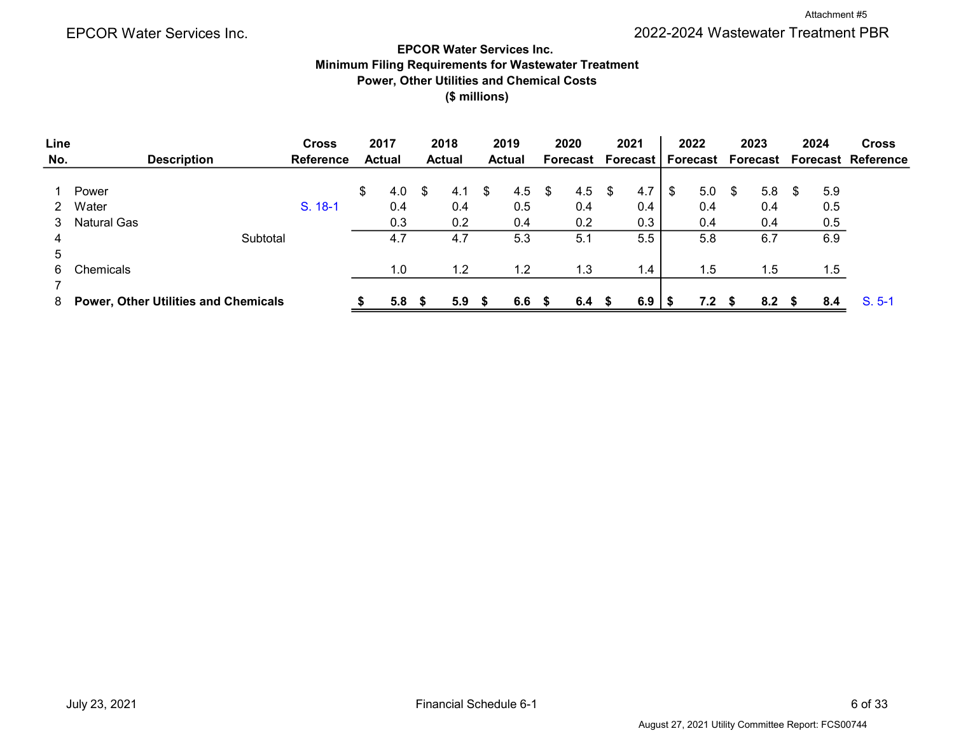# EPCOR Water Services Inc. Minimum Filing Requirements for Wastewater Treatment Power, Other Utilities and Chemical Costs (\$ millions)

| Line |                                             |          | <b>Cross</b>     | 2017          |      | 2018             |   | 2019          |      | 2020              |     | 2021 |   | 2022     |      | 2023     |      | 2024 | <b>Cross</b>              |
|------|---------------------------------------------|----------|------------------|---------------|------|------------------|---|---------------|------|-------------------|-----|------|---|----------|------|----------|------|------|---------------------------|
| No.  | <b>Description</b>                          |          | <b>Reference</b> | <b>Actual</b> |      | <b>Actual</b>    |   | <b>Actual</b> |      | Forecast Forecast |     |      |   | Forecast |      | Forecast |      |      | <b>Forecast Reference</b> |
|      |                                             |          |                  |               |      |                  |   |               |      |                   |     |      |   |          |      |          |      |      |                           |
|      | Power                                       |          |                  | \$<br>4.0     | - \$ | 4.1              | S | 4.5           | \$   | 4.5 $\frac{1}{2}$ |     | 4.7  | S | 5.0      | - \$ | 5.8      | - \$ | 5.9  |                           |
|      | Water                                       |          | S. 18-1          | 0.4           |      | 0.4              |   | 0.5           |      | 0.4               |     | 0.4  |   | 0.4      |      | 0.4      |      | 0.5  |                           |
| 3    | <b>Natural Gas</b>                          |          |                  | 0.3           |      | 0.2              |   | 0.4           |      | 0.2               |     | 0.3  |   | 0.4      |      | 0.4      |      | 0.5  |                           |
| 4    |                                             | Subtotal |                  | 4.7           |      | 4.7              |   | 5.3           |      | 5.1               |     | 5.5  |   | 5.8      |      | 6.7      |      | 6.9  |                           |
| 5    |                                             |          |                  |               |      |                  |   |               |      |                   |     |      |   |          |      |          |      |      |                           |
| 6.   | Chemicals                                   |          |                  | 1.0           |      | 1.2              |   | 1.2           |      | 1.3               |     | 1.4  |   | 1.5      |      | 1.5      |      | 1.5  |                           |
|      |                                             |          |                  |               |      |                  |   |               |      |                   |     |      |   |          |      |          |      |      |                           |
| 8    | <b>Power, Other Utilities and Chemicals</b> |          |                  | 5.8           | - S  | 5.9 <sup>5</sup> |   | 6.6           | - 56 | 6.4               | SS. | 6.9  |   | 7.2      |      | 8.2      | - S  | 8.4  | $S. 5-1$                  |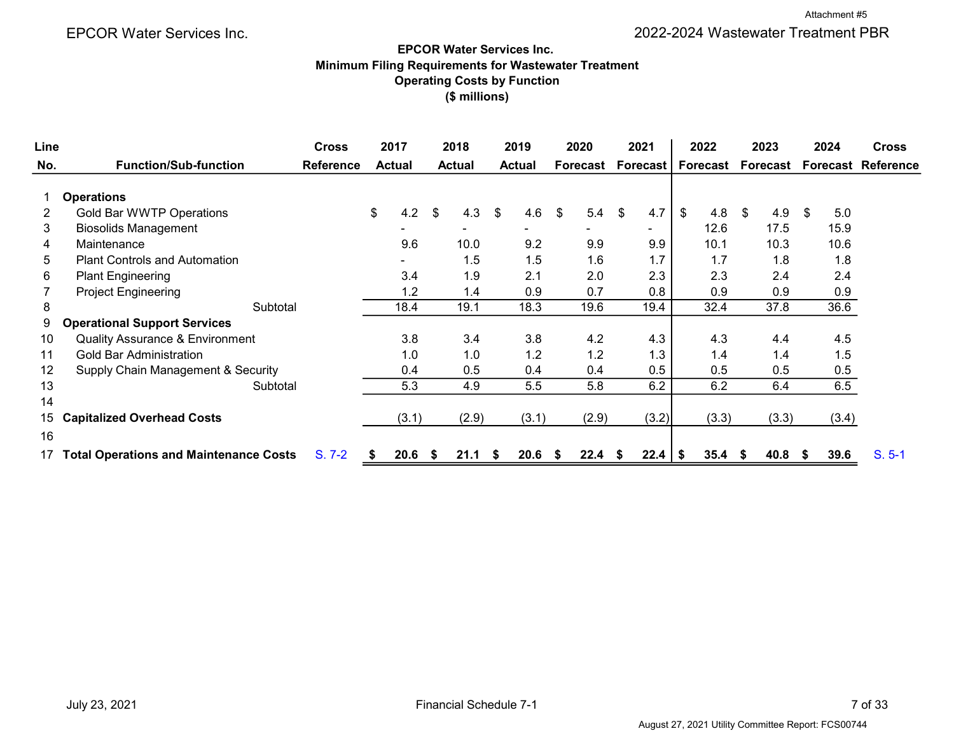# EPCOR Water Services Inc. Minimum Filing Requirements for Wastewater Treatment Operating Costs by Function (\$ millions)

| Line |                                               | <b>Cross</b>     | 2017          |           | 2018          |    | 2019          |     | 2020     | 2021 |          |                | 2022      |    | 2023     |      | 2024  | <b>Cross</b>              |
|------|-----------------------------------------------|------------------|---------------|-----------|---------------|----|---------------|-----|----------|------|----------|----------------|-----------|----|----------|------|-------|---------------------------|
| No.  | <b>Function/Sub-function</b>                  | <b>Reference</b> | <b>Actual</b> |           | <b>Actual</b> |    | <b>Actual</b> |     | Forecast |      | Forecast |                | Forecast  |    | Forecast |      |       | <b>Forecast Reference</b> |
|      | <b>Operations</b>                             |                  |               |           |               |    |               |     |          |      |          |                |           |    |          |      |       |                           |
| 2    | Gold Bar WWTP Operations                      |                  | \$            | 4.2<br>\$ | 4.3           | \$ | 4.6           | \$  | 5.4      | \$   | 4.7      | $\mathfrak{P}$ | 4.8       | -S | 4.9      | \$.  | 5.0   |                           |
| 3    | <b>Biosolids Management</b>                   |                  |               |           |               |    |               |     |          |      | ۰.       |                | 12.6      |    | 17.5     |      | 15.9  |                           |
| 4    | Maintenance                                   |                  | 9.6           |           | 10.0          |    | 9.2           |     | 9.9      |      | 9.9      |                | 10.1      |    | 10.3     |      | 10.6  |                           |
| 5    | <b>Plant Controls and Automation</b>          |                  |               |           | 1.5           |    | 1.5           |     | 1.6      |      | 1.7      |                | 1.7       |    | 1.8      |      | 1.8   |                           |
| 6    | <b>Plant Engineering</b>                      |                  | 3.4           |           | 1.9           |    | 2.1           |     | 2.0      |      | 2.3      |                | 2.3       |    | 2.4      |      | 2.4   |                           |
|      | <b>Project Engineering</b>                    |                  | 1.2           |           | 1.4           |    | 0.9           |     | 0.7      |      | 0.8      |                | 0.9       |    | 0.9      |      | 0.9   |                           |
| 8    | Subtotal                                      |                  | 18.4          |           | 19.1          |    | 18.3          |     | 19.6     |      | 19.4     |                | 32.4      |    | 37.8     |      | 36.6  |                           |
| 9    | <b>Operational Support Services</b>           |                  |               |           |               |    |               |     |          |      |          |                |           |    |          |      |       |                           |
| 10   | <b>Quality Assurance &amp; Environment</b>    |                  | 3.8           |           | 3.4           |    | 3.8           |     | 4.2      |      | 4.3      |                | 4.3       |    | 4.4      |      | 4.5   |                           |
| 11   | Gold Bar Administration                       |                  | 1.0           |           | 1.0           |    | 1.2           |     | 1.2      |      | 1.3      |                | 1.4       |    | 1.4      |      | 1.5   |                           |
| 12   | Supply Chain Management & Security            |                  | 0.4           |           | 0.5           |    | 0.4           |     | 0.4      |      | 0.5      |                | 0.5       |    | 0.5      |      | 0.5   |                           |
| 13   | Subtotal                                      |                  | 5.3           |           | 4.9           |    | 5.5           |     | 5.8      |      | 6.2      |                | 6.2       |    | 6.4      |      | 6.5   |                           |
| 14   |                                               |                  |               |           |               |    |               |     |          |      |          |                |           |    |          |      |       |                           |
| 15   | <b>Capitalized Overhead Costs</b>             |                  | (3.1)         |           | (2.9)         |    | (3.1)         |     | (2.9)    |      | (3.2)    |                | (3.3)     |    | (3.3)    |      | (3.4) |                           |
| 16   |                                               |                  |               |           |               |    |               |     |          |      |          |                |           |    |          |      |       |                           |
|      | <b>Total Operations and Maintenance Costs</b> | $S. 7-2$         | 20.6<br>- 55  | <b>S</b>  | 21.1          | S. | 20.6          | -55 | 22.4     | -56  | 22.4     | - 5            | $35.4$ \$ |    | 40.8     | - 56 | 39.6  | $S. 5-1$                  |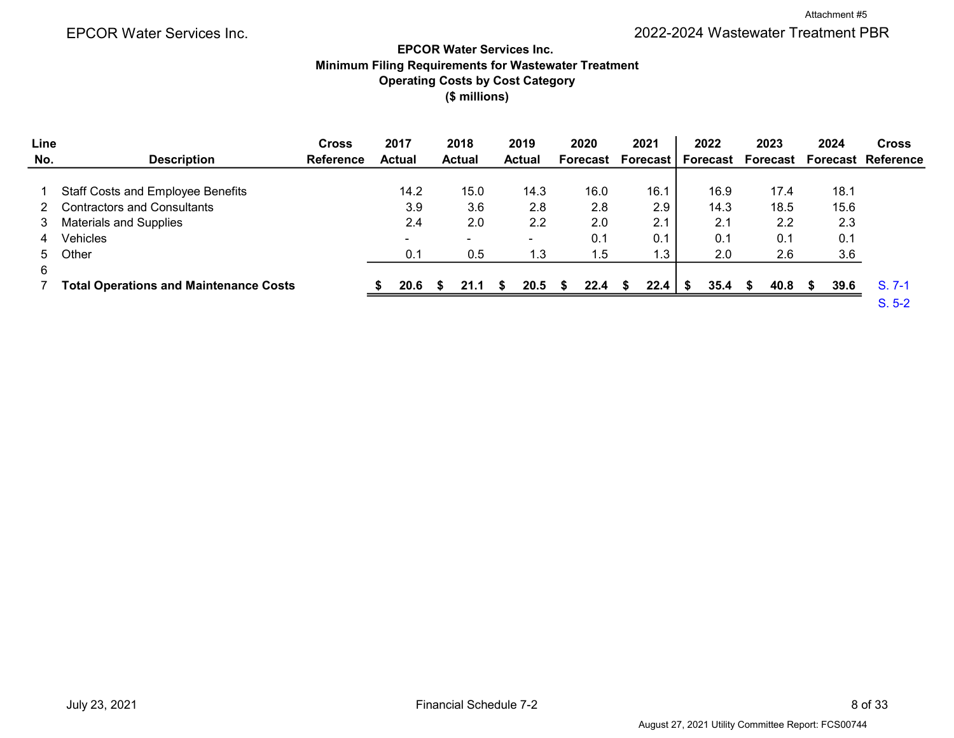# EPCOR Water Services Inc. 2022-2024 Wastewater Treatment PBR

# (\$ millions) EPCOR Water Services Inc. Minimum Filing Requirements for Wastewater Treatment Operating Costs by Cost Category

| Line |                                               | <b>Cross</b>     | 2017          | 2018                     | 2019          |      | 2020     | 2021                         | 2022 |    | 2023 | 2024 | <b>Cross</b>              |
|------|-----------------------------------------------|------------------|---------------|--------------------------|---------------|------|----------|------------------------------|------|----|------|------|---------------------------|
| No.  | <b>Description</b>                            | <b>Reference</b> | <b>Actual</b> | <b>Actual</b>            | <b>Actual</b> |      | Forecast | Forecast   Forecast Forecast |      |    |      |      | <b>Forecast Reference</b> |
|      |                                               |                  |               |                          |               |      |          |                              |      |    |      |      |                           |
|      | <b>Staff Costs and Employee Benefits</b>      |                  | 14.2          | 15.0                     |               | 14.3 | 16.0     | 16.1                         | 16.9 |    | 17.4 | 18.1 |                           |
|      | Contractors and Consultants                   |                  | 3.9           | 3.6                      |               | 2.8  | 2.8      | 2.9                          | 14.3 |    | 18.5 | 15.6 |                           |
| 3    | <b>Materials and Supplies</b>                 |                  | 2.4           | 2.0                      |               | 2.2  | 2.0      | 2.1                          | 2.1  |    | 2.2  | 2.3  |                           |
| 4    | Vehicles                                      |                  |               | $\overline{\phantom{0}}$ |               |      | 0.1      | 0.1                          | 0.1  |    | 0.1  | 0.1  |                           |
| 5.   | Other                                         |                  | 0.1           | 0.5                      |               | 1.3  | 1.5      | 1.3                          | 2.0  |    | 2.6  | 3.6  |                           |
| 6    |                                               |                  |               |                          |               |      |          |                              |      |    |      |      |                           |
|      | <b>Total Operations and Maintenance Costs</b> |                  | 20.6          | 21.1                     |               | 20.5 | 22.4     |                              | 35.4 | S. | 40.8 | 39.6 | $S. 7-1$                  |
|      |                                               |                  |               |                          |               |      |          |                              |      |    |      |      | $S. 5-2$                  |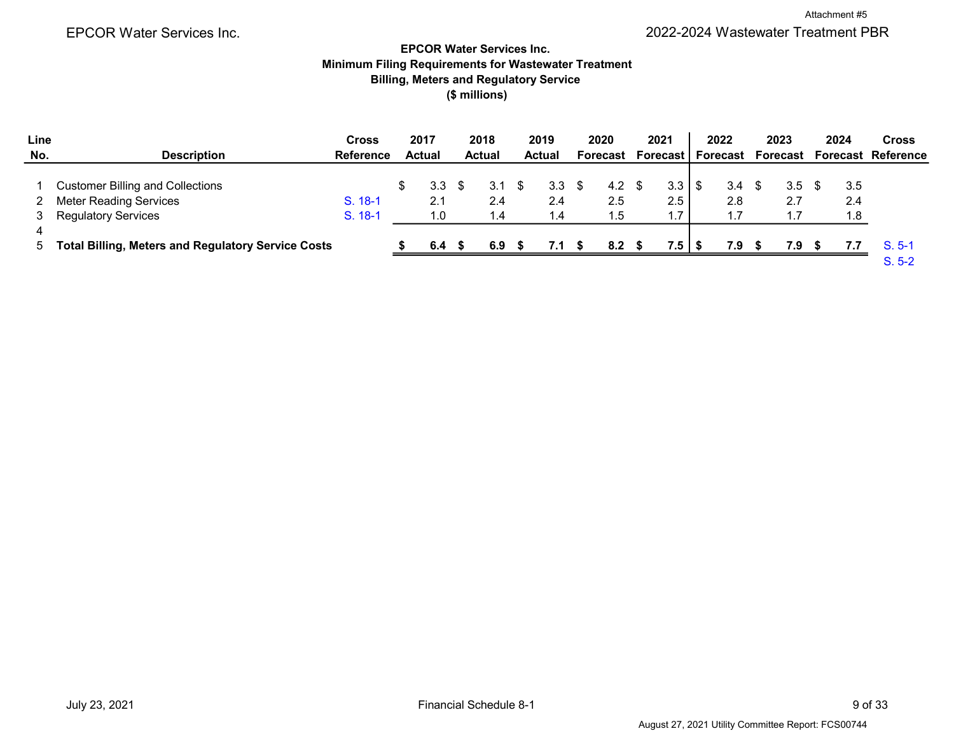Attachment #5

EPCOR Water Services Inc. 2022-2024 Wastewater Treatment PBR

# EPCOR Water Services Inc. Minimum Filing Requirements for Wastewater Treatment Billing, Meters and Regulatory Service (\$ millions)

| Line |                                                           | Cross            | 2017          | 2018             | 2019             | 2020     | 2021              | 2022     |      | 2023     | 2024 | <b>Cross</b>              |
|------|-----------------------------------------------------------|------------------|---------------|------------------|------------------|----------|-------------------|----------|------|----------|------|---------------------------|
| No.  | <b>Description</b>                                        | <b>Reference</b> | <b>Actual</b> | <b>Actual</b>    | <b>Actual</b>    | Forecast | <b>Forecast</b> I | Forecast |      | Forecast |      | <b>Forecast Reference</b> |
|      |                                                           |                  |               |                  |                  |          |                   |          |      |          |      |                           |
|      | <b>Customer Billing and Collections</b>                   |                  | 3.3           | 3.1 <sup>5</sup> | 3.3 <sup>5</sup> | 4.2      | 3.3               | 3.4      | - \$ | 3.5      | 3.5  |                           |
|      | <b>Meter Reading Services</b>                             | $S. 18-1$        | 2.1           | 2.4              | 2.4              | 2.5      | 2.5               | 2.8      |      | 2.7      | 2.4  |                           |
|      | <b>Regulatory Services</b>                                | S. 18-1          | 1.0           | . 4              | 1.4              | 1.5      |                   | 1.7      |      |          | 1.8  |                           |
|      |                                                           |                  |               |                  |                  |          |                   |          |      |          |      |                           |
| 5.   | <b>Total Billing, Meters and Regulatory Service Costs</b> |                  | 6.4           | 6.9              | 7.1              | 8.2      | $7.5$   \$        | 7.9      |      | 7.9      | 7.7  | $S. 5-1$                  |
|      |                                                           |                  |               |                  |                  |          |                   |          |      |          |      | $S. 5-2$                  |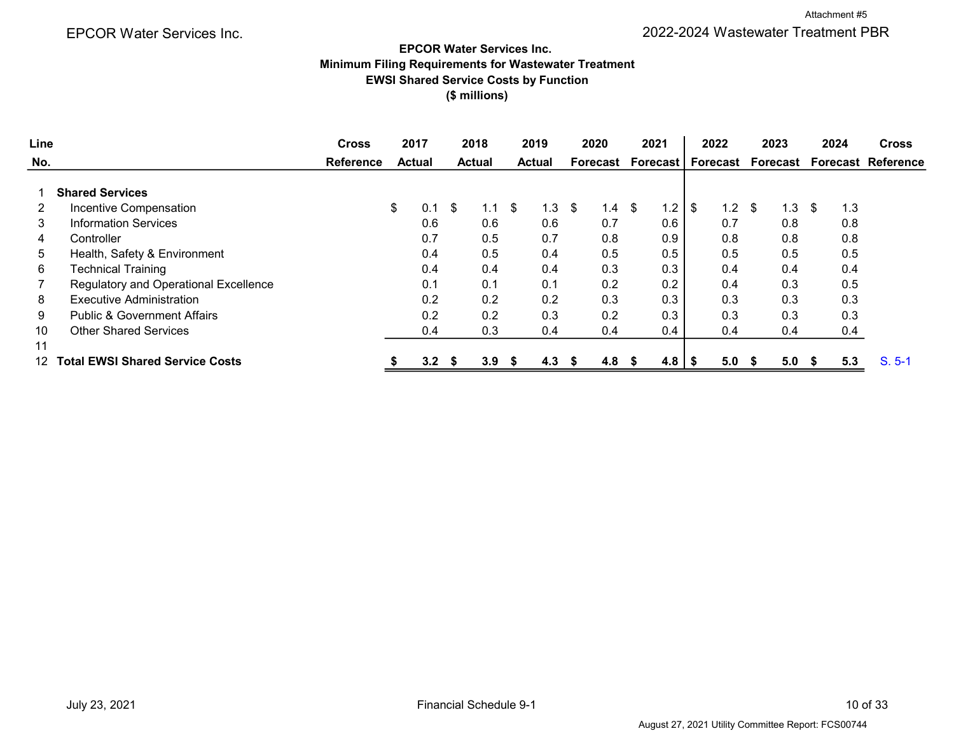Attachment #5

# EPCOR Water Services Inc. Minimum Filing Requirements for Wastewater Treatment EWSI Shared Service Costs by Function (\$ millions)

| Line |                                        | <b>Cross</b>     | 2017          |     |      | 2018          |    | 2019          |      | 2020     | 2021      |      | 2022 | 2023      |     | 2024 | <b>Cross</b>                                    |
|------|----------------------------------------|------------------|---------------|-----|------|---------------|----|---------------|------|----------|-----------|------|------|-----------|-----|------|-------------------------------------------------|
| No.  |                                        | <b>Reference</b> | <b>Actual</b> |     |      | <b>Actual</b> |    | <b>Actual</b> |      | Forecast |           |      |      |           |     |      | Forecast   Forecast Forecast Forecast Reference |
|      | <b>Shared Services</b>                 |                  |               |     |      |               |    |               |      |          |           |      |      |           |     |      |                                                 |
|      | Incentive Compensation                 |                  | \$            | 0.1 | \$   | 1.1           | \$ | 1.3           | \$   | 1.4      | \$<br>1.2 | \$   | 1.2  | \$<br>1.3 | \$  | 1.3  |                                                 |
| 3    | <b>Information Services</b>            |                  |               | 0.6 |      | 0.6           |    | 0.6           |      | 0.7      | 0.6       |      | 0.7  | 0.8       |     | 0.8  |                                                 |
| 4    | Controller                             |                  |               | 0.7 |      | 0.5           |    | 0.7           |      | 0.8      | 0.9       |      | 0.8  | 0.8       |     | 0.8  |                                                 |
| 5.   | Health, Safety & Environment           |                  |               | 0.4 |      | 0.5           |    | 0.4           |      | 0.5      | 0.5       |      | 0.5  | 0.5       |     | 0.5  |                                                 |
| 6    | <b>Technical Training</b>              |                  |               | 0.4 |      | 0.4           |    | 0.4           |      | 0.3      | 0.3       |      | 0.4  | 0.4       |     | 0.4  |                                                 |
|      | Regulatory and Operational Excellence  |                  |               | 0.1 |      | 0.1           |    | 0.1           |      | 0.2      | 0.2       |      | 0.4  | 0.3       |     | 0.5  |                                                 |
| 8    | <b>Executive Administration</b>        |                  |               | 0.2 |      | 0.2           |    | 0.2           |      | 0.3      | 0.3       |      | 0.3  | 0.3       |     | 0.3  |                                                 |
| 9    | <b>Public &amp; Government Affairs</b> |                  |               | 0.2 |      | 0.2           |    | 0.3           |      | 0.2      | 0.3       |      | 0.3  | 0.3       |     | 0.3  |                                                 |
| 10   | <b>Other Shared Services</b>           |                  |               | 0.4 |      | 0.3           |    | 0.4           |      | 0.4      | 0.4       |      | 0.4  | 0.4       |     | 0.4  |                                                 |
| 11   |                                        |                  |               |     |      |               |    |               |      |          |           |      |      |           |     |      |                                                 |
| 12   | <b>Total EWSI Shared Service Costs</b> |                  |               | 3.2 | - \$ | 3.9           | -S | 4.3           | - \$ | 4.8      | 4.8       | - \$ | 5.0  | 5.0       | - 5 | 5.3  | $S. 5-1$                                        |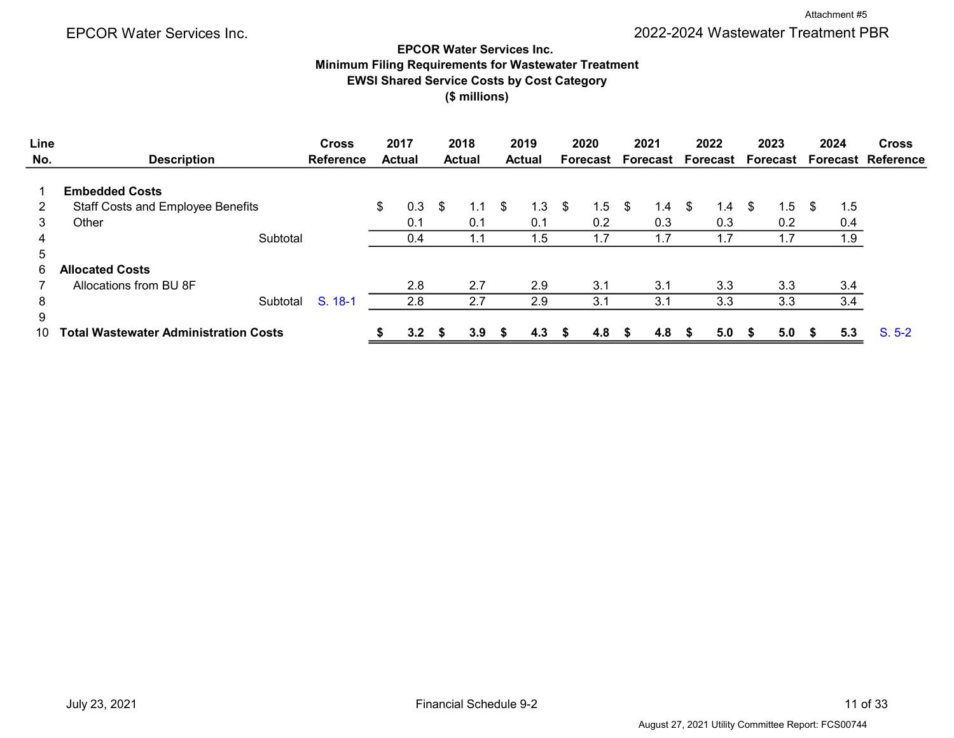#### EPCOR Water Services Inc. Minimum Filing Requirements for Wastewater Treatment

EWSI Shared Service Costs by Cost Category

(\$ millions)

| Line |                                              | <b>Cross</b>     | 2017          | 2018          |     | 2019          |      | 2020            |      | 2021     | 2022     |    | 2023     |      | 2024 | <b>Cross</b>              |
|------|----------------------------------------------|------------------|---------------|---------------|-----|---------------|------|-----------------|------|----------|----------|----|----------|------|------|---------------------------|
| No.  | <b>Description</b>                           | <b>Reference</b> | <b>Actual</b> | <b>Actual</b> |     | <b>Actual</b> |      | <b>Forecast</b> |      | Forecast | Forecast |    | Forecast |      |      | <b>Forecast Reference</b> |
|      | <b>Embedded Costs</b>                        |                  |               |               |     |               |      |                 |      |          |          |    |          |      |      |                           |
|      |                                              |                  |               |               |     |               |      |                 |      |          |          |    |          |      |      |                           |
| 2    | <b>Staff Costs and Employee Benefits</b>     |                  | \$<br>0.3     | \$<br>1.1     | \$. | 1.3           | - \$ | 1.5             | - \$ | 1.4 \$   | 1.4      | -S | 1.5      | - \$ | 1.5  |                           |
| 3    | Other                                        |                  | 0.1           | 0.1           |     | 0.1           |      | 0.2             |      | 0.3      | 0.3      |    | 0.2      |      | 0.4  |                           |
| 4    | Subtotal                                     |                  | 0.4           | 1.1           |     | 1.5           |      | 1.7             |      |          | 1.7      |    | 1.7      |      | 1.9  |                           |
| 5    |                                              |                  |               |               |     |               |      |                 |      |          |          |    |          |      |      |                           |
| 6.   | <b>Allocated Costs</b>                       |                  |               |               |     |               |      |                 |      |          |          |    |          |      |      |                           |
|      | Allocations from BU 8F                       |                  | 2.8           | 2.7           |     | 2.9           |      | 3.1             |      | 3.1      | 3.3      |    | 3.3      |      | 3.4  |                           |
| 8    | Subtotal                                     | S. 18-1          | 2.8           | 2.7           |     | 2.9           |      | 3.1             |      | 3.1      | 3.3      |    | 3.3      |      | 3.4  |                           |
| 9    |                                              |                  |               |               |     |               |      |                 |      |          |          |    |          |      |      |                           |
| 10   | <b>Fotal Wastewater Administration Costs</b> |                  | 3.2           | 3.9           |     | 4.3           |      | 4.8             |      | 4.8      | 5.0      |    | 5.0      | - SS | 5.3  | $S. 5-2$                  |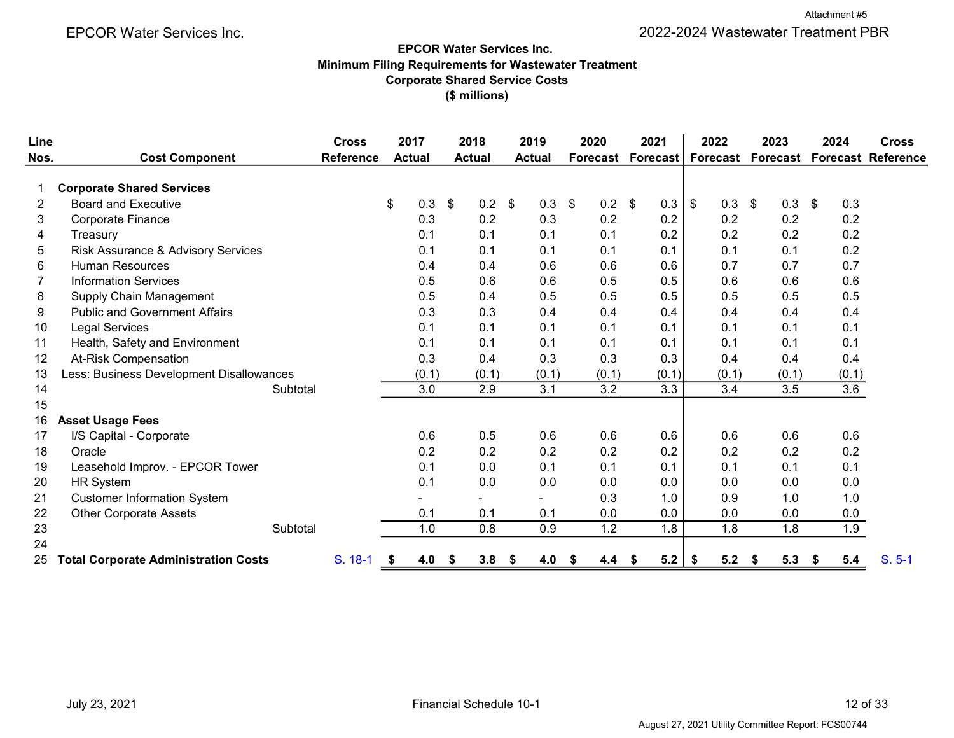# (\$ millions) EPCOR Water Services Inc. Minimum Filing Requirements for Wastewater Treatment Corporate Shared Service Costs

| Line |                                             | <b>Cross</b>     |    | 2017          |                | 2018          | 2019          |       | 2020           |          |   | 2021            |                | 2022            |    | 2023  | 2024           |       | <b>Cross</b>                |
|------|---------------------------------------------|------------------|----|---------------|----------------|---------------|---------------|-------|----------------|----------|---|-----------------|----------------|-----------------|----|-------|----------------|-------|-----------------------------|
| Nos. | <b>Cost Component</b>                       | <b>Reference</b> |    | <b>Actual</b> |                | <b>Actual</b> | <b>Actual</b> |       | Forecast       |          |   | <b>Forecast</b> |                | <b>Forecast</b> |    |       |                |       | Forecast Forecast Reference |
|      | <b>Corporate Shared Services</b>            |                  |    |               |                |               |               |       |                |          |   |                 |                |                 |    |       |                |       |                             |
| 2    | <b>Board and Executive</b>                  |                  | \$ | 0.3           | $\mathfrak{S}$ | 0.2           | \$            | 0.3   | $\mathfrak{L}$ | $0.2$ \$ |   | 0.3             | $\mathfrak{S}$ | 0.3             | \$ | 0.3   | $\mathfrak{L}$ | 0.3   |                             |
| 3    | <b>Corporate Finance</b>                    |                  |    | 0.3           |                | 0.2           |               | 0.3   |                | 0.2      |   | 0.2             |                | 0.2             |    | 0.2   |                | 0.2   |                             |
| 4    | Treasury                                    |                  |    | 0.1           |                | 0.1           |               | 0.1   |                | 0.1      |   | 0.2             |                | 0.2             |    | 0.2   |                | 0.2   |                             |
| 5    | Risk Assurance & Advisory Services          |                  |    | 0.1           |                | 0.1           |               | 0.1   |                | 0.1      |   | 0.1             |                | 0.1             |    | 0.1   |                | 0.2   |                             |
| 6    | <b>Human Resources</b>                      |                  |    | 0.4           |                | 0.4           |               | 0.6   |                | 0.6      |   | 0.6             |                | 0.7             |    | 0.7   |                | 0.7   |                             |
|      | <b>Information Services</b>                 |                  |    | 0.5           |                | 0.6           |               | 0.6   |                | 0.5      |   | 0.5             |                | 0.6             |    | 0.6   |                | 0.6   |                             |
| 8    | Supply Chain Management                     |                  |    | 0.5           |                | 0.4           |               | 0.5   |                | 0.5      |   | 0.5             |                | 0.5             |    | 0.5   |                | 0.5   |                             |
| 9    | <b>Public and Government Affairs</b>        |                  |    | 0.3           |                | 0.3           |               | 0.4   |                | 0.4      |   | 0.4             |                | 0.4             |    | 0.4   |                | 0.4   |                             |
| 10   | <b>Legal Services</b>                       |                  |    | 0.1           |                | 0.1           |               | 0.1   |                | 0.1      |   | 0.1             |                | 0.1             |    | 0.1   |                | 0.1   |                             |
| 11   | Health, Safety and Environment              |                  |    | 0.1           |                | 0.1           |               | 0.1   |                | 0.1      |   | 0.1             |                | 0.1             |    | 0.1   |                | 0.1   |                             |
| 12   | <b>At-Risk Compensation</b>                 |                  |    | 0.3           |                | 0.4           |               | 0.3   |                | 0.3      |   | 0.3             |                | 0.4             |    | 0.4   |                | 0.4   |                             |
| 13   | Less: Business Development Disallowances    |                  |    | (0.1)         |                | (0.1)         |               | (0.1) |                | (0.1)    |   | (0.1)           |                | (0.1)           |    | (0.1) |                | (0.1) |                             |
| 14   | Subtotal                                    |                  |    | 3.0           |                | 2.9           |               | 3.1   |                | 3.2      |   | 3.3             |                | 3.4             |    | 3.5   |                | 3.6   |                             |
| 15   |                                             |                  |    |               |                |               |               |       |                |          |   |                 |                |                 |    |       |                |       |                             |
| 16   | <b>Asset Usage Fees</b>                     |                  |    |               |                |               |               |       |                |          |   |                 |                |                 |    |       |                |       |                             |
| 17   | I/S Capital - Corporate                     |                  |    | 0.6           |                | 0.5           |               | 0.6   |                | 0.6      |   | 0.6             |                | 0.6             |    | 0.6   |                | 0.6   |                             |
| 18   | Oracle                                      |                  |    | 0.2           |                | 0.2           |               | 0.2   |                | 0.2      |   | 0.2             |                | 0.2             |    | 0.2   |                | 0.2   |                             |
| 19   | Leasehold Improv. - EPCOR Tower             |                  |    | 0.1           |                | 0.0           |               | 0.1   |                | 0.1      |   | 0.1             |                | 0.1             |    | 0.1   |                | 0.1   |                             |
| 20   | <b>HR System</b>                            |                  |    | 0.1           |                | 0.0           |               | 0.0   |                | 0.0      |   | 0.0             |                | 0.0             |    | 0.0   |                | 0.0   |                             |
| 21   | <b>Customer Information System</b>          |                  |    |               |                |               |               |       |                | 0.3      |   | 1.0             |                | 0.9             |    | 1.0   |                | 1.0   |                             |
| 22   | <b>Other Corporate Assets</b>               |                  |    | 0.1           |                | 0.1           |               | 0.1   |                | 0.0      |   | 0.0             |                | 0.0             |    | 0.0   |                | 0.0   |                             |
| 23   | Subtotal                                    |                  |    | 1.0           |                | 0.8           |               | 0.9   |                | 1.2      |   | 1.8             |                | 1.8             |    | 1.8   |                | 1.9   |                             |
| 24   |                                             |                  |    |               |                |               |               |       |                |          |   |                 |                |                 |    |       |                |       |                             |
| 25   | <b>Total Corporate Administration Costs</b> | $S. 18-1$        | S  | 4.0           | S              | 3.8           | S             | 4.0   | S              | 4.4      | S | 5.2             | \$             | 5.2             | S  | 5.3   | \$             | 5.4   | $S. 5-1$                    |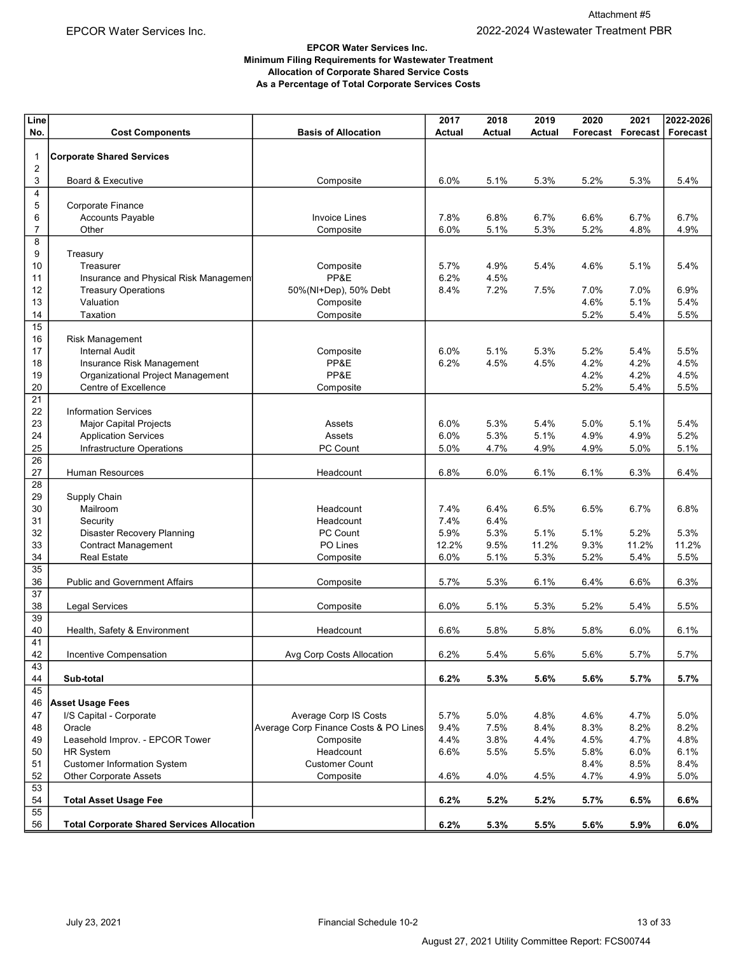#### EPCOR Water Services Inc. Minimum Filing Requirements for Wastewater Treatment Allocation of Corporate Shared Service Costs As a Percentage of Total Corporate Services Costs

| No.<br><b>Basis of Allocation</b><br><b>Actual</b><br>Forecast<br>Forecast<br><b>Cost Components</b><br>Actual<br>Actual<br>Forecast<br><b>Corporate Shared Services</b><br>$\mathbf{1}$<br>2<br>3<br>5.4%<br>Board & Executive<br>Composite<br>6.0%<br>5.1%<br>5.3%<br>5.2%<br>5.3%<br>4<br>5<br>Corporate Finance<br>6<br>6.8%<br>6.7%<br><b>Accounts Payable</b><br><b>Invoice Lines</b><br>7.8%<br>6.7%<br>6.6%<br>6.7%<br>$\overline{7}$<br>Other<br>Composite<br>6.0%<br>5.1%<br>5.3%<br>5.2%<br>4.8%<br>4.9%<br>8<br>9<br>Treasury<br>10<br>Composite<br>5.7%<br>4.9%<br>5.4%<br>4.6%<br>5.1%<br>5.4%<br>Treasurer<br>PP&E<br>6.2%<br>4.5%<br>11<br>Insurance and Physical Risk Managemen<br>12<br><b>Treasury Operations</b><br>50%(NI+Dep), 50% Debt<br>8.4%<br>7.2%<br>7.5%<br>7.0%<br>6.9%<br>7.0%<br>13<br>5.1%<br>5.4%<br>Valuation<br>Composite<br>4.6%<br>14<br>Taxation<br>Composite<br>5.2%<br>5.4%<br>5.5%<br>15<br>16<br><b>Risk Management</b><br>17<br>5.1%<br>5.5%<br><b>Internal Audit</b><br>Composite<br>6.0%<br>5.3%<br>5.2%<br>5.4%<br>PP&E<br>6.2%<br>4.5%<br>4.2%<br>4.2%<br>4.5%<br>18<br>Insurance Risk Management<br>4.5%<br>PP&E<br>19<br>Organizational Project Management<br>4.2%<br>4.2%<br>4.5%<br>20<br>Centre of Excellence<br>Composite<br>5.2%<br>5.4%<br>5.5%<br>21<br>22<br><b>Information Services</b><br>23<br><b>Major Capital Projects</b><br>5.3%<br>5.4%<br>5.0%<br>5.1%<br>5.4%<br>Assets<br>6.0%<br>24<br>6.0%<br>5.3%<br>5.1%<br>4.9%<br>4.9%<br>5.2%<br><b>Application Services</b><br>Assets<br>25<br>Infrastructure Operations<br>PC Count<br>5.0%<br>4.7%<br>4.9%<br>4.9%<br>5.0%<br>5.1%<br>26<br>27<br>6.8%<br>Human Resources<br>6.0%<br>6.1%<br>6.1%<br>6.3%<br>6.4%<br>Headcount<br>28<br>29<br>Supply Chain<br>30<br>Mailroom<br>Headcount<br>7.4%<br>6.4%<br>6.5%<br>6.5%<br>6.7%<br>6.8%<br>31<br>7.4%<br>6.4%<br>Headcount<br>Security<br>32<br><b>Disaster Recovery Planning</b><br>PC Count<br>5.3%<br>5.1%<br>5.1%<br>5.2%<br>5.3%<br>5.9%<br>33<br>PO Lines<br>9.5%<br>11.2%<br><b>Contract Management</b><br>12.2%<br>11.2%<br>9.3%<br>11.2%<br>34<br><b>Real Estate</b><br>Composite<br>6.0%<br>5.1%<br>5.4%<br>5.5%<br>5.3%<br>5.2%<br>$\overline{35}$<br>36<br><b>Public and Government Affairs</b><br>Composite<br>5.7%<br>5.3%<br>6.1%<br>6.4%<br>6.3%<br>6.6% |  |  |  |
|-------------------------------------------------------------------------------------------------------------------------------------------------------------------------------------------------------------------------------------------------------------------------------------------------------------------------------------------------------------------------------------------------------------------------------------------------------------------------------------------------------------------------------------------------------------------------------------------------------------------------------------------------------------------------------------------------------------------------------------------------------------------------------------------------------------------------------------------------------------------------------------------------------------------------------------------------------------------------------------------------------------------------------------------------------------------------------------------------------------------------------------------------------------------------------------------------------------------------------------------------------------------------------------------------------------------------------------------------------------------------------------------------------------------------------------------------------------------------------------------------------------------------------------------------------------------------------------------------------------------------------------------------------------------------------------------------------------------------------------------------------------------------------------------------------------------------------------------------------------------------------------------------------------------------------------------------------------------------------------------------------------------------------------------------------------------------------------------------------------------------------------------------------------------------------------------------------------------------------------------------------------------------------------------------------------------------------------------|--|--|--|
|                                                                                                                                                                                                                                                                                                                                                                                                                                                                                                                                                                                                                                                                                                                                                                                                                                                                                                                                                                                                                                                                                                                                                                                                                                                                                                                                                                                                                                                                                                                                                                                                                                                                                                                                                                                                                                                                                                                                                                                                                                                                                                                                                                                                                                                                                                                                           |  |  |  |
|                                                                                                                                                                                                                                                                                                                                                                                                                                                                                                                                                                                                                                                                                                                                                                                                                                                                                                                                                                                                                                                                                                                                                                                                                                                                                                                                                                                                                                                                                                                                                                                                                                                                                                                                                                                                                                                                                                                                                                                                                                                                                                                                                                                                                                                                                                                                           |  |  |  |
|                                                                                                                                                                                                                                                                                                                                                                                                                                                                                                                                                                                                                                                                                                                                                                                                                                                                                                                                                                                                                                                                                                                                                                                                                                                                                                                                                                                                                                                                                                                                                                                                                                                                                                                                                                                                                                                                                                                                                                                                                                                                                                                                                                                                                                                                                                                                           |  |  |  |
|                                                                                                                                                                                                                                                                                                                                                                                                                                                                                                                                                                                                                                                                                                                                                                                                                                                                                                                                                                                                                                                                                                                                                                                                                                                                                                                                                                                                                                                                                                                                                                                                                                                                                                                                                                                                                                                                                                                                                                                                                                                                                                                                                                                                                                                                                                                                           |  |  |  |
|                                                                                                                                                                                                                                                                                                                                                                                                                                                                                                                                                                                                                                                                                                                                                                                                                                                                                                                                                                                                                                                                                                                                                                                                                                                                                                                                                                                                                                                                                                                                                                                                                                                                                                                                                                                                                                                                                                                                                                                                                                                                                                                                                                                                                                                                                                                                           |  |  |  |
|                                                                                                                                                                                                                                                                                                                                                                                                                                                                                                                                                                                                                                                                                                                                                                                                                                                                                                                                                                                                                                                                                                                                                                                                                                                                                                                                                                                                                                                                                                                                                                                                                                                                                                                                                                                                                                                                                                                                                                                                                                                                                                                                                                                                                                                                                                                                           |  |  |  |
|                                                                                                                                                                                                                                                                                                                                                                                                                                                                                                                                                                                                                                                                                                                                                                                                                                                                                                                                                                                                                                                                                                                                                                                                                                                                                                                                                                                                                                                                                                                                                                                                                                                                                                                                                                                                                                                                                                                                                                                                                                                                                                                                                                                                                                                                                                                                           |  |  |  |
|                                                                                                                                                                                                                                                                                                                                                                                                                                                                                                                                                                                                                                                                                                                                                                                                                                                                                                                                                                                                                                                                                                                                                                                                                                                                                                                                                                                                                                                                                                                                                                                                                                                                                                                                                                                                                                                                                                                                                                                                                                                                                                                                                                                                                                                                                                                                           |  |  |  |
|                                                                                                                                                                                                                                                                                                                                                                                                                                                                                                                                                                                                                                                                                                                                                                                                                                                                                                                                                                                                                                                                                                                                                                                                                                                                                                                                                                                                                                                                                                                                                                                                                                                                                                                                                                                                                                                                                                                                                                                                                                                                                                                                                                                                                                                                                                                                           |  |  |  |
|                                                                                                                                                                                                                                                                                                                                                                                                                                                                                                                                                                                                                                                                                                                                                                                                                                                                                                                                                                                                                                                                                                                                                                                                                                                                                                                                                                                                                                                                                                                                                                                                                                                                                                                                                                                                                                                                                                                                                                                                                                                                                                                                                                                                                                                                                                                                           |  |  |  |
|                                                                                                                                                                                                                                                                                                                                                                                                                                                                                                                                                                                                                                                                                                                                                                                                                                                                                                                                                                                                                                                                                                                                                                                                                                                                                                                                                                                                                                                                                                                                                                                                                                                                                                                                                                                                                                                                                                                                                                                                                                                                                                                                                                                                                                                                                                                                           |  |  |  |
|                                                                                                                                                                                                                                                                                                                                                                                                                                                                                                                                                                                                                                                                                                                                                                                                                                                                                                                                                                                                                                                                                                                                                                                                                                                                                                                                                                                                                                                                                                                                                                                                                                                                                                                                                                                                                                                                                                                                                                                                                                                                                                                                                                                                                                                                                                                                           |  |  |  |
|                                                                                                                                                                                                                                                                                                                                                                                                                                                                                                                                                                                                                                                                                                                                                                                                                                                                                                                                                                                                                                                                                                                                                                                                                                                                                                                                                                                                                                                                                                                                                                                                                                                                                                                                                                                                                                                                                                                                                                                                                                                                                                                                                                                                                                                                                                                                           |  |  |  |
|                                                                                                                                                                                                                                                                                                                                                                                                                                                                                                                                                                                                                                                                                                                                                                                                                                                                                                                                                                                                                                                                                                                                                                                                                                                                                                                                                                                                                                                                                                                                                                                                                                                                                                                                                                                                                                                                                                                                                                                                                                                                                                                                                                                                                                                                                                                                           |  |  |  |
|                                                                                                                                                                                                                                                                                                                                                                                                                                                                                                                                                                                                                                                                                                                                                                                                                                                                                                                                                                                                                                                                                                                                                                                                                                                                                                                                                                                                                                                                                                                                                                                                                                                                                                                                                                                                                                                                                                                                                                                                                                                                                                                                                                                                                                                                                                                                           |  |  |  |
|                                                                                                                                                                                                                                                                                                                                                                                                                                                                                                                                                                                                                                                                                                                                                                                                                                                                                                                                                                                                                                                                                                                                                                                                                                                                                                                                                                                                                                                                                                                                                                                                                                                                                                                                                                                                                                                                                                                                                                                                                                                                                                                                                                                                                                                                                                                                           |  |  |  |
|                                                                                                                                                                                                                                                                                                                                                                                                                                                                                                                                                                                                                                                                                                                                                                                                                                                                                                                                                                                                                                                                                                                                                                                                                                                                                                                                                                                                                                                                                                                                                                                                                                                                                                                                                                                                                                                                                                                                                                                                                                                                                                                                                                                                                                                                                                                                           |  |  |  |
|                                                                                                                                                                                                                                                                                                                                                                                                                                                                                                                                                                                                                                                                                                                                                                                                                                                                                                                                                                                                                                                                                                                                                                                                                                                                                                                                                                                                                                                                                                                                                                                                                                                                                                                                                                                                                                                                                                                                                                                                                                                                                                                                                                                                                                                                                                                                           |  |  |  |
|                                                                                                                                                                                                                                                                                                                                                                                                                                                                                                                                                                                                                                                                                                                                                                                                                                                                                                                                                                                                                                                                                                                                                                                                                                                                                                                                                                                                                                                                                                                                                                                                                                                                                                                                                                                                                                                                                                                                                                                                                                                                                                                                                                                                                                                                                                                                           |  |  |  |
|                                                                                                                                                                                                                                                                                                                                                                                                                                                                                                                                                                                                                                                                                                                                                                                                                                                                                                                                                                                                                                                                                                                                                                                                                                                                                                                                                                                                                                                                                                                                                                                                                                                                                                                                                                                                                                                                                                                                                                                                                                                                                                                                                                                                                                                                                                                                           |  |  |  |
|                                                                                                                                                                                                                                                                                                                                                                                                                                                                                                                                                                                                                                                                                                                                                                                                                                                                                                                                                                                                                                                                                                                                                                                                                                                                                                                                                                                                                                                                                                                                                                                                                                                                                                                                                                                                                                                                                                                                                                                                                                                                                                                                                                                                                                                                                                                                           |  |  |  |
|                                                                                                                                                                                                                                                                                                                                                                                                                                                                                                                                                                                                                                                                                                                                                                                                                                                                                                                                                                                                                                                                                                                                                                                                                                                                                                                                                                                                                                                                                                                                                                                                                                                                                                                                                                                                                                                                                                                                                                                                                                                                                                                                                                                                                                                                                                                                           |  |  |  |
|                                                                                                                                                                                                                                                                                                                                                                                                                                                                                                                                                                                                                                                                                                                                                                                                                                                                                                                                                                                                                                                                                                                                                                                                                                                                                                                                                                                                                                                                                                                                                                                                                                                                                                                                                                                                                                                                                                                                                                                                                                                                                                                                                                                                                                                                                                                                           |  |  |  |
|                                                                                                                                                                                                                                                                                                                                                                                                                                                                                                                                                                                                                                                                                                                                                                                                                                                                                                                                                                                                                                                                                                                                                                                                                                                                                                                                                                                                                                                                                                                                                                                                                                                                                                                                                                                                                                                                                                                                                                                                                                                                                                                                                                                                                                                                                                                                           |  |  |  |
|                                                                                                                                                                                                                                                                                                                                                                                                                                                                                                                                                                                                                                                                                                                                                                                                                                                                                                                                                                                                                                                                                                                                                                                                                                                                                                                                                                                                                                                                                                                                                                                                                                                                                                                                                                                                                                                                                                                                                                                                                                                                                                                                                                                                                                                                                                                                           |  |  |  |
|                                                                                                                                                                                                                                                                                                                                                                                                                                                                                                                                                                                                                                                                                                                                                                                                                                                                                                                                                                                                                                                                                                                                                                                                                                                                                                                                                                                                                                                                                                                                                                                                                                                                                                                                                                                                                                                                                                                                                                                                                                                                                                                                                                                                                                                                                                                                           |  |  |  |
|                                                                                                                                                                                                                                                                                                                                                                                                                                                                                                                                                                                                                                                                                                                                                                                                                                                                                                                                                                                                                                                                                                                                                                                                                                                                                                                                                                                                                                                                                                                                                                                                                                                                                                                                                                                                                                                                                                                                                                                                                                                                                                                                                                                                                                                                                                                                           |  |  |  |
|                                                                                                                                                                                                                                                                                                                                                                                                                                                                                                                                                                                                                                                                                                                                                                                                                                                                                                                                                                                                                                                                                                                                                                                                                                                                                                                                                                                                                                                                                                                                                                                                                                                                                                                                                                                                                                                                                                                                                                                                                                                                                                                                                                                                                                                                                                                                           |  |  |  |
|                                                                                                                                                                                                                                                                                                                                                                                                                                                                                                                                                                                                                                                                                                                                                                                                                                                                                                                                                                                                                                                                                                                                                                                                                                                                                                                                                                                                                                                                                                                                                                                                                                                                                                                                                                                                                                                                                                                                                                                                                                                                                                                                                                                                                                                                                                                                           |  |  |  |
|                                                                                                                                                                                                                                                                                                                                                                                                                                                                                                                                                                                                                                                                                                                                                                                                                                                                                                                                                                                                                                                                                                                                                                                                                                                                                                                                                                                                                                                                                                                                                                                                                                                                                                                                                                                                                                                                                                                                                                                                                                                                                                                                                                                                                                                                                                                                           |  |  |  |
|                                                                                                                                                                                                                                                                                                                                                                                                                                                                                                                                                                                                                                                                                                                                                                                                                                                                                                                                                                                                                                                                                                                                                                                                                                                                                                                                                                                                                                                                                                                                                                                                                                                                                                                                                                                                                                                                                                                                                                                                                                                                                                                                                                                                                                                                                                                                           |  |  |  |
|                                                                                                                                                                                                                                                                                                                                                                                                                                                                                                                                                                                                                                                                                                                                                                                                                                                                                                                                                                                                                                                                                                                                                                                                                                                                                                                                                                                                                                                                                                                                                                                                                                                                                                                                                                                                                                                                                                                                                                                                                                                                                                                                                                                                                                                                                                                                           |  |  |  |
| 37<br>38<br>6.0%<br>5.1%<br>5.3%<br>5.2%<br>5.4%<br>5.5%<br>Legal Services<br>Composite                                                                                                                                                                                                                                                                                                                                                                                                                                                                                                                                                                                                                                                                                                                                                                                                                                                                                                                                                                                                                                                                                                                                                                                                                                                                                                                                                                                                                                                                                                                                                                                                                                                                                                                                                                                                                                                                                                                                                                                                                                                                                                                                                                                                                                                   |  |  |  |
| 39                                                                                                                                                                                                                                                                                                                                                                                                                                                                                                                                                                                                                                                                                                                                                                                                                                                                                                                                                                                                                                                                                                                                                                                                                                                                                                                                                                                                                                                                                                                                                                                                                                                                                                                                                                                                                                                                                                                                                                                                                                                                                                                                                                                                                                                                                                                                        |  |  |  |
| 6.1%<br>40<br>Health, Safety & Environment<br>Headcount<br>6.6%<br>5.8%<br>5.8%<br>5.8%<br>6.0%                                                                                                                                                                                                                                                                                                                                                                                                                                                                                                                                                                                                                                                                                                                                                                                                                                                                                                                                                                                                                                                                                                                                                                                                                                                                                                                                                                                                                                                                                                                                                                                                                                                                                                                                                                                                                                                                                                                                                                                                                                                                                                                                                                                                                                           |  |  |  |
| 41                                                                                                                                                                                                                                                                                                                                                                                                                                                                                                                                                                                                                                                                                                                                                                                                                                                                                                                                                                                                                                                                                                                                                                                                                                                                                                                                                                                                                                                                                                                                                                                                                                                                                                                                                                                                                                                                                                                                                                                                                                                                                                                                                                                                                                                                                                                                        |  |  |  |
| 42<br>Incentive Compensation<br>Avg Corp Costs Allocation<br>$6.2\%$<br>5.4%<br>5.6%<br>5.6%<br>5.7%<br>5.7%                                                                                                                                                                                                                                                                                                                                                                                                                                                                                                                                                                                                                                                                                                                                                                                                                                                                                                                                                                                                                                                                                                                                                                                                                                                                                                                                                                                                                                                                                                                                                                                                                                                                                                                                                                                                                                                                                                                                                                                                                                                                                                                                                                                                                              |  |  |  |
| 43<br>Sub-total<br>6.2%<br>5.7%<br>5.7%<br>44<br>5.3%<br>$5.6\%$<br>5.6%                                                                                                                                                                                                                                                                                                                                                                                                                                                                                                                                                                                                                                                                                                                                                                                                                                                                                                                                                                                                                                                                                                                                                                                                                                                                                                                                                                                                                                                                                                                                                                                                                                                                                                                                                                                                                                                                                                                                                                                                                                                                                                                                                                                                                                                                  |  |  |  |
| 45                                                                                                                                                                                                                                                                                                                                                                                                                                                                                                                                                                                                                                                                                                                                                                                                                                                                                                                                                                                                                                                                                                                                                                                                                                                                                                                                                                                                                                                                                                                                                                                                                                                                                                                                                                                                                                                                                                                                                                                                                                                                                                                                                                                                                                                                                                                                        |  |  |  |
| <b>Asset Usage Fees</b><br>46                                                                                                                                                                                                                                                                                                                                                                                                                                                                                                                                                                                                                                                                                                                                                                                                                                                                                                                                                                                                                                                                                                                                                                                                                                                                                                                                                                                                                                                                                                                                                                                                                                                                                                                                                                                                                                                                                                                                                                                                                                                                                                                                                                                                                                                                                                             |  |  |  |
| 47<br>I/S Capital - Corporate<br>Average Corp IS Costs<br>5.7%<br>5.0%<br>4.8%<br>4.7%<br>5.0%<br>4.6%                                                                                                                                                                                                                                                                                                                                                                                                                                                                                                                                                                                                                                                                                                                                                                                                                                                                                                                                                                                                                                                                                                                                                                                                                                                                                                                                                                                                                                                                                                                                                                                                                                                                                                                                                                                                                                                                                                                                                                                                                                                                                                                                                                                                                                    |  |  |  |
| Average Corp Finance Costs & PO Lines<br>Oracle<br>9.4%<br>7.5%<br>8.4%<br>8.3%<br>8.2%<br>8.2%<br>48                                                                                                                                                                                                                                                                                                                                                                                                                                                                                                                                                                                                                                                                                                                                                                                                                                                                                                                                                                                                                                                                                                                                                                                                                                                                                                                                                                                                                                                                                                                                                                                                                                                                                                                                                                                                                                                                                                                                                                                                                                                                                                                                                                                                                                     |  |  |  |
| 49<br>Leasehold Improv. - EPCOR Tower<br>Composite<br>4.4%<br>3.8%<br>4.4%<br>4.5%<br>4.7%<br>4.8%<br>Headcount<br>50<br><b>HR System</b><br>6.6%<br>5.5%<br>5.5%<br>5.8%<br>6.0%<br>6.1%                                                                                                                                                                                                                                                                                                                                                                                                                                                                                                                                                                                                                                                                                                                                                                                                                                                                                                                                                                                                                                                                                                                                                                                                                                                                                                                                                                                                                                                                                                                                                                                                                                                                                                                                                                                                                                                                                                                                                                                                                                                                                                                                                 |  |  |  |
| <b>Customer Information System</b><br>51<br><b>Customer Count</b><br>8.4%<br>8.5%<br>8.4%                                                                                                                                                                                                                                                                                                                                                                                                                                                                                                                                                                                                                                                                                                                                                                                                                                                                                                                                                                                                                                                                                                                                                                                                                                                                                                                                                                                                                                                                                                                                                                                                                                                                                                                                                                                                                                                                                                                                                                                                                                                                                                                                                                                                                                                 |  |  |  |
| 52<br><b>Other Corporate Assets</b><br>Composite<br>4.6%<br>4.0%<br>4.5%<br>4.7%<br>4.9%<br>5.0%                                                                                                                                                                                                                                                                                                                                                                                                                                                                                                                                                                                                                                                                                                                                                                                                                                                                                                                                                                                                                                                                                                                                                                                                                                                                                                                                                                                                                                                                                                                                                                                                                                                                                                                                                                                                                                                                                                                                                                                                                                                                                                                                                                                                                                          |  |  |  |
| 53                                                                                                                                                                                                                                                                                                                                                                                                                                                                                                                                                                                                                                                                                                                                                                                                                                                                                                                                                                                                                                                                                                                                                                                                                                                                                                                                                                                                                                                                                                                                                                                                                                                                                                                                                                                                                                                                                                                                                                                                                                                                                                                                                                                                                                                                                                                                        |  |  |  |
| 54<br>6.2%<br>5.2%<br>6.6%<br><b>Total Asset Usage Fee</b><br>5.2%<br>5.7%<br>6.5%                                                                                                                                                                                                                                                                                                                                                                                                                                                                                                                                                                                                                                                                                                                                                                                                                                                                                                                                                                                                                                                                                                                                                                                                                                                                                                                                                                                                                                                                                                                                                                                                                                                                                                                                                                                                                                                                                                                                                                                                                                                                                                                                                                                                                                                        |  |  |  |
| 55<br>56<br><b>Total Corporate Shared Services Allocation</b><br>6.2%<br>6.0%<br>5.3%<br>5.5%<br>5.6%<br>5.9%                                                                                                                                                                                                                                                                                                                                                                                                                                                                                                                                                                                                                                                                                                                                                                                                                                                                                                                                                                                                                                                                                                                                                                                                                                                                                                                                                                                                                                                                                                                                                                                                                                                                                                                                                                                                                                                                                                                                                                                                                                                                                                                                                                                                                             |  |  |  |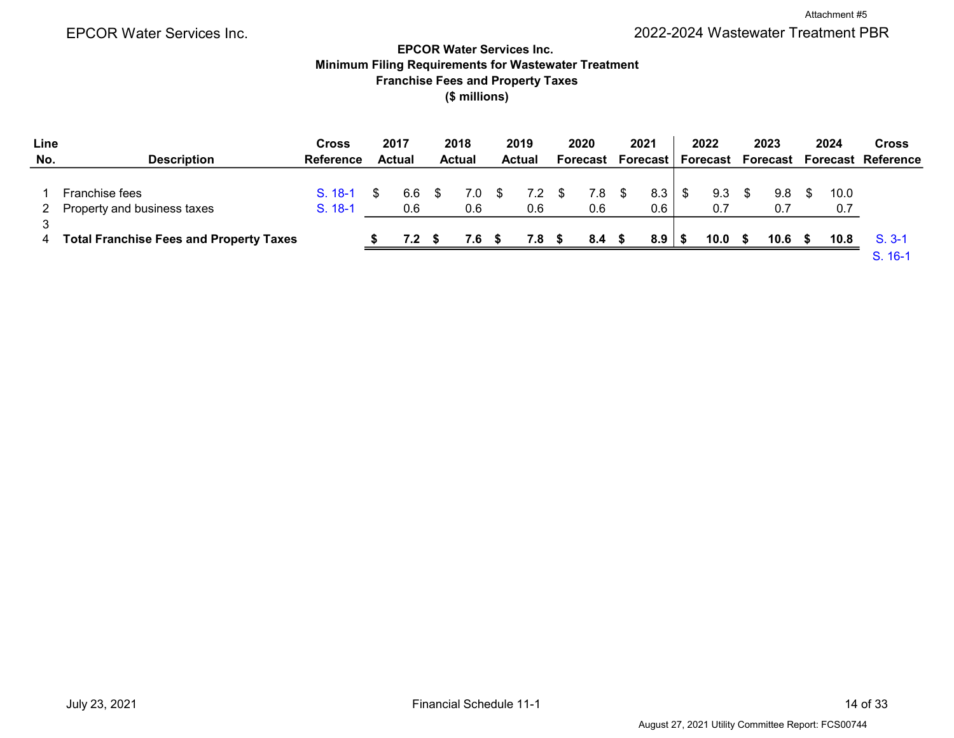Attachment #5

# EPCOR Water Services Inc. 2022-2024 Wastewater Treatment PBR

# EPCOR Water Services Inc. Minimum Filing Requirements for Wastewater Treatment Franchise Fees and Property Taxes (\$ millions)

| Line |                                                      | <b>Cross</b>           | 2017          | 2018       |     | 2019          |     | 2020       |      | 2021              | 2022              | 2023       | 2024        | <b>Cross</b>              |
|------|------------------------------------------------------|------------------------|---------------|------------|-----|---------------|-----|------------|------|-------------------|-------------------|------------|-------------|---------------------------|
| No.  | <b>Description</b>                                   | <b>Reference</b>       | <b>Actual</b> | Actual     |     | <b>Actual</b> |     | Forecast   |      | <b>Forecast I</b> | Forecast          | Forecast   |             | <b>Forecast Reference</b> |
|      | <b>Franchise fees</b><br>Property and business taxes | $S. 18-1$<br>$S. 18-1$ | 6.6<br>0.6    | 7.0<br>0.6 | \$. | 7.2<br>0.6    | \$. | 7.8<br>0.6 | - \$ | 8.3<br>0.6        | 9.3<br>0.7        | 9.8<br>0.7 | 10.0<br>0.7 |                           |
|      | <b>Total Franchise Fees and Property Taxes</b>       |                        | 7.2           | 7.6        |     | 7.8           |     | 8.4        |      | 8.9               | 10.0 <sub>1</sub> | 10.6       | 10.8        | $S.3-1$<br>$S. 16-1$      |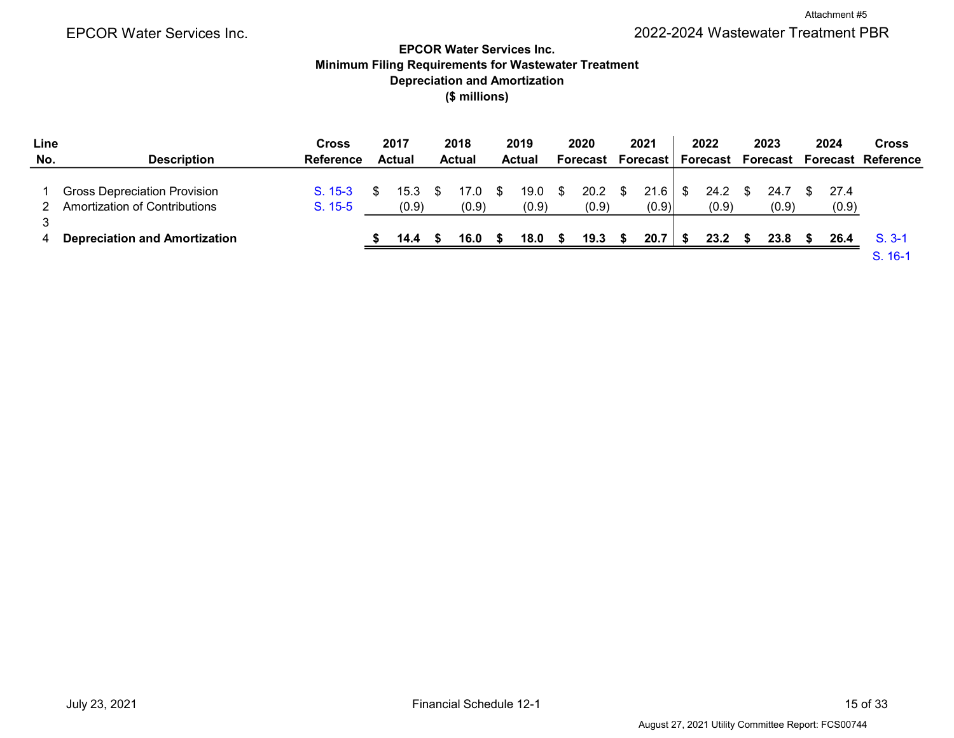# Depreciation and Amortization Minimum Filing Requirements for Wastewater Treatment EPCOR Water Services Inc. (\$ millions)

| Line |                                                                      | <b>Cross</b>         | 2017          | 2018          |      | 2019          |     | 2020          |     | 2021          | 2022                     | 2023          | 2024          | <b>Cross</b>              |
|------|----------------------------------------------------------------------|----------------------|---------------|---------------|------|---------------|-----|---------------|-----|---------------|--------------------------|---------------|---------------|---------------------------|
| No.  | <b>Description</b>                                                   | <b>Reference</b>     | Actual        | <b>Actual</b> |      | <b>Actual</b> |     | Forecast      |     | Forecast      | Forecast                 | Forecast      |               | <b>Forecast Reference</b> |
|      | Gross Depreciation Provision<br><b>Amortization of Contributions</b> | $S. 15-3$<br>S. 15-5 | 15.3<br>(0.9) | 17.0<br>(0.9) | - \$ | 19.0<br>(0.9) | -SS | 20.2<br>(0.9) |     | 21.6<br>(0.9) | $24.2 \quad$ \$<br>(0.9) | 24.7<br>(0.9) | 27.4<br>(0.9) |                           |
|      | <b>Depreciation and Amortization</b>                                 |                      | 14.4          | 16.0          |      | 18.0          |     | 19.3          | -55 | 20.7          | 23.2                     | 23.8          | 26.4          | $S. 3-1$<br>S. 16-1       |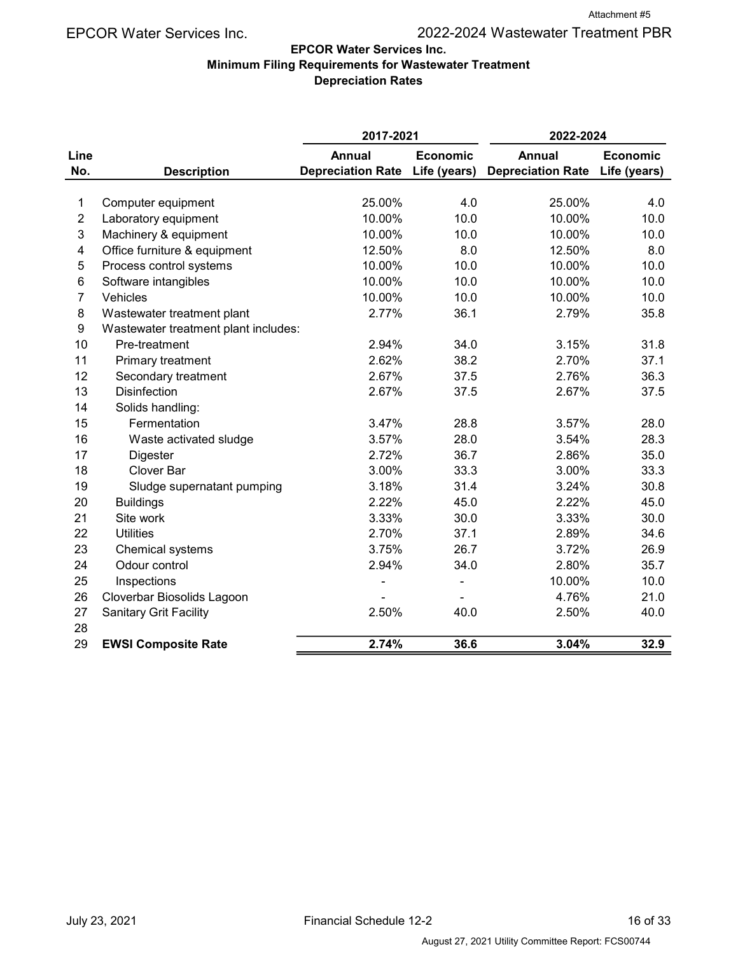# EPCOR Water Services Inc. 2022-2024 Wastewater Treatment PBR

# EPCOR Water Services Inc.

#### Minimum Filing Requirements for Wastewater Treatment Depreciation Rates

|                |                                      | 2017-2021                      |                 | 2022-2024                |                 |
|----------------|--------------------------------------|--------------------------------|-----------------|--------------------------|-----------------|
| Line           |                                      | <b>Annual</b>                  | <b>Economic</b> | <b>Annual</b>            | <b>Economic</b> |
| No.            | <b>Description</b>                   | Depreciation Rate Life (years) |                 | <b>Depreciation Rate</b> | Life (years)    |
|                |                                      |                                |                 |                          |                 |
| 1              | Computer equipment                   | 25.00%                         | 4.0             | 25.00%                   | 4.0             |
| $\overline{2}$ | Laboratory equipment                 | 10.00%                         | 10.0            | 10.00%                   | 10.0            |
| 3              | Machinery & equipment                | 10.00%                         | 10.0            | 10.00%                   | 10.0            |
| 4              | Office furniture & equipment         | 12.50%                         | 8.0             | 12.50%                   | 8.0             |
| 5              | Process control systems              | 10.00%                         | 10.0            | 10.00%                   | 10.0            |
| 6              | Software intangibles                 | 10.00%                         | 10.0            | 10.00%                   | 10.0            |
| $\overline{7}$ | Vehicles                             | 10.00%                         | 10.0            | 10.00%                   | 10.0            |
| 8              | Wastewater treatment plant           | 2.77%                          | 36.1            | 2.79%                    | 35.8            |
| 9              | Wastewater treatment plant includes: |                                |                 |                          |                 |
| 10             | Pre-treatment                        | 2.94%                          | 34.0            | 3.15%                    | 31.8            |
| 11             | Primary treatment                    | 2.62%                          | 38.2            | 2.70%                    | 37.1            |
| 12             | Secondary treatment                  | 2.67%                          | 37.5            | 2.76%                    | 36.3            |
| 13             | <b>Disinfection</b>                  | 2.67%                          | 37.5            | 2.67%                    | 37.5            |
| 14             | Solids handling:                     |                                |                 |                          |                 |
| 15             | Fermentation                         | 3.47%                          | 28.8            | 3.57%                    | 28.0            |
| 16             | Waste activated sludge               | 3.57%                          | 28.0            | 3.54%                    | 28.3            |
| 17             | Digester                             | 2.72%                          | 36.7            | 2.86%                    | 35.0            |
| 18             | Clover Bar                           | 3.00%                          | 33.3            | 3.00%                    | 33.3            |
| 19             | Sludge supernatant pumping           | 3.18%                          | 31.4            | 3.24%                    | 30.8            |
| 20             | <b>Buildings</b>                     | 2.22%                          | 45.0            | 2.22%                    | 45.0            |
| 21             | Site work                            | 3.33%                          | 30.0            | 3.33%                    | 30.0            |
| 22             | <b>Utilities</b>                     | 2.70%                          | 37.1            | 2.89%                    | 34.6            |
| 23             | Chemical systems                     | 3.75%                          | 26.7            | 3.72%                    | 26.9            |
| 24             | Odour control                        | 2.94%                          | 34.0            | 2.80%                    | 35.7            |
| 25             | Inspections                          |                                | $\blacksquare$  | 10.00%                   | 10.0            |
| 26             | Cloverbar Biosolids Lagoon           |                                |                 | 4.76%                    | 21.0            |
| 27             | <b>Sanitary Grit Facility</b>        | 2.50%                          | 40.0            | 2.50%                    | 40.0            |
| 28             |                                      |                                |                 |                          |                 |
| 29             | <b>EWSI Composite Rate</b>           | 2.74%                          | 36.6            | 3.04%                    | 32.9            |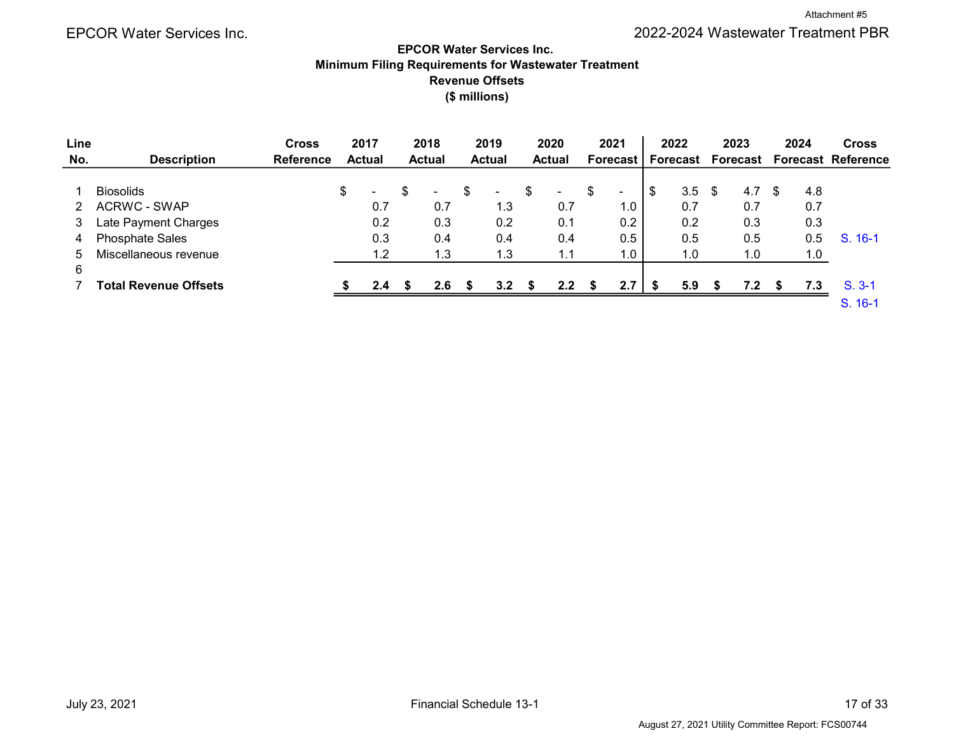# EPCOR Water Services Inc. 2022-2024 Wastewater Treatment PBR

### EPCOR Water Services Inc. Minimum Filing Requirements for Wastewater Treatment Revenue Offsets (\$ millions)

| Line |                        | <b>Cross</b>     | 2017                           |   | 2018          |   | 2019             |   | 2020          |    | 2021            |      | 2022     | 2023 |     | 2024 | <b>Cross</b>                |
|------|------------------------|------------------|--------------------------------|---|---------------|---|------------------|---|---------------|----|-----------------|------|----------|------|-----|------|-----------------------------|
| No.  | <b>Description</b>     | <b>Reference</b> | <b>Actual</b>                  |   | <b>Actual</b> |   | <b>Actual</b>    |   | <b>Actual</b> |    | <b>Forecast</b> |      | Forecast |      |     |      | Forecast Forecast Reference |
|      |                        |                  |                                |   |               |   |                  |   |               |    |                 |      |          |      |     |      |                             |
|      | <b>Biosolids</b>       |                  | \$<br>$\overline{\phantom{a}}$ | S | $\sim$        | S | $\blacksquare$   | S | ۰.            | S  | $\sim$          | \$   | $3.5$ \$ | 4.7  | \$. | 4.8  |                             |
|      | <b>ACRWC - SWAP</b>    |                  | 0.7                            |   | 0.7           |   | 1.3              |   | 0.7           |    | 1.0             |      | 0.7      | 0.7  |     | 0.7  |                             |
| 3    | Late Payment Charges   |                  | 0.2                            |   | 0.3           |   | 0.2              |   | 0.1           |    | 0.2             |      | 0.2      | 0.3  |     | 0.3  |                             |
| 4    | <b>Phosphate Sales</b> |                  | 0.3                            |   | 0.4           |   | 0.4              |   | 0.4           |    | 0.5             |      | 0.5      | 0.5  |     | 0.5  | S. 16-1                     |
| 5    | Miscellaneous revenue  |                  | 1.2                            |   | 1.3           |   | 1.3              |   | 1.1           |    | 1.0             |      | 1.0      | 1.0  |     | 1.0  |                             |
| 6    |                        |                  |                                |   |               |   |                  |   |               |    |                 |      |          |      |     |      |                             |
|      | Total Revenue Offsets  |                  | 2.4                            | S | 2.6           |   | 3.2 <sub>2</sub> |   | $2.2^{\circ}$ | £. | 2.7             | - 56 | 5.9      | 7.2  |     | 7.3  | $S.3-1$                     |
|      |                        |                  |                                |   |               |   |                  |   |               |    |                 |      |          |      |     |      | $S. 16-1$                   |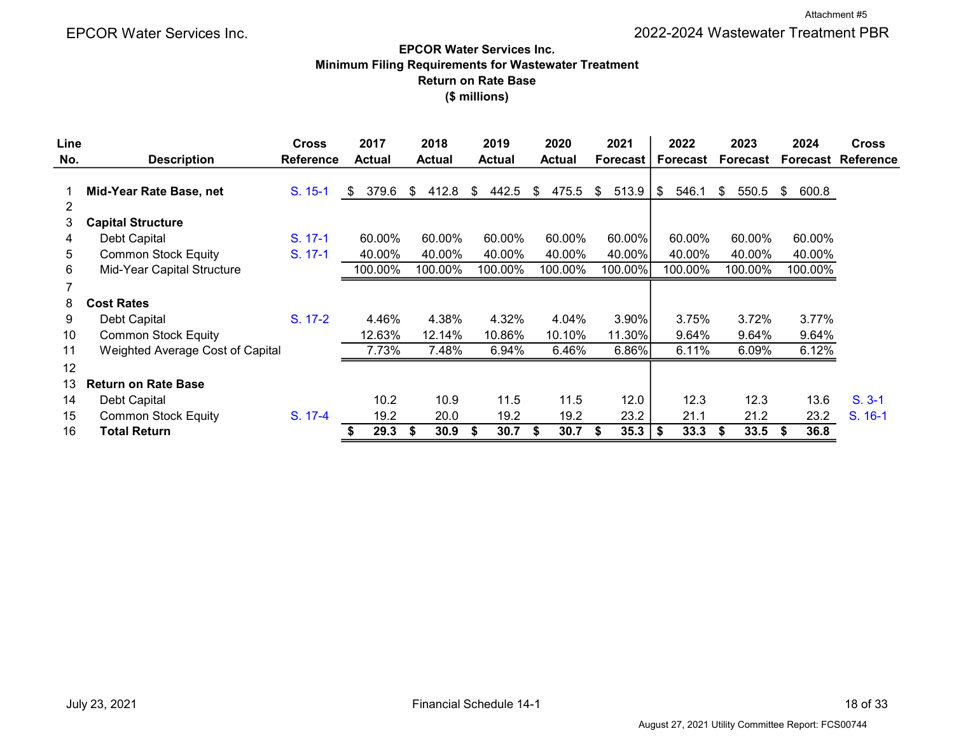### EPCOR Water Services Inc. Minimum Filing Requirements for Wastewater Treatment Return on Rate Base (\$ millions)

| Line |                                  | <b>Cross</b>     | 2017          | 2018          | 2019        | 2020          | 2021            | 2022            | 2023        | 2024        | <b>Cross</b>              |
|------|----------------------------------|------------------|---------------|---------------|-------------|---------------|-----------------|-----------------|-------------|-------------|---------------------------|
| No.  | <b>Description</b>               | <b>Reference</b> | <b>Actual</b> | <b>Actual</b> | Actual      | <b>Actual</b> | <b>Forecast</b> | <b>Forecast</b> | Forecast    |             | <b>Forecast Reference</b> |
| 2    | Mid-Year Rate Base, net          | S. 15-1          | 379.6<br>\$   | 412.8<br>\$   | 442.5<br>\$ | 475.5<br>\$   | 513.9<br>\$     | \$<br>546.1     | \$<br>550.5 | 600.8<br>\$ |                           |
| 3    | <b>Capital Structure</b>         |                  |               |               |             |               |                 |                 |             |             |                           |
| 4    | Debt Capital                     | $S. 17-1$        | 60.00%        | 60.00%        | 60.00%      | 60.00%        | 60.00%          | 60.00%          | 60.00%      | 60.00%      |                           |
| 5    | <b>Common Stock Equity</b>       | S. 17-1          | 40.00%        | 40.00%        | 40.00%      | 40.00%        | 40.00%          | 40.00%          | 40.00%      | 40.00%      |                           |
| 6    | Mid-Year Capital Structure       |                  | 100.00%       | 100.00%       | 100.00%     | 100.00%       | 100.00%         | 100.00%         | 100.00%     | 100.00%     |                           |
|      |                                  |                  |               |               |             |               |                 |                 |             |             |                           |
| 8    | <b>Cost Rates</b>                |                  |               |               |             |               |                 |                 |             |             |                           |
| 9    | Debt Capital                     | S. 17-2          | 4.46%         | 4.38%         | 4.32%       | 4.04%         | $3.90\%$        | 3.75%           | 3.72%       | 3.77%       |                           |
| 10   | <b>Common Stock Equity</b>       |                  | 12.63%        | 12.14%        | 10.86%      | 10.10%        | 11.30%          | 9.64%           | 9.64%       | 9.64%       |                           |
| 11   | Weighted Average Cost of Capital |                  | 7.73%         | 7.48%         | 6.94%       | 6.46%         | 6.86%           | 6.11%           | 6.09%       | 6.12%       |                           |
| 12   |                                  |                  |               |               |             |               |                 |                 |             |             |                           |
| 13   | <b>Return on Rate Base</b>       |                  |               |               |             |               |                 |                 |             |             |                           |
| 14   | Debt Capital                     |                  | 10.2          | 10.9          | 11.5        | 11.5          | 12.0            | 12.3            | 12.3        | 13.6        | $S. 3-1$                  |
| 15   | <b>Common Stock Equity</b>       | S. 17-4          | 19.2          | 20.0          | 19.2        | 19.2          | 23.2            | 21.1            | 21.2        | 23.2        | S. 16-1                   |
| 16   | <b>Total Return</b>              |                  | 29.3          | \$<br>30.9    | 30.7<br>S   | 30.7<br>£.    | 35.3            | \$<br>33.3      | 33.5<br>S   | 36.8<br>\$  |                           |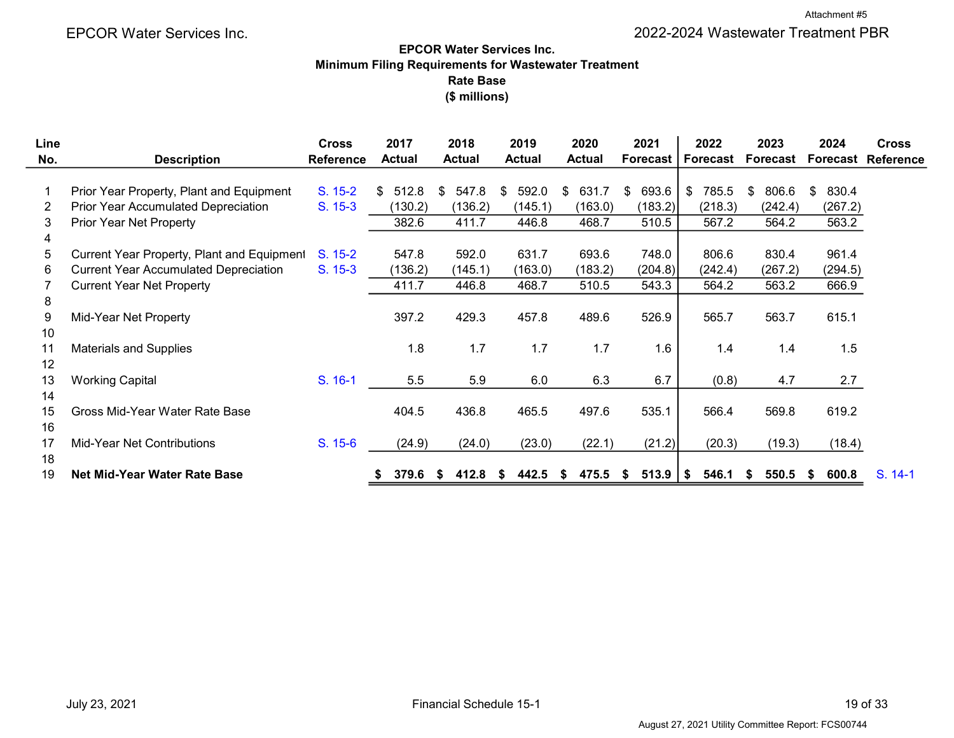# Rate Base EPCOR Water Services Inc. Minimum Filing Requirements for Wastewater Treatment (\$ millions)

| Line |                                              | <b>Cross</b>     | 2017          | 2018         | 2019          | 2020          | 2021            | 2022        | 2023         | 2024         | <b>Cross</b>     |
|------|----------------------------------------------|------------------|---------------|--------------|---------------|---------------|-----------------|-------------|--------------|--------------|------------------|
| No.  | <b>Description</b>                           | <b>Reference</b> | <b>Actual</b> | Actual       | <b>Actual</b> | <b>Actual</b> | <b>Forecast</b> | Forecast    | Forecast     | Forecast     | <b>Reference</b> |
|      |                                              |                  |               |              |               |               |                 |             |              |              |                  |
|      | Prior Year Property, Plant and Equipment     | S. 15-2          | 512.8<br>\$   | 547.8<br>\$. | 592.0<br>\$   | 631.7<br>S    | 693.6<br>S      | 785.5<br>\$ | 806.6<br>\$. | 830.4<br>\$. |                  |
| 2    | <b>Prior Year Accumulated Depreciation</b>   | S. 15-3          | (130.2)       | (136.2)      | (145.1)       | (163.0)       | (183.2)         | (218.3)     | (242.4)      | (267.2)      |                  |
| 3    | Prior Year Net Property                      |                  | 382.6         | 411.7        | 446.8         | 468.7         | 510.5           | 567.2       | 564.2        | 563.2        |                  |
| 4    |                                              |                  |               |              |               |               |                 |             |              |              |                  |
| 5.   | Current Year Property, Plant and Equipment   | S. 15-2          | 547.8         | 592.0        | 631.7         | 693.6         | 748.0           | 806.6       | 830.4        | 961.4        |                  |
| 6    | <b>Current Year Accumulated Depreciation</b> | S. 15-3          | (136.2)       | (145.1)      | (163.0)       | (183.2)       | (204.8)         | (242.4)     | (267.2)      | (294.5)      |                  |
|      | <b>Current Year Net Property</b>             |                  | 411.7         | 446.8        | 468.7         | 510.5         | 543.3           | 564.2       | 563.2        | 666.9        |                  |
| 8    |                                              |                  |               |              |               |               |                 |             |              |              |                  |
| 9    | Mid-Year Net Property                        |                  | 397.2         | 429.3        | 457.8         | 489.6         | 526.9           | 565.7       | 563.7        | 615.1        |                  |
| 10   |                                              |                  |               |              |               |               |                 |             |              |              |                  |
| 11   | <b>Materials and Supplies</b>                |                  | 1.8           | 1.7          | 1.7           | 1.7           | 1.6             | 1.4         | 1.4          | 1.5          |                  |
| 12   |                                              |                  |               |              |               |               |                 |             |              |              |                  |
| 13   | <b>Working Capital</b>                       | S. 16-1          | 5.5           | 5.9          | 6.0           | 6.3           | 6.7             | (0.8)       | 4.7          | 2.7          |                  |
| 14   |                                              |                  |               |              |               |               |                 |             |              |              |                  |
| 15   | Gross Mid-Year Water Rate Base               |                  | 404.5         | 436.8        | 465.5         | 497.6         | 535.1           | 566.4       | 569.8        | 619.2        |                  |
| 16   |                                              |                  |               |              |               |               |                 |             |              |              |                  |
| 17   | Mid-Year Net Contributions                   | S. 15-6          | (24.9)        | (24.0)       | (23.0)        | (22.1)        | (21.2)          | (20.3)      | (19.3)       | (18.4)       |                  |
| 18   |                                              |                  |               |              |               |               |                 |             |              |              |                  |
| 19   | <b>Net Mid-Year Water Rate Base</b>          |                  | 379.6         | 412.8<br>æ.  | 442.5<br>S    | 475.5<br>S    | 513.9<br>S.     | 546.1<br>\$ | 550.5<br>-56 | 600.8<br>S.  | S. 14-1          |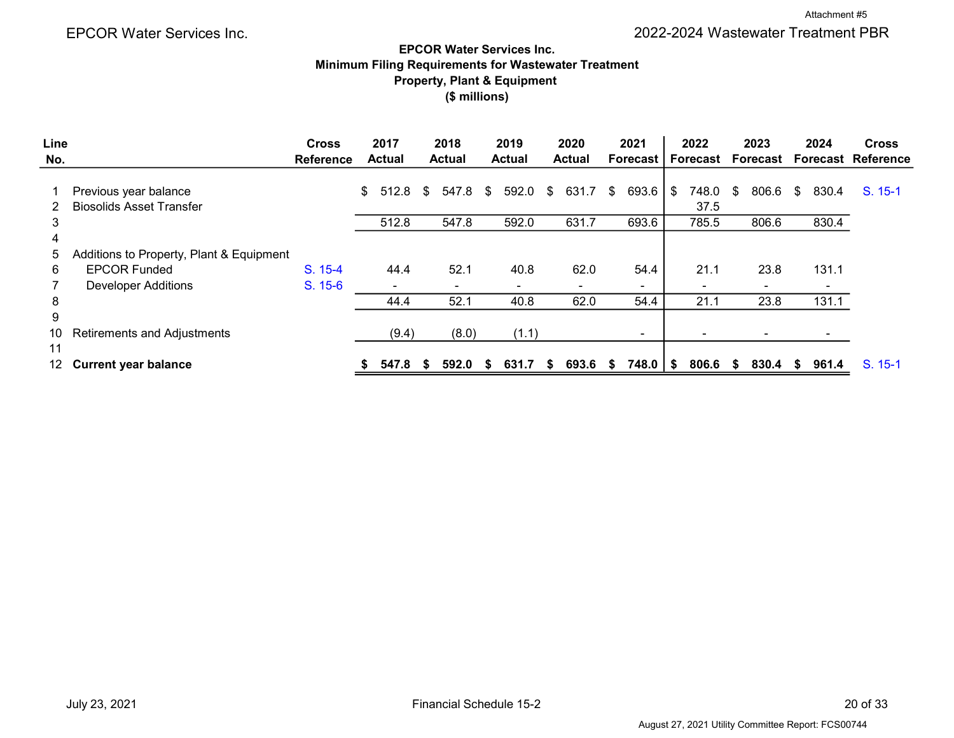# Property, Plant & Equipment Minimum Filing Requirements for Wastewater Treatment EPCOR Water Services Inc. (\$ millions)

| Line   |                                                          | <b>Cross</b>     | 2017          |     | 2018          |    | 2019          |      | 2020          |    | 2021            |      | 2022          |      | 2023     |    | 2024  | <b>Cross</b>              |
|--------|----------------------------------------------------------|------------------|---------------|-----|---------------|----|---------------|------|---------------|----|-----------------|------|---------------|------|----------|----|-------|---------------------------|
| No.    |                                                          | <b>Reference</b> | <b>Actual</b> |     | <b>Actual</b> |    | <b>Actual</b> |      | <b>Actual</b> |    | <b>Forecast</b> |      | Forecast      |      | Forecast |    |       | <b>Forecast Reference</b> |
| 2      | Previous year balance<br><b>Biosolids Asset Transfer</b> |                  | \$<br>512.8   | \$. | 547.8         | S. | 592.0         | S    | 631.7         | S. | 693.6           | - \$ | 748.0<br>37.5 | S    | 806.6    | S. | 830.4 | S. 15-1                   |
| 3<br>4 |                                                          |                  | 512.8         |     | 547.8         |    | 592.0         |      | 631.7         |    | 693.6           |      | 785.5         |      | 806.6    |    | 830.4 |                           |
| 5      | Additions to Property, Plant & Equipment                 |                  |               |     |               |    |               |      |               |    |                 |      |               |      |          |    |       |                           |
| 6.     | <b>EPCOR Funded</b>                                      | $S. 15-4$        | 44.4          |     | 52.1          |    | 40.8          |      | 62.0          |    | 54.4            |      | 21.1          |      | 23.8     |    | 131.1 |                           |
|        | <b>Developer Additions</b>                               | S. 15-6          |               |     |               |    |               |      |               |    |                 |      |               |      |          |    |       |                           |
| 8      |                                                          |                  | 44.4          |     | 52.1          |    | 40.8          |      | 62.0          |    | 54.4            |      | 21.1          |      | 23.8     |    | 131.1 |                           |
| 9      |                                                          |                  |               |     |               |    |               |      |               |    |                 |      |               |      |          |    |       |                           |
| 10     | <b>Retirements and Adjustments</b>                       |                  | (9.4)         |     | (8.0)         |    | (1.1)         |      |               |    | $\blacksquare$  |      |               |      |          |    |       |                           |
| 11     |                                                          |                  |               |     |               |    |               |      |               |    |                 |      |               |      |          |    |       |                           |
| 12     | <b>Current year balance</b>                              |                  | 547.8         |     | 592.0         | S. | 631.7         | - \$ | 693.6         | ъ. | 748.0   \$      |      | 806.6         | - \$ | 830.4 \$ |    | 961.4 | $S. 15-1$                 |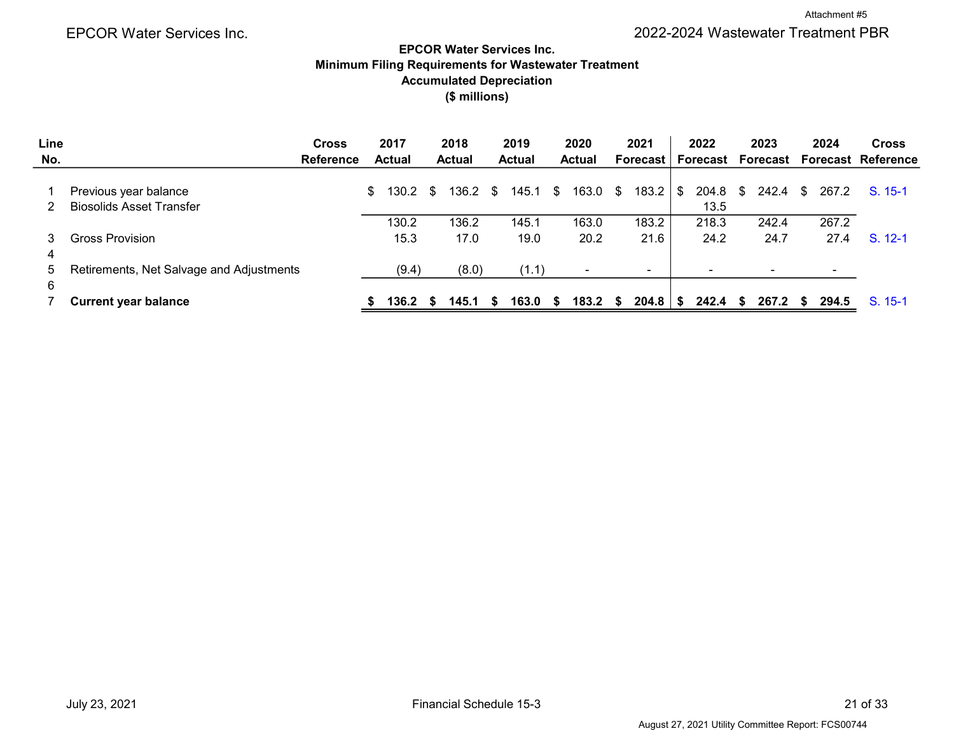# Accumulated Depreciation Minimum Filing Requirements for Wastewater Treatment EPCOR Water Services Inc. (\$ millions)

| Line | <b>Cross</b>                                             | 2017          |     | 2018             | 2019          |          | 2020          |    | 2021            |      | 2022           |     | 2023     |    | 2024  | <b>Cross</b>              |
|------|----------------------------------------------------------|---------------|-----|------------------|---------------|----------|---------------|----|-----------------|------|----------------|-----|----------|----|-------|---------------------------|
| No.  | <b>Reference</b>                                         | <b>Actual</b> |     | <b>Actual</b>    | <b>Actual</b> |          | <b>Actual</b> |    | <b>Forecast</b> |      | Forecast       |     | Forecast |    |       | <b>Forecast Reference</b> |
|      | Previous year balance<br><b>Biosolids Asset Transfer</b> | \$<br>130.2   | - S | $136.2 \quad$ \$ | 145.1         | <b>S</b> | 163.0         | S  | 183.2           | - \$ | 204.8<br>13.5  | S.  | 242.4 \$ |    | 267.2 | $S. 15-1$                 |
|      |                                                          | 130.2         |     | 136.2            | 145.1         |          | 163.0         |    | 183.2           |      | 218.3          |     | 242.4    |    | 267.2 |                           |
| 3    | Gross Provision                                          | 15.3          |     | 17.0             | 19.0          |          | 20.2          |    | 21.6            |      | 24.2           |     | 24.7     |    | 27.4  | $S. 12-1$                 |
| 4    |                                                          |               |     |                  |               |          |               |    |                 |      |                |     |          |    |       |                           |
| 5    | Retirements, Net Salvage and Adjustments                 | (9.4)         |     | (8.0)            | (1.1)         |          |               |    | $\sim$          |      | $\blacksquare$ |     |          |    |       |                           |
| 6    |                                                          |               |     |                  |               |          |               |    |                 |      |                |     |          |    |       |                           |
|      | <b>Current year balance</b>                              | 136.2 S       |     | 145.1 S          | 163.0         | S.       | 183.2         | S. | 204.8           |      | 242.4          | - S | 267.2    | S. | 294.5 | S. 15-1                   |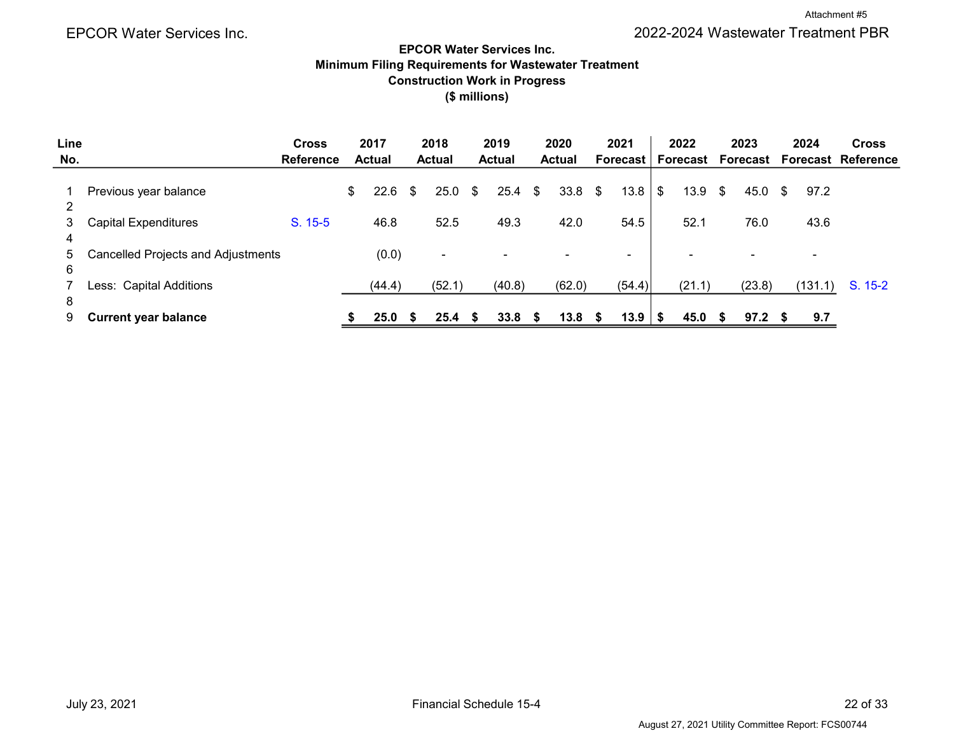#### EPCOR Water Services Inc. Minimum Filing Requirements for Wastewater Treatment Construction Work in Progress (\$ millions)

| Line   |                                    | <b>Cross</b>     | 2017              | 2018          |     | 2019          |      | 2020           |    | 2021           | 2022                     |    | 2023     | 2024                     | <b>Cross</b>              |
|--------|------------------------------------|------------------|-------------------|---------------|-----|---------------|------|----------------|----|----------------|--------------------------|----|----------|--------------------------|---------------------------|
| No.    |                                    | <b>Reference</b> | <b>Actual</b>     | <b>Actual</b> |     | <b>Actual</b> |      | <b>Actual</b>  |    | Forecast       | Forecast                 |    | Forecast |                          | <b>Forecast Reference</b> |
| 2      | Previous year balance              |                  | \$<br>$22.6$ \$   | 25.0          | -\$ | $25.4$ \$     |      | 33.8           | \$ | $13.8$   \$    | 13.9                     | \$ | 45.0     | 97.2<br>- \$             |                           |
| 3<br>4 | <b>Capital Expenditures</b>        | $S. 15-5$        | 46.8              | 52.5          |     | 49.3          |      | 42.0           |    | 54.5           | 52.1                     |    | 76.0     | 43.6                     |                           |
| 5<br>6 | Cancelled Projects and Adjustments |                  | (0.0)             | ٠             |     |               |      | $\blacksquare$ |    | $\blacksquare$ | $\overline{\phantom{0}}$ |    |          | $\overline{\phantom{0}}$ |                           |
| 8      | Less: Capital Additions            |                  | (44.4)            | (52.1)        |     | (40.8)        |      | (62.0)         |    | (54.4)         | (21.1)                   |    | (23.8)   | (131.1)                  | $S. 15-2$                 |
| 9      | <b>Current year balance</b>        |                  | 25.0 <sup>5</sup> | 25.4          | -S  | 33.8          | - \$ | 13.8           | S  |                | 45.0                     | S. | 97.2     | 9.7                      |                           |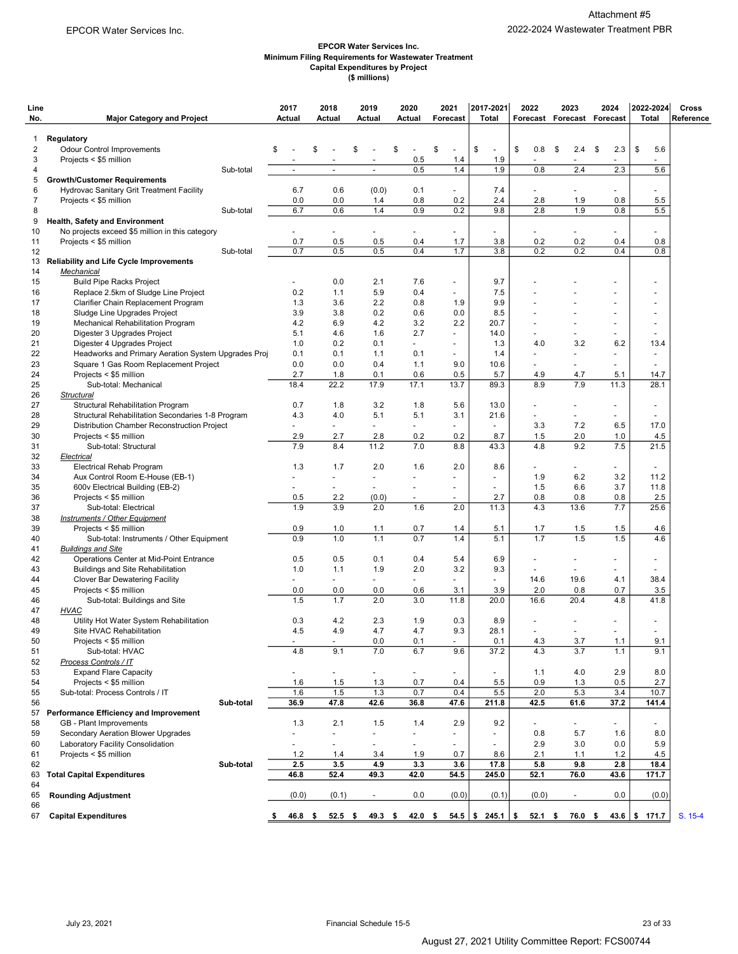#### EPCOR Water Services Inc. Minimum Filing Requirements for Wastewater Treatment Capital Expenditures by Project (\$ millions)

| Line<br>No.         | <b>Major Category and Project</b>                                   | 2017<br>Actual       | 2018<br>Actual           | 2019<br>Actual           | 2020<br>Actual           | 2021<br>Forecast                          | 2017-2021<br><b>Total</b>                | 2022           | 2023<br>Forecast Forecast Forecast | 2024                     | 2022-2024<br><b>Total</b>                  | Cross<br>Reference |
|---------------------|---------------------------------------------------------------------|----------------------|--------------------------|--------------------------|--------------------------|-------------------------------------------|------------------------------------------|----------------|------------------------------------|--------------------------|--------------------------------------------|--------------------|
|                     |                                                                     |                      |                          |                          |                          |                                           |                                          |                |                                    |                          |                                            |                    |
| 1                   | Regulatory                                                          | \$                   | \$                       |                          |                          |                                           |                                          | \$             |                                    |                          |                                            |                    |
| $\overline{2}$<br>3 | <b>Odour Control Improvements</b><br>Projects < \$5 million         |                      |                          | \$                       | \$<br>0.5                | \$<br>$\qquad \qquad \blacksquare$<br>1.4 | \$<br>$\overline{\phantom{a}}$<br>1.9    | 0.8            | \$<br>2.4<br>$\blacksquare$        | 2.3<br>\$                | \$<br>5.6                                  |                    |
| 4                   | Sub-total                                                           | $\blacksquare$       | $\blacksquare$           | $\blacksquare$           | 0.5                      | 1.4                                       | 1.9                                      | 0.8            | 2.4                                | 2.3                      | 5.6                                        |                    |
| 5                   | <b>Growth/Customer Requirements</b>                                 |                      |                          |                          |                          |                                           |                                          |                |                                    |                          |                                            |                    |
| 6                   | Hydrovac Sanitary Grit Treatment Facility                           | 6.7                  | 0.6                      | (0.0)                    | 0.1                      | $\blacksquare$                            | 7.4                                      |                | ۰                                  | $\blacksquare$           | $\blacksquare$                             |                    |
| 7                   | Projects < \$5 million                                              | 0.0                  | 0.0                      | 1.4                      | 0.8                      | 0.2                                       | 2.4                                      | 2.8            | 1.9                                | 0.8                      | 5.5                                        |                    |
| 8                   | Sub-total                                                           | 6.7                  | 0.6                      | 1.4                      | 0.9                      | 0.2                                       | 9.8                                      | 2.8            | 1.9                                | 0.8                      | 5.5                                        |                    |
| 9                   | <b>Health, Safety and Environment</b>                               |                      |                          |                          |                          |                                           |                                          |                |                                    |                          |                                            |                    |
| 10                  | No projects exceed \$5 million in this category                     |                      |                          | $\overline{\phantom{0}}$ |                          |                                           | $\blacksquare$                           |                | ٠                                  |                          |                                            |                    |
| 11<br>12            | Projects < \$5 million<br>Sub-total                                 | 0.7<br>0.7           | 0.5<br>0.5               | 0.5<br>0.5               | 0.4<br>0.4               | 1.7<br>1.7                                | 3.8<br>3.8                               | 0.2<br>0.2     | 0.2<br>0.2                         | 0.4<br>0.4               | 0.8<br>0.8                                 |                    |
| 13                  | <b>Reliability and Life Cycle Improvements</b>                      |                      |                          |                          |                          |                                           |                                          |                |                                    |                          |                                            |                    |
| 14                  | Mechanical                                                          |                      |                          |                          |                          |                                           |                                          |                |                                    |                          |                                            |                    |
| 15                  | <b>Build Pipe Racks Project</b>                                     |                      | 0.0                      | 2.1                      | 7.6                      | $\overline{\phantom{a}}$                  | 9.7                                      |                |                                    |                          |                                            |                    |
| 16                  | Replace 2.5km of Sludge Line Project                                | 0.2                  | 1.1                      | 5.9                      | 0.4                      | $\overline{\phantom{a}}$                  | 7.5                                      |                |                                    |                          | $\overline{\phantom{a}}$                   |                    |
| 17                  | Clarifier Chain Replacement Program                                 | 1.3                  | 3.6                      | 2.2                      | 0.8                      | 1.9                                       | 9.9                                      |                |                                    |                          |                                            |                    |
| 18                  | Sludge Line Upgrades Project                                        | 3.9                  | 3.8                      | 0.2                      | 0.6                      | 0.0                                       | 8.5                                      |                |                                    |                          |                                            |                    |
| 19                  | Mechanical Rehabilitation Program                                   | 4.2                  | 6.9                      | 4.2                      | 3.2                      | 2.2                                       | 20.7                                     |                |                                    |                          |                                            |                    |
| 20                  | Digester 3 Upgrades Project                                         | 5.1                  | 4.6                      | 1.6                      | 2.7                      | $\blacksquare$                            | 14.0                                     |                |                                    |                          | ÷                                          |                    |
| 21                  | Digester 4 Upgrades Project                                         | 1.0                  | 0.2                      | 0.1                      |                          | ÷,                                        | 1.3                                      | 4.0            | 3.2                                | 6.2                      | 13.4                                       |                    |
| 22<br>23            | Headworks and Primary Aeration System Upgrades Proj                 | 0.1<br>0.0           | 0.1<br>0.0               | 1.1<br>0.4               | 0.1<br>1.1               | $\qquad \qquad \blacksquare$<br>9.0       | 1.4<br>10.6                              |                | $\overline{a}$<br>٠                |                          | $\overline{\phantom{a}}$<br>$\blacksquare$ |                    |
| 24                  | Square 1 Gas Room Replacement Project<br>Projects < \$5 million     | 2.7                  | 1.8                      | 0.1                      | 0.6                      | 0.5                                       | 5.7                                      | 4.9            | 4.7                                | 5.1                      | 14.7                                       |                    |
| 25                  | Sub-total: Mechanical                                               | 18.4                 | 22.2                     | 17.9                     | 17.1                     | 13.7                                      | 89.3                                     | 8.9            | 7.9                                | 11.3                     | 28.1                                       |                    |
| 26                  | <b>Structural</b>                                                   |                      |                          |                          |                          |                                           |                                          |                |                                    |                          |                                            |                    |
| 27                  | Structural Rehabilitation Program                                   | 0.7                  | 1.8                      | 3.2                      | 1.8                      | 5.6                                       | 13.0                                     |                |                                    |                          |                                            |                    |
| 28                  | Structural Rehabilitation Secondaries 1-8 Program                   | 4.3                  | 4.0                      | 5.1                      | 5.1                      | 3.1                                       | 21.6                                     | $\blacksquare$ | $\blacksquare$                     | $\sim$                   | $\overline{\phantom{a}}$                   |                    |
| 29                  | Distribution Chamber Reconstruction Project                         | ٠                    | $\overline{\phantom{a}}$ | ٠                        |                          | $\overline{\phantom{0}}$                  | $\overline{\phantom{a}}$                 | 3.3            | 7.2                                | 6.5                      | 17.0                                       |                    |
| 30                  | Projects < \$5 million                                              | 2.9                  | 2.7                      | 2.8                      | 0.2                      | 0.2                                       | 8.7                                      | 1.5            | 2.0                                | 1.0                      | 4.5                                        |                    |
| 31                  | Sub-total: Structural                                               | 7.9                  | 8.4                      | 11.2                     | 7.0                      | 8.8                                       | 43.3                                     | 4.8            | 9.2                                | 7.5                      | 21.5                                       |                    |
| 32                  | Electrical                                                          |                      |                          |                          |                          |                                           |                                          |                |                                    |                          |                                            |                    |
| 33                  | Electrical Rehab Program                                            | 1.3                  | 1.7                      | 2.0                      | 1.6                      | 2.0                                       | 8.6                                      |                | ٠                                  |                          |                                            |                    |
| 34                  | Aux Control Room E-House (EB-1)                                     | ٠                    | ٠                        | $\overline{a}$           |                          | $\overline{\phantom{a}}$                  | $\blacksquare$                           | 1.9            | 6.2                                | 3.2                      | 11.2                                       |                    |
| 35                  | 600v Electrical Building (EB-2)                                     | $\blacksquare$       | $\overline{\phantom{a}}$ | ٠                        | $\overline{\phantom{a}}$ | $\blacksquare$                            | $\overline{\phantom{a}}$                 | 1.5            | 6.6                                | 3.7                      | 11.8                                       |                    |
| 36                  | Projects < \$5 million                                              | 0.5<br>1.9           | 2.2<br>3.9               | (0.0)<br>2.0             | $\blacksquare$<br>1.6    | ٠<br>2.0                                  | 2.7<br>11.3                              | 0.8<br>4.3     | 0.8<br>13.6                        | 0.8<br>7.7               | 2.5<br>25.6                                |                    |
| 37<br>38            | Sub-total: Electrical<br><b>Instruments / Other Equipment</b>       |                      |                          |                          |                          |                                           |                                          |                |                                    |                          |                                            |                    |
| 39                  | Projects < \$5 million                                              | 0.9                  | 1.0                      | 1.1                      | 0.7                      | 1.4                                       | 5.1                                      | 1.7            | 1.5                                | 1.5                      | 4.6                                        |                    |
| 40                  | Sub-total: Instruments / Other Equipment                            | 0.9                  | 1.0                      | 1.1                      | 0.7                      | 1.4                                       | 5.1                                      | 1.7            | 1.5                                | 1.5                      | 4.6                                        |                    |
| 41                  | <b>Buildings and Site</b>                                           |                      |                          |                          |                          |                                           |                                          |                |                                    |                          |                                            |                    |
| 42                  | Operations Center at Mid-Point Entrance                             | 0.5                  | 0.5                      | 0.1                      | 0.4                      | 5.4                                       | 6.9                                      | $\blacksquare$ | ٠                                  | $\overline{\phantom{a}}$ | $\blacksquare$                             |                    |
| 43                  | <b>Buildings and Site Rehabilitation</b>                            | 1.0                  | 1.1                      | 1.9                      | 2.0                      | 3.2                                       | 9.3                                      |                |                                    |                          |                                            |                    |
| 44                  | Clover Bar Dewatering Facility                                      | $\blacksquare$       | $\overline{\phantom{a}}$ | $\overline{\phantom{0}}$ |                          | $\overline{\phantom{a}}$                  | ÷,                                       | 14.6           | 19.6                               | 4.1                      | 38.4                                       |                    |
| 45                  | Projects < \$5 million                                              | 0.0                  | 0.0                      | 0.0                      | 0.6                      | 3.1                                       | 3.9                                      | 2.0            | 0.8                                | 0.7                      | 3.5                                        |                    |
| 46                  | Sub-total: Buildings and Site                                       | 1.5                  | 1.7                      | 2.0                      | 3.0                      | 11.8                                      | 20.0                                     | 16.6           | 20.4                               | 4.8                      | 41.8                                       |                    |
| 47                  | <b>HVAC</b>                                                         |                      |                          |                          |                          |                                           |                                          |                |                                    |                          |                                            |                    |
| 48<br>49            | Utility Hot Water System Rehabilitation<br>Site HVAC Rehabilitation | 0.3<br>4.5           | 4.2<br>4.9               | 2.3<br>4.7               | 1.9<br>4.7               | 0.3<br>9.3                                | 8.9<br>28.1                              | $\blacksquare$ | $\overline{\phantom{a}}$           | $\blacksquare$           |                                            |                    |
| 50                  | Projects < \$5 million                                              |                      |                          | $0.0\,$                  | 0.1                      |                                           | 0.1                                      | 4.3            | 3.7                                | 1.1                      | 9.1                                        |                    |
| 51                  | Sub-total: HVAC                                                     | 4.8                  | 9.1                      | 7.0                      | 6.7                      | 9.6                                       | 37.2                                     | 4.3            | 3.7                                | 1.1                      | 9.1                                        |                    |
| 52                  | Process Controls / IT                                               |                      |                          |                          |                          |                                           |                                          |                |                                    |                          |                                            |                    |
| 53                  | <b>Expand Flare Capacity</b>                                        | $\sim$               |                          | $\blacksquare$           | $\blacksquare$           |                                           |                                          | 1.1            | 4.0                                | 2.9                      | 8.0                                        |                    |
| 54                  | Projects < \$5 million                                              | 1.6                  | 1.5                      | 1.3                      | 0.7                      | 0.4                                       | 5.5                                      | 0.9            | 1.3                                | 0.5                      | 2.7                                        |                    |
| 55                  | Sub-total: Process Controls / IT                                    | 1.6                  | 1.5                      | 1.3                      | 0.7                      | 0.4                                       | 5.5                                      | 2.0            | 5.3                                | 3.4                      | 10.7                                       |                    |
| 56                  | Sub-total                                                           | 36.9                 | 47.8                     | 42.6                     | 36.8                     | 47.6                                      | 211.8                                    | 42.5           | 61.6                               | 37.2                     | 141.4                                      |                    |
|                     | 57 Performance Efficiency and Improvement                           |                      |                          |                          |                          |                                           |                                          |                |                                    |                          |                                            |                    |
| 58                  | GB - Plant Improvements                                             | 1.3                  | 2.1                      | 1.5                      | 1.4                      | 2.9                                       | 9.2                                      |                | $\blacksquare$                     | $\sim$                   |                                            |                    |
| 59                  | Secondary Aeration Blower Upgrades                                  | $\blacksquare$       | $\overline{a}$           | $\overline{a}$           | $\blacksquare$           | $\overline{\phantom{0}}$                  | $\overline{\phantom{a}}$                 | 0.8            | 5.7                                | 1.6                      | 8.0                                        |                    |
| 60                  | Laboratory Facility Consolidation                                   |                      |                          | $\overline{\phantom{0}}$ | $\overline{\phantom{a}}$ | $\overline{\phantom{a}}$                  | 8.6                                      | 2.9            | 3.0                                | 0.0                      | 5.9                                        |                    |
| 61<br>62            | Projects < \$5 million<br>Sub-total                                 | $1.2$<br>2.5         | 1.4<br>3.5               | 3.4<br>4.9               | 1.9<br>3.3               | 0.7<br>3.6                                | 17.8                                     | 2.1<br>5.8     | 1.1<br>9.8                         | 1.2<br>2.8               | 4.5<br>18.4                                |                    |
| 63                  | <b>Total Capital Expenditures</b>                                   | 46.8                 | 52.4                     | 49.3                     | 42.0                     | 54.5                                      | 245.0                                    | 52.1           | 76.0                               | 43.6                     | 171.7                                      |                    |
| 64                  |                                                                     |                      |                          |                          |                          |                                           |                                          |                |                                    |                          |                                            |                    |
| 65                  | <b>Rounding Adjustment</b>                                          | (0.0)                | (0.1)                    | $\blacksquare$           | 0.0                      | (0.0)                                     | (0.1)                                    | (0.0)          | $\blacksquare$                     | 0.0                      | (0.0)                                      |                    |
| 66                  |                                                                     |                      |                          |                          |                          |                                           |                                          |                |                                    |                          |                                            |                    |
| 67                  | <b>Capital Expenditures</b>                                         | $46.8\quad$ \$<br>\$ | $52.5$ \$                | $49.3$ \$                | 42.0%                    |                                           | $54.5$ $\frac{1}{9}$ 245.1 $\frac{1}{9}$ | $52.1\quad$ \$ | 76.0 \$                            |                          | 43.6 $\frac{1}{2}$ 171.7                   | S. 15-4            |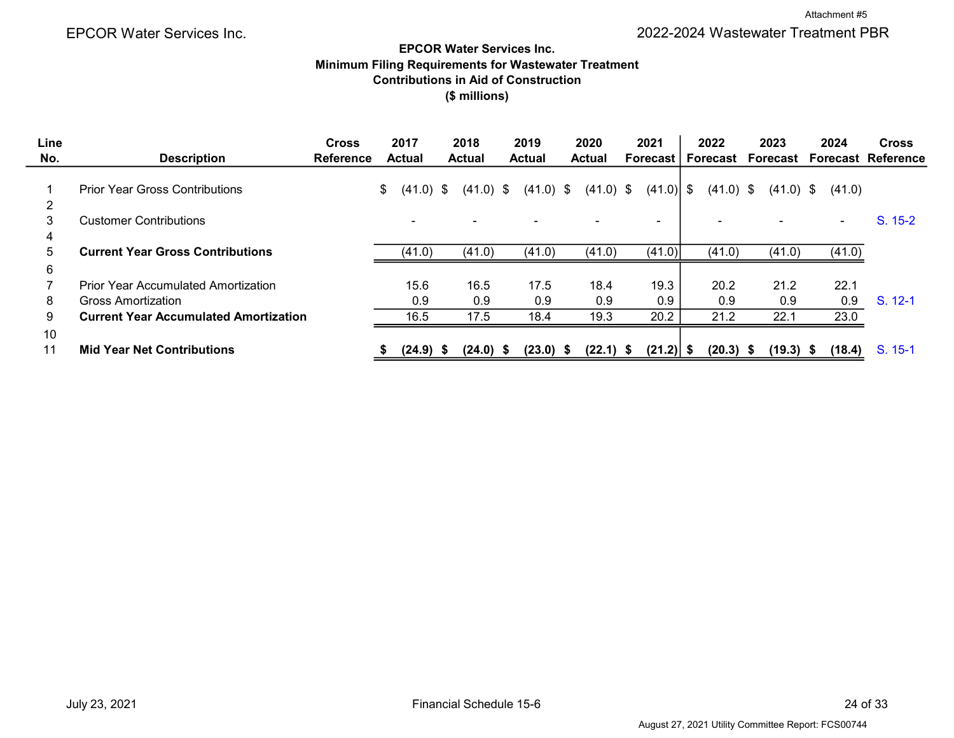Attachment #5

# EPCOR Water Services Inc. Minimum Filing Requirements for Wastewater Treatment Contributions in Aid of Construction (\$ millions)

| Line |                                              | <b>Cross</b>     | 2017              | 2018          | 2019          | 2020          | 2021           | 2022                     | 2023        | 2024                     | <b>Cross</b>                |
|------|----------------------------------------------|------------------|-------------------|---------------|---------------|---------------|----------------|--------------------------|-------------|--------------------------|-----------------------------|
| No.  | <b>Description</b>                           | <b>Reference</b> | Actual            | <b>Actual</b> | <b>Actual</b> | <b>Actual</b> | Forecast       | Forecast                 |             |                          | Forecast Forecast Reference |
|      |                                              |                  |                   |               |               |               |                |                          |             |                          |                             |
|      | <b>Prior Year Gross Contributions</b>        |                  | \$<br>$(41.0)$ \$ | $(41.0)$ \$   | $(41.0)$ \$   | $(41.0)$ \$   |                | $(41.0)$ \$              | $(41.0)$ \$ | (41.0)                   |                             |
| 2    |                                              |                  |                   |               |               |               |                |                          |             |                          |                             |
| 3    | <b>Customer Contributions</b>                |                  |                   |               |               |               | $\blacksquare$ | $\overline{\phantom{0}}$ |             | $\overline{\phantom{0}}$ | $S. 15-2$                   |
| 4    |                                              |                  |                   |               |               |               |                |                          |             |                          |                             |
| 5    | <b>Current Year Gross Contributions</b>      |                  | (41.0)            | (41.0)        | (41.0)        | (41.0)        | (41.0)         | (41.0)                   | (41.0)      | (41.0)                   |                             |
| 6    |                                              |                  |                   |               |               |               |                |                          |             |                          |                             |
|      | <b>Prior Year Accumulated Amortization</b>   |                  | 15.6              | 16.5          | 17.5          | 18.4          | 19.3           | 20.2                     | 21.2        | 22.1                     |                             |
| 8    | <b>Gross Amortization</b>                    |                  | 0.9               | 0.9           | 0.9           | 0.9           | 0.9            | 0.9                      | 0.9         | 0.9                      | $S. 12-1$                   |
| 9    | <b>Current Year Accumulated Amortization</b> |                  | 16.5              | 17.5          | 18.4          | 19.3          | 20.2           | 21.2                     | 22.1        | 23.0                     |                             |
| 10   |                                              |                  |                   |               |               |               |                |                          |             |                          |                             |
| 11   | <b>Mid Year Net Contributions</b>            |                  | $(24.9)$ \$       | $(24.0)$ \$   | $(23.0)$ \$   | $(22.1)$ \$   | $(21.2)$ \$    | $(20.3)$ \$              | $(19.3)$ \$ | (18.4)                   | $S. 15-1$                   |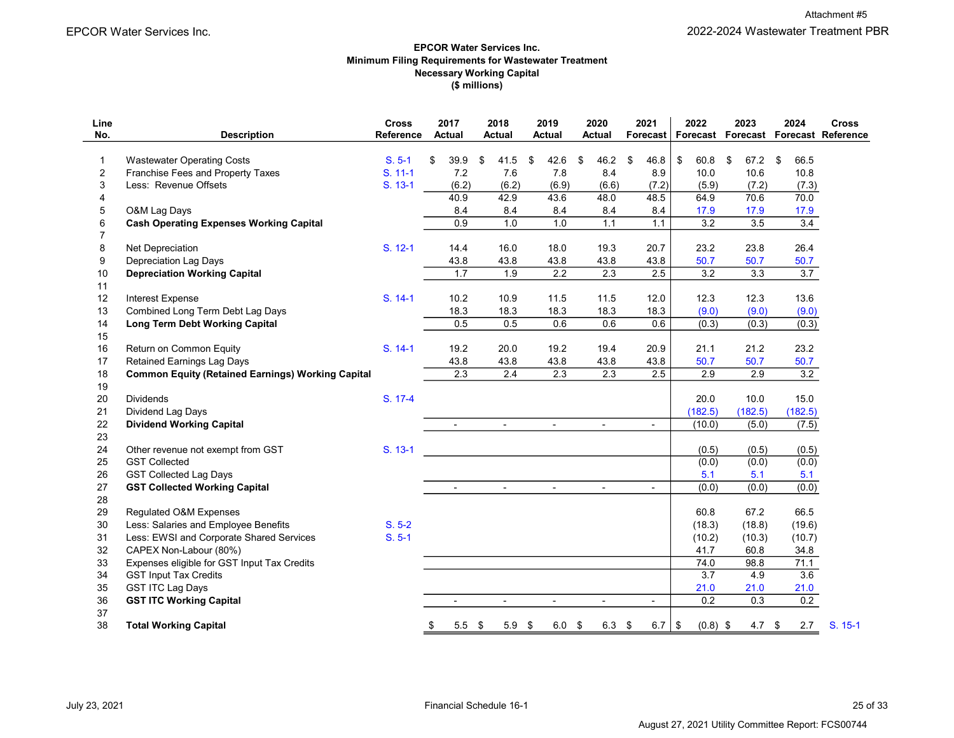#### (\$ millions) EPCOR Water Services Inc. Minimum Filing Requirements for Wastewater Treatment Necessary Working Capital

| Line<br>No.    | <b>Description</b>                                        | <b>Cross</b><br>Reference | 2017<br><b>Actual</b> |                          | 2018<br><b>Actual</b>    | 2019<br><b>Actual</b> |                          | 2020<br><b>Actual</b>    | 2021<br>Forecast |                | 2022<br>Forecast |            | 2023             | 2024       | <b>Cross</b><br>Forecast Forecast Reference |  |
|----------------|-----------------------------------------------------------|---------------------------|-----------------------|--------------------------|--------------------------|-----------------------|--------------------------|--------------------------|------------------|----------------|------------------|------------|------------------|------------|---------------------------------------------|--|
|                |                                                           |                           |                       |                          |                          |                       |                          |                          |                  |                |                  |            |                  |            |                                             |  |
| $\mathbf{1}$   | <b>Wastewater Operating Costs</b>                         | $S. 5-1$                  | \$                    | 39.9                     | \$<br>41.5               | \$                    | 42.6                     | \$<br>46.2               | \$               | 46.8           | \$<br>60.8       | \$         | 67.2             | \$<br>66.5 |                                             |  |
| $\overline{c}$ | Franchise Fees and Property Taxes                         | $S. 11-1$                 |                       | 7.2                      | 7.6                      |                       | 7.8                      | 8.4                      |                  | 8.9            | 10.0             |            | 10.6             | 10.8       |                                             |  |
| 3              | Less: Revenue Offsets                                     | S. 13-1                   |                       | (6.2)                    | (6.2)                    |                       | (6.9)                    | (6.6)                    |                  | (7.2)          | (5.9)            |            | (7.2)            | (7.3)      |                                             |  |
| 4              |                                                           |                           |                       | 40.9                     | 42.9                     |                       | 43.6                     | 48.0                     |                  | 48.5           | 64.9             |            | 70.6             | 70.0       |                                             |  |
| 5              | O&M Lag Days                                              |                           |                       | 8.4                      | 8.4                      |                       | 8.4                      | 8.4                      |                  | 8.4            | 17.9             |            | 17.9             | 17.9       |                                             |  |
| 6              | <b>Cash Operating Expenses Working Capital</b>            |                           |                       | 0.9                      | 1.0                      |                       | 1.0                      | 1.1                      |                  | 1.1            | 3.2              |            | 3.5              |            | $\overline{3.4}$                            |  |
| $\overline{7}$ |                                                           |                           |                       |                          |                          |                       |                          |                          |                  |                |                  |            |                  |            |                                             |  |
| 8              | Net Depreciation                                          | S. 12-1                   |                       | 14.4                     | 16.0                     |                       | 18.0                     | 19.3                     |                  | 20.7           | 23.2             |            | 23.8             | 26.4       |                                             |  |
| 9              | <b>Depreciation Lag Days</b>                              |                           |                       | 43.8                     | 43.8                     |                       | 43.8                     | 43.8                     |                  | 43.8           | 50.7             |            | 50.7             | 50.7       |                                             |  |
| 10             | <b>Depreciation Working Capital</b>                       |                           |                       | 1.7                      | 1.9                      |                       | $\overline{2.2}$         | $\overline{2.3}$         |                  | 2.5            | 3.2              |            | $\overline{3.3}$ |            | 3.7                                         |  |
| 11             |                                                           |                           |                       |                          |                          |                       |                          |                          |                  |                |                  |            |                  |            |                                             |  |
| 12             | <b>Interest Expense</b>                                   | $S. 14-1$                 |                       | 10.2                     | 10.9                     |                       | 11.5                     | 11.5                     |                  | 12.0           | 12.3             |            | 12.3             | 13.6       |                                             |  |
| 13             | Combined Long Term Debt Lag Days                          |                           |                       | 18.3                     | 18.3                     |                       | 18.3                     | 18.3                     |                  | 18.3           | (9.0)            |            | (9.0)            | (9.0)      |                                             |  |
| 14             | <b>Long Term Debt Working Capital</b>                     |                           |                       | 0.5                      | 0.5                      |                       | 0.6                      | 0.6                      |                  | 0.6            | (0.3)            |            | (0.3)            |            | (0.3)                                       |  |
| 15             |                                                           |                           |                       |                          |                          |                       |                          |                          |                  |                |                  |            |                  |            |                                             |  |
| 16             | Return on Common Equity                                   | S. 14-1                   |                       | 19.2                     | 20.0                     |                       | 19.2                     | 19.4                     |                  | 20.9           | 21.1             |            | 21.2             | 23.2       |                                             |  |
| 17             | Retained Earnings Lag Days                                |                           |                       | 43.8                     | 43.8                     |                       | 43.8                     | 43.8                     |                  | 43.8           | 50.7             |            | 50.7             | 50.7       |                                             |  |
| 18             | <b>Common Equity (Retained Earnings) Working Capital</b>  |                           |                       | 2.3                      | 2.4                      |                       | 2.3                      | 2.3                      |                  | 2.5            | 2.9              |            | 2.9              |            | 3.2                                         |  |
| 19             |                                                           |                           |                       |                          |                          |                       |                          |                          |                  |                |                  |            |                  |            |                                             |  |
| 20             | <b>Dividends</b>                                          | S. 17-4                   |                       |                          |                          |                       |                          |                          |                  |                | 20.0             |            | 10.0             | 15.0       |                                             |  |
| 21             | Dividend Lag Days                                         |                           |                       |                          |                          |                       |                          |                          |                  |                | (182.5)          |            | (182.5)          | (182.5)    |                                             |  |
| 22             | <b>Dividend Working Capital</b>                           |                           |                       |                          |                          |                       | $\blacksquare$           | $\blacksquare$           |                  |                | (10.0)           |            | (5.0)            |            | (7.5)                                       |  |
| 23             |                                                           |                           |                       |                          |                          |                       |                          |                          |                  |                |                  |            |                  |            |                                             |  |
| 24<br>25       | Other revenue not exempt from GST<br><b>GST Collected</b> | S. 13-1                   |                       |                          |                          |                       |                          |                          |                  |                | (0.5)<br>(0.0)   |            | (0.5)<br>(0.0)   | (0.0)      | (0.5)                                       |  |
| 26             | <b>GST Collected Lag Days</b>                             |                           |                       |                          |                          |                       |                          |                          |                  |                | 5.1              |            | 5.1              |            | 5.1                                         |  |
| 27             | <b>GST Collected Working Capital</b>                      |                           |                       |                          |                          |                       | $\blacksquare$           | $\blacksquare$           |                  | $\overline{a}$ | (0.0)            |            | (0.0)            |            | (0.0)                                       |  |
| 28             |                                                           |                           |                       |                          |                          |                       |                          |                          |                  |                |                  |            |                  |            |                                             |  |
| 29             | Regulated O&M Expenses                                    |                           |                       |                          |                          |                       |                          |                          |                  |                | 60.8             |            | 67.2             | 66.5       |                                             |  |
| 30             | Less: Salaries and Employee Benefits                      | $S. 5-2$                  |                       |                          |                          |                       |                          |                          |                  |                | (18.3)           |            | (18.8)           | (19.6)     |                                             |  |
| 31             | Less: EWSI and Corporate Shared Services                  | $S. 5-1$                  |                       |                          |                          |                       |                          |                          |                  |                | (10.2)           |            | (10.3)           | (10.7)     |                                             |  |
| 32             | CAPEX Non-Labour (80%)                                    |                           |                       |                          |                          |                       |                          |                          |                  |                | 41.7             |            | 60.8             | 34.8       |                                             |  |
| 33             | Expenses eligible for GST Input Tax Credits               |                           |                       |                          |                          |                       |                          |                          |                  |                | 74.0             |            | 98.8             | 71.1       |                                             |  |
| 34             | <b>GST Input Tax Credits</b>                              |                           |                       |                          |                          |                       |                          |                          |                  |                | 3.7              |            | 4.9              |            | 3.6                                         |  |
| 35             | <b>GST ITC Lag Days</b>                                   |                           |                       |                          |                          |                       |                          |                          |                  |                | 21.0             |            | 21.0             | 21.0       |                                             |  |
| 36             | <b>GST ITC Working Capital</b>                            |                           |                       | $\overline{\phantom{a}}$ | $\overline{\phantom{a}}$ |                       | $\overline{\phantom{a}}$ | $\overline{\phantom{a}}$ |                  | $\sim$         | 0.2              |            | 0.3              |            | 0.2                                         |  |
| 37             |                                                           |                           |                       |                          |                          |                       |                          |                          |                  |                |                  |            |                  |            |                                             |  |
| 38             | <b>Total Working Capital</b>                              |                           | \$                    | 5.5                      | \$<br>5.9                | \$                    | 6.0                      | \$<br>6.3                | \$               | 6.7            | \$               | $(0.8)$ \$ | 4.7              | \$<br>2.7  | S. 15-1                                     |  |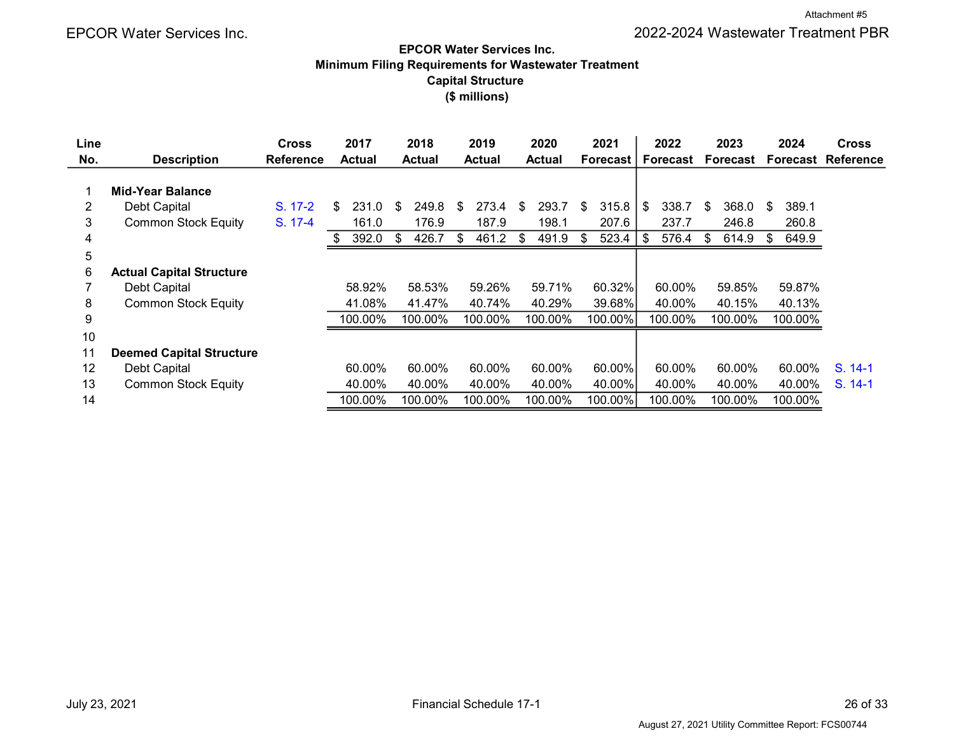#### Minimum Filing Requirements for Wastewater Treatment Capital Structure (\$ millions) EPCOR Water Services Inc.

| Line           |                                 | <b>Cross</b> | 2017          |         |     | 2018          | 2019        | 2020        | 2021            | 2022        |     | 2023     | 2024        | <b>Cross</b> |
|----------------|---------------------------------|--------------|---------------|---------|-----|---------------|-------------|-------------|-----------------|-------------|-----|----------|-------------|--------------|
| No.            | <b>Description</b>              | Reference    | <b>Actual</b> |         |     | <b>Actual</b> | Actual      | Actual      | <b>Forecast</b> | Forecast    |     | Forecast | Forecast    | Reference    |
|                |                                 |              |               |         |     |               |             |             |                 |             |     |          |             |              |
|                | <b>Mid-Year Balance</b>         |              |               |         |     |               |             |             |                 |             |     |          |             |              |
| $\overline{2}$ | Debt Capital                    | S. 17-2      | \$            | 231.0   | \$  | 249.8         | \$<br>273.4 | \$<br>293.7 | \$<br>315.8     | \$<br>338.7 | \$  | 368.0    | \$<br>389.1 |              |
| 3              | <b>Common Stock Equity</b>      | S. 17-4      |               | 161.0   |     | 176.9         | 187.9       | 198.1       | 207.6           | 237.7       |     | 246.8    | 260.8       |              |
| 4              |                                 |              |               | 392.0   | \$. | 426.7         | \$<br>461.2 | \$<br>491.9 | \$<br>523.4     | \$<br>576.4 | -\$ | 614.9    | 649.9       |              |
| 5              |                                 |              |               |         |     |               |             |             |                 |             |     |          |             |              |
| 6              | <b>Actual Capital Structure</b> |              |               |         |     |               |             |             |                 |             |     |          |             |              |
|                | Debt Capital                    |              |               | 58.92%  |     | 58.53%        | 59.26%      | 59.71%      | 60.32%          | 60.00%      |     | 59.85%   | 59.87%      |              |
| 8              | <b>Common Stock Equity</b>      |              |               | 41.08%  |     | 41.47%        | 40.74%      | 40.29%      | 39.68%          | 40.00%      |     | 40.15%   | 40.13%      |              |
| 9              |                                 |              |               | 100.00% |     | 100.00%       | 100.00%     | 100.00%     | 100.00%         | 100.00%     |     | 100.00%  | 100.00%     |              |
| 10             |                                 |              |               |         |     |               |             |             |                 |             |     |          |             |              |
| 11             | <b>Deemed Capital Structure</b> |              |               |         |     |               |             |             |                 |             |     |          |             |              |
| 12             | Debt Capital                    |              |               | 60.00%  |     | 60.00%        | 60.00%      | 60.00%      | 60.00%          | 60.00%      |     | 60.00%   | 60.00%      | $S. 14-1$    |
| 13             | <b>Common Stock Equity</b>      |              |               | 40.00%  |     | 40.00%        | 40.00%      | 40.00%      | 40.00%          | 40.00%      |     | 40.00%   | 40.00%      | $S. 14-1$    |
| 14             |                                 |              |               | 100.00% |     | 100.00%       | 100.00%     | 100.00%     | 100.00%         | 100.00%     |     | 100.00%  | 100.00%     |              |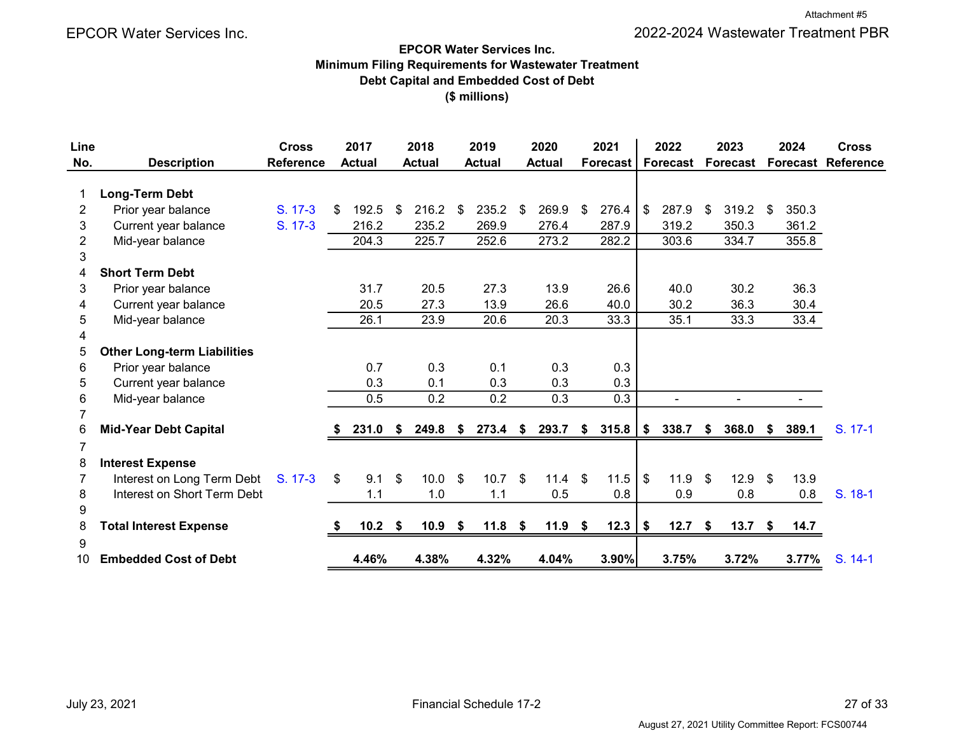#### EPCOR Water Services Inc. Minimum Filing Requirements for Wastewater Treatment Debt Capital and Embedded Cost of Debt (\$ millions)

| Line           |                                    | <b>Cross</b>     | 2017          | 2018              |          | 2019          |     | 2020          |     | 2021     |             | 2022     |      | 2023            | 2024           | <b>Cross</b> |
|----------------|------------------------------------|------------------|---------------|-------------------|----------|---------------|-----|---------------|-----|----------|-------------|----------|------|-----------------|----------------|--------------|
| No.            | <b>Description</b>                 | <b>Reference</b> | <b>Actual</b> | <b>Actual</b>     |          | <b>Actual</b> |     | <b>Actual</b> |     | Forecast |             | Forecast |      | <b>Forecast</b> | Forecast       | Reference    |
| 1              | <b>Long-Term Debt</b>              |                  |               |                   |          |               |     |               |     |          |             |          |      |                 |                |              |
| $\overline{2}$ | Prior year balance                 | S. 17-3          | \$<br>192.5   | \$<br>$216.2$ \$  |          | 235.2         | \$  | 269.9         | \$  | 276.4    | \$          | 287.9    | \$   | 319.2           | \$<br>350.3    |              |
| 3              | Current year balance               | S. 17-3          | 216.2         | 235.2             |          | 269.9         |     | 276.4         |     | 287.9    |             | 319.2    |      | 350.3           | 361.2          |              |
| $\overline{2}$ | Mid-year balance                   |                  | 204.3         | 225.7             |          | 252.6         |     | 273.2         |     | 282.2    |             | 303.6    |      | 334.7           | 355.8          |              |
| 3              |                                    |                  |               |                   |          |               |     |               |     |          |             |          |      |                 |                |              |
| 4              | <b>Short Term Debt</b>             |                  |               |                   |          |               |     |               |     |          |             |          |      |                 |                |              |
| 3              | Prior year balance                 |                  | 31.7          | 20.5              |          | 27.3          |     | 13.9          |     | 26.6     |             | 40.0     |      | 30.2            | 36.3           |              |
| 4              | Current year balance               |                  | 20.5          | 27.3              |          | 13.9          |     | 26.6          |     | 40.0     |             | 30.2     |      | 36.3            | 30.4           |              |
| 5              | Mid-year balance                   |                  | 26.1          | 23.9              |          | 20.6          |     | 20.3          |     | 33.3     |             | 35.1     |      | 33.3            | 33.4           |              |
| 4              |                                    |                  |               |                   |          |               |     |               |     |          |             |          |      |                 |                |              |
| 5              | <b>Other Long-term Liabilities</b> |                  |               |                   |          |               |     |               |     |          |             |          |      |                 |                |              |
| 6              | Prior year balance                 |                  | 0.7           | 0.3               |          | 0.1           |     | 0.3           |     | 0.3      |             |          |      |                 |                |              |
| 5              | Current year balance               |                  | 0.3           | 0.1               |          | 0.3           |     | 0.3           |     | 0.3      |             |          |      |                 |                |              |
| 6              | Mid-year balance                   |                  | 0.5           | 0.2               |          | 0.2           |     | 0.3           |     | 0.3      |             |          |      | $\sim$          | $\blacksquare$ |              |
|                |                                    |                  |               |                   |          |               |     |               |     |          |             |          |      |                 |                |              |
| 6              | <b>Mid-Year Debt Capital</b>       |                  | 231.0         | \$<br>249.8       | - \$     | 273.4         | \$  | 293.7         | S   | 315.8    | \$          | 338.7    | S.   | 368.0           | \$<br>389.1    | S. 17-1      |
| 7              |                                    |                  |               |                   |          |               |     |               |     |          |             |          |      |                 |                |              |
| 8              | <b>Interest Expense</b>            |                  |               |                   |          |               |     |               |     |          |             |          |      |                 |                |              |
|                | Interest on Long Term Debt         | $S. 17-3$        | \$<br>9.1     | \$<br>10.0        | <b>S</b> | 10.7          | -\$ | 11.4          | -\$ | 11.5     | $$^{\circ}$ | 11.9     | - \$ | $12.9$ \$       | 13.9           |              |
| 8              | Interest on Short Term Debt        |                  | 1.1           | 1.0               |          | 1.1           |     | 0.5           |     | 0.8      |             | 0.9      |      | 0.8             | 0.8            | S. 18-1      |
| 9              |                                    |                  |               |                   |          |               |     |               |     |          |             |          |      |                 |                |              |
| 8              | <b>Total Interest Expense</b>      |                  | $10.2$ \$     | 10.9 <sup>5</sup> |          | 11.8          | \$  | $11.9$ \$     |     | 12.3     | \$          | 12.7     | \$   | $13.7$ \$       | 14.7           |              |
| 9              |                                    |                  |               |                   |          |               |     |               |     |          |             |          |      |                 |                |              |
| 10             | <b>Embedded Cost of Debt</b>       |                  | 4.46%         | 4.38%             |          | 4.32%         |     | 4.04%         |     | 3.90%    |             | 3.75%    |      | 3.72%           | 3.77%          | S. 14-1      |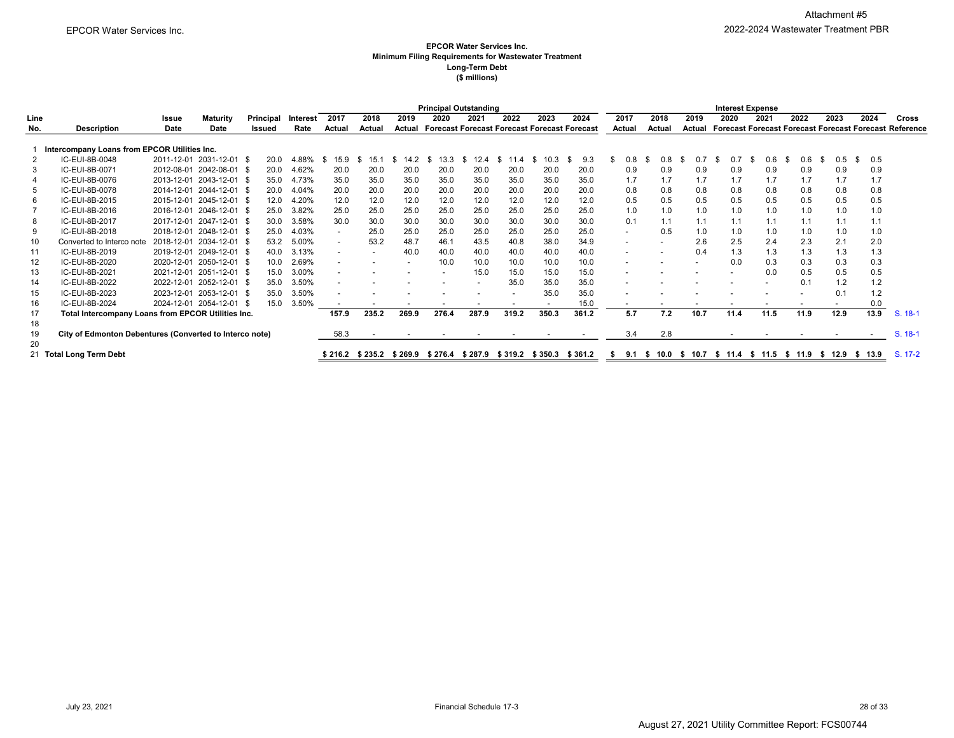#### EPCOR Water Services Inc. Minimum Filing Requirements for Wastewater Treatment Long-Term Debt (\$ millions)

|                |                                                         | <b>Principal Outstanding</b> |                          |                   |          |              |                          |                         |                                                     |       |                          |        |         |                                    |        |        | <b>Interest Expense</b>  |                          |                          |            |          |                                                               |
|----------------|---------------------------------------------------------|------------------------------|--------------------------|-------------------|----------|--------------|--------------------------|-------------------------|-----------------------------------------------------|-------|--------------------------|--------|---------|------------------------------------|--------|--------|--------------------------|--------------------------|--------------------------|------------|----------|---------------------------------------------------------------|
| Line           |                                                         | Issue                        | <b>Maturity</b>          | Principal         | Interest | 2017         | 2018                     | 2019                    | 2020                                                | 2021  | 2022                     | 2023   | 2024    | 2017                               | 2018   | 2019   | 2020                     | 2021                     | 2022                     | 2023       | 2024     | Cross                                                         |
| No.            | <b>Description</b>                                      | Date                         | Date                     | Issued            | Rate     | Actual       | Actual                   | Actual                  | <b>Forecast Forecast Forecast Forecast Forecast</b> |       |                          |        |         | Actual                             | Actual | Actual |                          |                          |                          |            |          | <b>Forecast Forecast Forecast Forecast Forecast Reference</b> |
|                |                                                         |                              |                          |                   |          |              |                          |                         |                                                     |       |                          |        |         |                                    |        |        |                          |                          |                          |            |          |                                                               |
|                | Intercompany Loans from EPCOR Utilities Inc.            |                              |                          |                   |          |              |                          |                         |                                                     |       |                          |        |         |                                    |        |        |                          |                          |                          |            |          |                                                               |
| $\overline{2}$ | IC-EUI-8B-0048                                          |                              | 2011-12-01 2031-12-01 \$ | 20.0              | 4.88%    | 15.9<br>- 96 | \$.<br>15.1              | .2<br>S<br>14           | 13.3                                                |       | $\boldsymbol{\varDelta}$ |        | 9.3     | 0.8                                | 0.8    |        |                          | 0.6                      | 0.6                      | \$.<br>0.5 | 0.5<br>S |                                                               |
| 3              | IC-EUI-8B-0071                                          |                              | 2012-08-01 2042-08-01 \$ | 20.0              | 4.62%    | 20.0         | 20.0                     | 20.0                    | 20.0                                                | 20.0  | 20.0                     | 20.0   | 20.0    | 0.9                                | 0.9    | 0.9    | 0.9                      | 0.9                      | 0.9                      | 0.9        | 0.9      |                                                               |
| $\overline{4}$ | IC-EUI-8B-0076                                          |                              | 2013-12-01 2043-12-01 \$ | 35.0              | 4.73%    | 35.0         | 35.0                     | 35.0                    | 35.0                                                | 35.0  | 35.0                     | 35.0   | 35.0    | 1.7                                | 1.7    | 1.7    | 1.7                      | 1.7                      | 1.7                      | 1.7        | 1.7      |                                                               |
| 5              | IC-EUI-8B-0078                                          |                              | 2014-12-01 2044-12-01 \$ | 20.0              | 4.04%    | 20.0         | 20.0                     | 20.0                    | 20.0                                                | 20.0  | 20.0                     | 20.0   | 20.0    | 0.8                                | 0.8    | 0.8    | 0.8                      | 0.8                      | 0.8                      | 0.8        | 0.8      |                                                               |
| 6              | IC-EUI-8B-2015                                          |                              | 2015-12-01 2045-12-01 \$ | 12.0              | 4.20%    | 12.0         | 12.0                     | 12.0                    | 12.0                                                | 12.0  | 12.0                     | 12.0   | 12.0    | 0.5                                | 0.5    | 0.5    | 0.5                      | 0.5                      | 0.5                      | 0.5        | 0.5      |                                                               |
|                | IC-EUI-8B-2016                                          |                              | 2016-12-01 2046-12-01 \$ | 25.0              | 3.82%    | 25.0         | 25.0                     | 25.0                    | 25.0                                                | 25.0  | 25.0                     | 25.0   | 25.0    | 1.0                                | 1.0    | 1.0    | 1.0                      | 1.0                      | 1.0                      | 1.0        | 1.0      |                                                               |
| 8              | IC-EUI-8B-2017                                          | 2017-12-01                   | 2047-12-01 \$            | 30.0              | 3.58%    | 30.0         | 30.0                     | 30.0                    | 30.0                                                | 30.0  | 30.0                     | 30.0   | 30.0    | 0.1                                | 1.1    | 1.1    |                          | 1.1                      | 1.1                      | 1.1        | 1.1      |                                                               |
| 9              | IC-EUI-8B-2018                                          |                              | 2018-12-01 2048-12-01 \$ | 25.0              | 4.03%    |              | 25.0                     | 25.0                    | 25.0                                                | 25.0  | 25.0                     | 25.0   | 25.0    |                                    | 0.5    | 1.0    | 1.0                      | 1.0                      | 1.0                      | 1.0        | 1.0      |                                                               |
| 10             | Converted to Interco note                               |                              | 2018-12-01 2034-12-01 \$ | 53.2              | 5.00%    |              | 53.2                     | 48.7                    | 46.1                                                | 43.5  | 40.8                     | 38.0   | 34.9    |                                    |        | 2.6    | 2.5                      | 2.4                      | 2.3                      | 2.1        | 2.0      |                                                               |
| 11             | IC-EUI-8B-2019                                          |                              | 2019-12-01 2049-12-01 \$ | 40.0              | 3.13%    |              |                          | 40.0                    | 40.0                                                | 40.0  | 40.0                     | 40.0   | 40.0    |                                    |        | 0.4    | 1.3                      | 1.3                      | 1.3                      | 1.3        | 1.3      |                                                               |
| 12             | IC-EUI-8B-2020                                          |                              | 2020-12-01 2050-12-01 \$ | 10.0              | 2.69%    |              |                          |                         | 10.0                                                | 10.0  | 10.0                     | 10.0   | 10.0    |                                    |        |        | 0.0                      | 0.3                      | 0.3                      | 0.3        | 0.3      |                                                               |
| 13             | IC-EUI-8B-2021                                          |                              | 2021-12-01 2051-12-01 \$ | 15.0              | 3.00%    |              |                          |                         |                                                     | 15.0  | 15.0                     | 15.0   | 15.0    |                                    |        |        |                          | 0.0                      | 0.5                      | 0.5        | 0.5      |                                                               |
| -14            | IC-EUI-8B-2022                                          | 2022-12-01                   | 2052-12-01 \$            | 35.0              | 3.50%    |              |                          |                         |                                                     |       | 35.0                     | 35.0   | 35.0    |                                    |        |        |                          |                          | 0.1                      | 1.2        | 1.2      |                                                               |
| 15             | IC-EUI-8B-2023                                          |                              | 2023-12-01 2053-12-01 \$ | 35.0              | 3.50%    |              |                          |                         |                                                     |       |                          | 35.0   | 35.0    |                                    |        |        |                          |                          |                          | 0.1        | 1.2      |                                                               |
| 16             | IC-EUI-8B-2024                                          |                              | 2024-12-01 2054-12-01 \$ | 15.0              | 3.50%    |              | $\overline{\phantom{a}}$ |                         | $\overline{\phantom{a}}$                            |       |                          |        | 15.0    |                                    |        |        | $\overline{\phantom{a}}$ | $\overline{\phantom{a}}$ | $\overline{\phantom{a}}$ |            | 0.0      |                                                               |
| 17             | Total Intercompany Loans from EPCOR Utilities Inc.      |                              |                          |                   |          | 157.9        | 235.2                    | 269.9                   | 276.4                                               | 287.9 | 319.2                    | 350.3  | 361.2   | 5.7                                | 7.2    | 10.7   | 11.4                     | 11.5                     | 11.9                     | 12.9       | 13.9     | $S. 18-1$                                                     |
| 18             |                                                         |                              |                          |                   |          |              |                          |                         |                                                     |       |                          |        |         |                                    |        |        |                          |                          |                          |            |          |                                                               |
| 19             | City of Edmonton Debentures (Converted to Interco note) |                              |                          |                   |          | 58.3         |                          |                         |                                                     |       |                          |        |         | 3.4                                | 2.8    |        |                          |                          |                          |            |          | $S. 18-1$                                                     |
| 20             |                                                         |                              |                          |                   |          |              |                          |                         |                                                     |       |                          |        |         |                                    |        |        |                          |                          |                          |            |          |                                                               |
|                | 21 Total Long Term Debt                                 |                              |                          | $$216.2$ $$235.2$ | \$269.9  | \$276.4      | \$287.9                  | \$319.2 \$350.3 \$361.2 |                                                     |       | \$ 9.1                   | \$10.0 | \$ 10.7 | \$11.4 \$11.5 \$11.9 \$12.9 \$13.9 |        |        |                          |                          | S. 17-2                  |            |          |                                                               |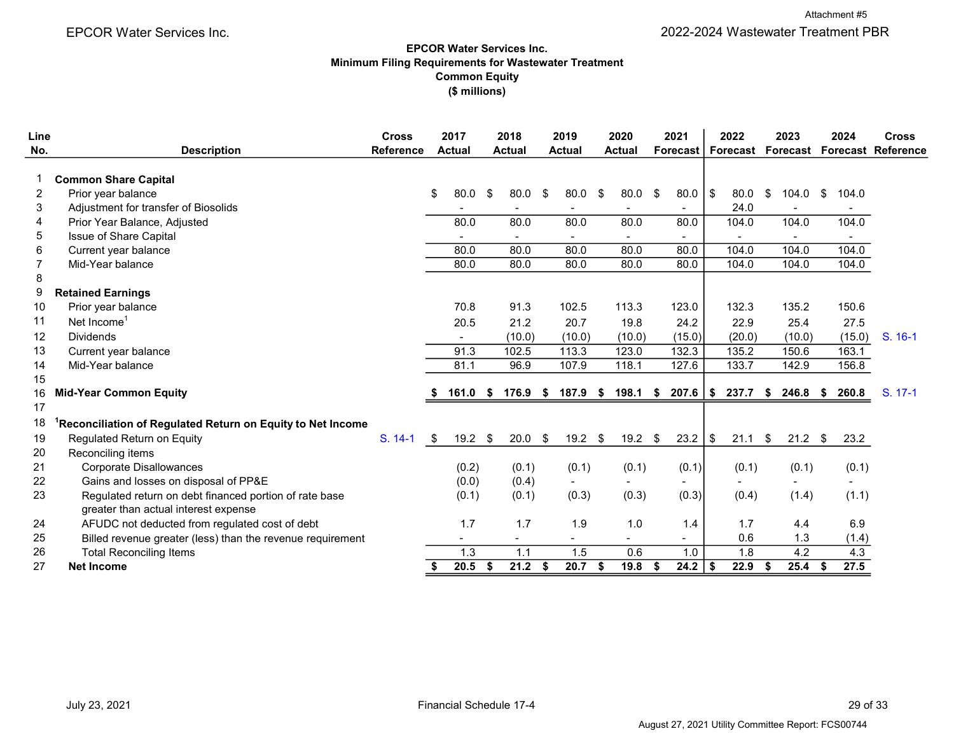Attachment #5

EPCOR Water Services Inc. 2022-2024 Wastewater Treatment PBR

#### EPCOR Water Services Inc. Minimum Filing Requirements for Wastewater Treatment Common Equity (\$ millions)

| Line<br>No. | <b>Description</b>                                         | <b>Cross</b><br><b>Reference</b> | 2017<br><b>Actual</b> |    | 2018<br><b>Actual</b>    | 2019<br><b>Actual</b>    | 2020<br><b>Actual</b>    |    | 2021<br><b>Forecast</b>  |      | 2022<br><b>Forecast Forecast</b> | 2023        |      | 2024                     | <b>Cross</b><br><b>Forecast Reference</b> |
|-------------|------------------------------------------------------------|----------------------------------|-----------------------|----|--------------------------|--------------------------|--------------------------|----|--------------------------|------|----------------------------------|-------------|------|--------------------------|-------------------------------------------|
|             |                                                            |                                  |                       |    |                          |                          |                          |    |                          |      |                                  |             |      |                          |                                           |
|             | <b>Common Share Capital</b>                                |                                  |                       |    |                          |                          |                          |    |                          |      |                                  |             |      |                          |                                           |
| 2           | Prior year balance                                         |                                  | \$<br>80.0            | \$ | 80.0                     | \$<br>80.0               | \$<br>80.0               | \$ | 80.0                     | l \$ | 80.0                             | \$<br>104.0 | \$   | 104.0                    |                                           |
| 3           | Adjustment for transfer of Biosolids                       |                                  |                       |    |                          |                          |                          |    |                          |      | 24.0                             |             |      |                          |                                           |
| 4           | Prior Year Balance, Adjusted                               |                                  | 80.0                  |    | 80.0                     | 80.0                     | 80.0                     |    | 80.0                     |      | 104.0                            | 104.0       |      | 104.0                    |                                           |
| 5           | Issue of Share Capital                                     |                                  |                       |    | $\overline{\phantom{a}}$ | $\overline{\phantom{a}}$ |                          |    | $\overline{\phantom{a}}$ |      | $\overline{\phantom{a}}$         |             |      | $\overline{\phantom{a}}$ |                                           |
| 6           | Current year balance                                       |                                  | 80.0                  |    | 80.0                     | 80.0                     | 80.0                     |    | 80.0                     |      | 104.0                            | 104.0       |      | 104.0                    |                                           |
| 7           | Mid-Year balance                                           |                                  | 80.0                  |    | 80.0                     | 80.0                     | 80.0                     |    | 80.0                     |      | 104.0                            | 104.0       |      | 104.0                    |                                           |
| 8           |                                                            |                                  |                       |    |                          |                          |                          |    |                          |      |                                  |             |      |                          |                                           |
| 9           | <b>Retained Earnings</b>                                   |                                  |                       |    |                          |                          |                          |    |                          |      |                                  |             |      |                          |                                           |
| 10          | Prior year balance                                         |                                  | 70.8                  |    | 91.3                     | 102.5                    | 113.3                    |    | 123.0                    |      | 132.3                            | 135.2       |      | 150.6                    |                                           |
| 11          | Net Income <sup>1</sup>                                    |                                  | 20.5                  |    | 21.2                     | 20.7                     | 19.8                     |    | 24.2                     |      | 22.9                             | 25.4        |      | 27.5                     |                                           |
| 12          | <b>Dividends</b>                                           |                                  |                       |    | (10.0)                   | (10.0)                   | (10.0)                   |    | (15.0)                   |      | (20.0)                           | (10.0)      |      | (15.0)                   | $S. 16-1$                                 |
| 13          | Current year balance                                       |                                  | 91.3                  |    | 102.5                    | 113.3                    | 123.0                    |    | 132.3                    |      | 135.2                            | 150.6       |      | 163.1                    |                                           |
| 14          | Mid-Year balance                                           |                                  | 81.1                  |    | 96.9                     | 107.9                    | 118.1                    |    | 127.6                    |      | 133.7                            | 142.9       |      | 156.8                    |                                           |
| 15          |                                                            |                                  |                       |    |                          |                          |                          |    |                          |      |                                  |             |      |                          |                                           |
| 16          | <b>Mid-Year Common Equity</b>                              |                                  | 161.0                 | S. | 176.9                    | \$<br>187.9              | \$<br>198.1              | S  | 207.6                    | \$   | 237.7                            | \$<br>246.8 | S.   | 260.8                    | S. 17-1                                   |
| 17          |                                                            |                                  |                       |    |                          |                          |                          |    |                          |      |                                  |             |      |                          |                                           |
| 18          | Reconciliation of Regulated Return on Equity to Net Income |                                  |                       |    |                          |                          |                          |    |                          |      |                                  |             |      |                          |                                           |
| 19          | Regulated Return on Equity                                 | S. 14-1                          | \$<br>$19.2$ \$       |    | 20.0                     | \$<br>$19.2$ \$          | $19.2$ \$                |    | 23.2                     | \$   | 21.1                             | \$<br>21.2  | - \$ | 23.2                     |                                           |
| 20          | Reconciling items                                          |                                  |                       |    |                          |                          |                          |    |                          |      |                                  |             |      |                          |                                           |
| 21          | <b>Corporate Disallowances</b>                             |                                  | (0.2)                 |    | (0.1)                    | (0.1)                    | (0.1)                    |    | (0.1)                    |      | (0.1)                            | (0.1)       |      | (0.1)                    |                                           |
| 22          | Gains and losses on disposal of PP&E                       |                                  | (0.0)                 |    | (0.4)                    |                          |                          |    |                          |      |                                  |             |      |                          |                                           |
| 23          | Regulated return on debt financed portion of rate base     |                                  | (0.1)                 |    | (0.1)                    | (0.3)                    | (0.3)                    |    | (0.3)                    |      | (0.4)                            | (1.4)       |      | (1.1)                    |                                           |
|             | greater than actual interest expense                       |                                  |                       |    |                          |                          |                          |    |                          |      |                                  |             |      |                          |                                           |
| 24          | AFUDC not deducted from regulated cost of debt             |                                  | 1.7                   |    | 1.7                      | 1.9                      | 1.0                      |    | 1.4                      |      | 1.7                              | 4.4         |      | 6.9                      |                                           |
| 25          | Billed revenue greater (less) than the revenue requirement |                                  |                       |    |                          |                          | $\overline{\phantom{0}}$ |    | $\blacksquare$           |      | 0.6                              | 1.3         |      | (1.4)                    |                                           |
| 26          | <b>Total Reconciling Items</b>                             |                                  | 1.3                   |    | 1.1                      | 1.5                      | 0.6                      |    | 1.0                      |      | 1.8                              | 4.2         |      | 4.3                      |                                           |
| 27          | <b>Net Income</b>                                          |                                  | \$<br>20.5            | \$ | 21.2                     | \$<br>20.7               | \$<br>19.8               | \$ | 24.2                     | \$   | 22.9                             | \$<br>25.4  | S    | 27.5                     |                                           |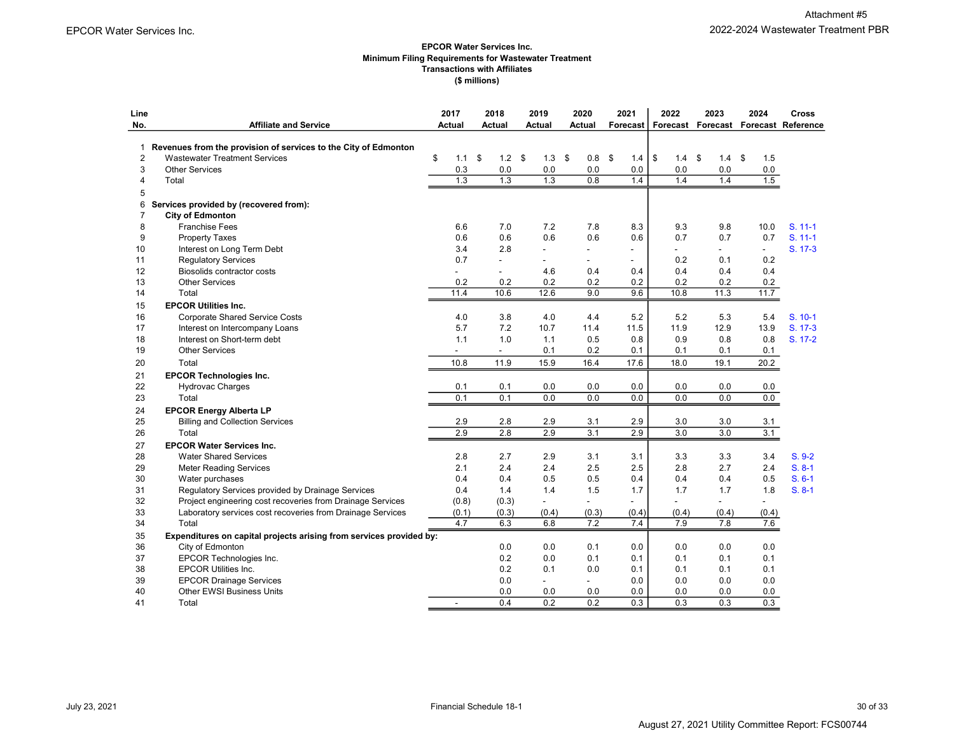#### EPCOR Water Services Inc. Minimum Filing Requirements for Wastewater Treatment Transactions with Affiliates (\$ millions)

| Line<br>No.    | <b>Affiliate and Service</b>                                        | 2017<br>Actual |           | 2018<br>Actual           | 2019<br>Actual           | 2020<br>Actual         | 2021<br>Forecast I | 2022       | 2023             | 2024             | Cross<br>Forecast Forecast Forecast Reference |
|----------------|---------------------------------------------------------------------|----------------|-----------|--------------------------|--------------------------|------------------------|--------------------|------------|------------------|------------------|-----------------------------------------------|
|                |                                                                     |                |           |                          |                          |                        |                    |            |                  |                  |                                               |
| 1              | Revenues from the provision of services to the City of Edmonton     |                |           |                          |                          |                        |                    |            |                  |                  |                                               |
| $\overline{2}$ | <b>Wastewater Treatment Services</b>                                | \$             | \$<br>1.1 | 1.2                      | \$<br>1.3                | \$<br>0.8 <sup>5</sup> | 1.4                | \$<br>1.4  | \$<br>$1.4$ \$   | 1.5              |                                               |
| 3              | <b>Other Services</b>                                               |                | 0.3       | 0.0                      | 0.0                      | 0.0                    | 0.0                | 0.0        | 0.0              | 0.0              |                                               |
| 4              | Total                                                               |                | 1.3       | $\overline{1.3}$         | 1.3                      | 0.8                    | 1.4                | 1.4        | 1.4              | 1.5              |                                               |
| 5              |                                                                     |                |           |                          |                          |                        |                    |            |                  |                  |                                               |
| 6              | Services provided by (recovered from):                              |                |           |                          |                          |                        |                    |            |                  |                  |                                               |
| $\overline{7}$ | <b>City of Edmonton</b>                                             |                |           |                          |                          |                        |                    |            |                  |                  |                                               |
| 8              | <b>Franchise Fees</b>                                               |                | 6.6       | 7.0                      | 7.2                      | 7.8                    | 8.3                | 9.3        | 9.8              | 10.0             | $S. 11-1$                                     |
| 9              | <b>Property Taxes</b>                                               |                | 0.6       | 0.6                      | 0.6                      | 0.6                    | 0.6                | 0.7        | 0.7              | 0.7              | $S. 11-1$                                     |
| 10             | Interest on Long Term Debt                                          |                | 3.4       | 2.8                      | $\overline{\phantom{0}}$ | ٠                      | $\blacksquare$     |            |                  | $\blacksquare$   | $S. 17-3$                                     |
| 11             | <b>Regulatory Services</b>                                          |                | 0.7       | ÷                        |                          |                        | $\overline{a}$     | 0.2        | 0.1              | 0.2              |                                               |
| 12             | Biosolids contractor costs                                          |                |           | $\overline{\phantom{0}}$ | 4.6                      | 0.4                    | 0.4                | 0.4        | 0.4              | 0.4              |                                               |
| 13             | <b>Other Services</b>                                               |                | 0.2       | 0.2                      | 0.2                      | 0.2                    | 0.2                | 0.2        | 0.2              | 0.2              |                                               |
| 14             | Total                                                               | 11.4           |           | 10.6                     | 12.6                     | 9.0                    | 9.6                | 10.8       | 11.3             | 11.7             |                                               |
| 15             | <b>EPCOR Utilities Inc.</b>                                         |                |           |                          |                          |                        |                    |            |                  |                  |                                               |
| 16             | <b>Corporate Shared Service Costs</b>                               |                | 4.0       | 3.8                      | 4.0                      | 4.4                    | 5.2                | 5.2        | 5.3              | 5.4              | S. 10-1                                       |
| 17             | Interest on Intercompany Loans                                      |                | 5.7       | 7.2                      | 10.7                     | 11.4                   | 11.5               | 11.9       | 12.9             | 13.9             | S. 17-3                                       |
| 18             | Interest on Short-term debt                                         |                | 1.1       | 1.0                      | 1.1                      | 0.5                    | 0.8                | 0.9        | 0.8              | 0.8              | S. 17-2                                       |
| 19             | <b>Other Services</b>                                               | $\blacksquare$ |           | $\overline{\phantom{0}}$ | 0.1                      | 0.2                    | 0.1                | 0.1        | 0.1              | 0.1              |                                               |
| 20             | Total                                                               | 10.8           |           | 11.9                     | 15.9                     | 16.4                   | 17.6               | 18.0       | 19.1             | 20.2             |                                               |
| 21             | <b>EPCOR Technologies Inc.</b>                                      |                |           |                          |                          |                        |                    |            |                  |                  |                                               |
| 22             | <b>Hydrovac Charges</b>                                             |                | 0.1       | 0.1                      | 0.0                      | 0.0                    | 0.0                | 0.0        | 0.0              | 0.0              |                                               |
| 23             | Total                                                               |                | 0.1       | 0.1                      | 0.0                      | 0.0                    | 0.0                | 0.0        | 0.0              | 0.0              |                                               |
| 24             | <b>EPCOR Energy Alberta LP</b>                                      |                |           |                          |                          |                        |                    |            |                  |                  |                                               |
| 25             | <b>Billing and Collection Services</b>                              |                | 2.9       | 2.8                      | 2.9                      | 3.1                    | 2.9                | 3.0        | 3.0              | 3.1              |                                               |
| 26             | Total                                                               |                | 2.9       | 2.8                      | 2.9                      | 3.1                    | 2.9                | 3.0        | $\overline{3.0}$ | $\overline{3.1}$ |                                               |
| 27             | <b>EPCOR Water Services Inc.</b>                                    |                |           |                          |                          |                        |                    |            |                  |                  |                                               |
| 28             | <b>Water Shared Services</b>                                        |                | 2.8       | 2.7                      | 2.9                      | 3.1                    | 3.1                | 3.3        | 3.3              | 3.4              | $S. 9-2$                                      |
| 29             | <b>Meter Reading Services</b>                                       |                | 2.1       | 2.4                      | 2.4                      | 2.5                    | 2.5                | 2.8        | 2.7              | 2.4              | $S. 8-1$                                      |
| 30             | Water purchases                                                     |                | 0.4       | 0.4                      | 0.5                      | 0.5                    | 0.4                | 0.4        | 0.4              | 0.5              | $S. 6-1$                                      |
| 31             | Regulatory Services provided by Drainage Services                   |                | 0.4       | 1.4                      | 1.4                      | 1.5                    | 1.7                | 1.7        | 1.7              | 1.8              | $S. 8-1$                                      |
| 32             | Project engineering cost recoveries from Drainage Services          |                | (0.8)     | (0.3)                    | $\sim$                   |                        |                    |            |                  | $\overline{a}$   |                                               |
| 33             | Laboratory services cost recoveries from Drainage Services          |                | (0.1)     | (0.3)                    | (0.4)                    | (0.3)                  | (0.4)              | (0.4)      | (0.4)            | (0.4)            |                                               |
| 34             | Total                                                               |                | 4.7       | 6.3                      | 6.8                      | 7.2                    | 7.4                | 7.9        | 7.8              | 7.6              |                                               |
| 35             | Expenditures on capital projects arising from services provided by: |                |           |                          |                          |                        |                    |            |                  |                  |                                               |
| 36             |                                                                     |                |           |                          |                          |                        |                    |            |                  | 0.0              |                                               |
| 37             | City of Edmonton<br>EPCOR Technologies Inc.                         |                |           | 0.0<br>0.2               | 0.0<br>0.0               | 0.1<br>0.1             | 0.0<br>0.1         | 0.0<br>0.1 | 0.0<br>0.1       | 0.1              |                                               |
|                |                                                                     |                |           |                          | 0.1                      |                        |                    | 0.1        |                  |                  |                                               |
| 38             | <b>EPCOR Utilities Inc.</b>                                         |                |           | 0.2                      |                          | 0.0                    | 0.1                |            | 0.1              | 0.1<br>0.0       |                                               |
| 39<br>40       | <b>EPCOR Drainage Services</b><br><b>Other EWSI Business Units</b>  |                |           | 0.0<br>0.0               | 0.0                      | 0.0                    | 0.0<br>0.0         | 0.0<br>0.0 | 0.0<br>0.0       | 0.0              |                                               |
| 41             | Total                                                               |                |           | 0.4                      | 0.2                      | 0.2                    | 0.3                | 0.3        | 0.3              | 0.3              |                                               |
|                |                                                                     |                |           |                          |                          |                        |                    |            |                  |                  |                                               |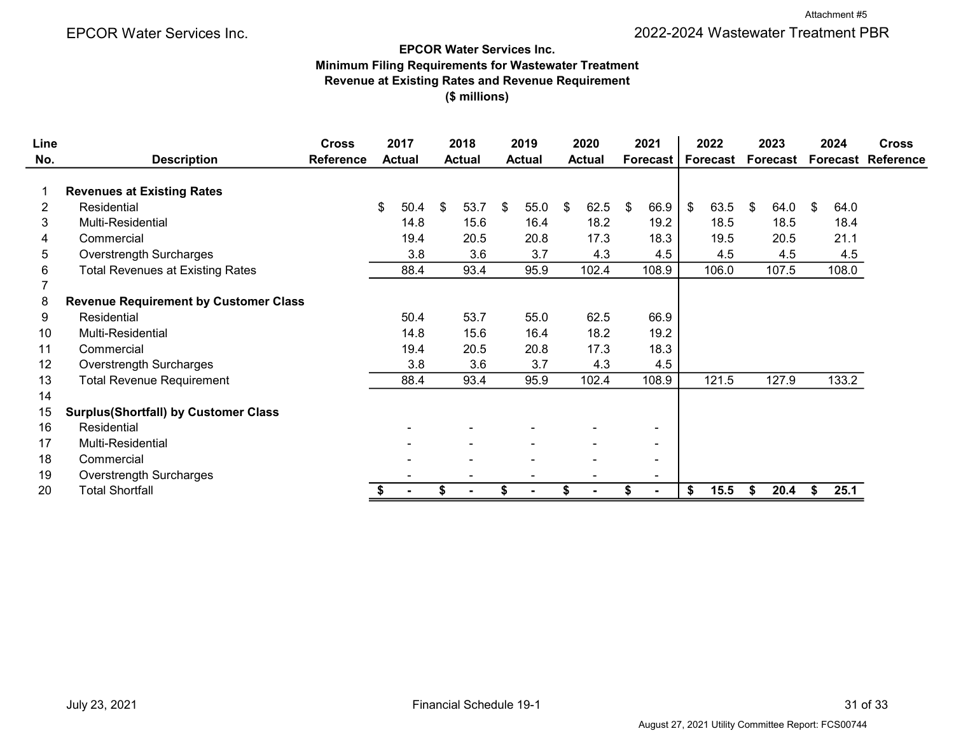$\overline{\phantom{0}}$ 

#### EPCOR Water Services Inc.

Minimum Filing Requirements for Wastewater Treatment Revenue at Existing Rates and Revenue Requirement (\$ millions)

| Line           |                                              | <b>Cross</b>     | 2017          | 2018          | 2019          |     | 2020           | 2021            | 2022       |    | 2023     | 2024       | <b>Cross</b>              |
|----------------|----------------------------------------------|------------------|---------------|---------------|---------------|-----|----------------|-----------------|------------|----|----------|------------|---------------------------|
| No.            | <b>Description</b>                           | <b>Reference</b> | <b>Actual</b> | <b>Actual</b> | <b>Actual</b> |     | <b>Actual</b>  | <b>Forecast</b> | Forecast   |    | Forecast |            | <b>Forecast Reference</b> |
|                | <b>Revenues at Existing Rates</b>            |                  |               |               |               |     |                |                 |            |    |          |            |                           |
| $\overline{2}$ | Residential                                  |                  | \$<br>50.4    | \$<br>53.7    | \$<br>55.0    | -\$ | 62.5           | \$<br>66.9      | \$<br>63.5 | \$ | 64.0     | \$<br>64.0 |                           |
| 3              | <b>Multi-Residential</b>                     |                  | 14.8          | 15.6          | 16.4          |     | 18.2           | 19.2            | 18.5       |    | 18.5     | 18.4       |                           |
| 4              | Commercial                                   |                  | 19.4          | 20.5          | 20.8          |     | 17.3           | 18.3            | 19.5       |    | 20.5     | 21.1       |                           |
| 5              | <b>Overstrength Surcharges</b>               |                  | 3.8           | 3.6           | 3.7           |     | 4.3            | 4.5             | 4.5        |    | 4.5      | 4.5        |                           |
| 6              | <b>Total Revenues at Existing Rates</b>      |                  | 88.4          | 93.4          | 95.9          |     | 102.4          | 108.9           | 106.0      |    | 107.5    | 108.0      |                           |
| 7              |                                              |                  |               |               |               |     |                |                 |            |    |          |            |                           |
| 8              | <b>Revenue Requirement by Customer Class</b> |                  |               |               |               |     |                |                 |            |    |          |            |                           |
| 9              | Residential                                  |                  | 50.4          | 53.7          | 55.0          |     | 62.5           | 66.9            |            |    |          |            |                           |
| 10             | Multi-Residential                            |                  | 14.8          | 15.6          | 16.4          |     | 18.2           | 19.2            |            |    |          |            |                           |
| 11             | Commercial                                   |                  | 19.4          | 20.5          | 20.8          |     | 17.3           | 18.3            |            |    |          |            |                           |
| 12             | <b>Overstrength Surcharges</b>               |                  | 3.8           | 3.6           | 3.7           |     | 4.3            | 4.5             |            |    |          |            |                           |
| 13             | <b>Total Revenue Requirement</b>             |                  | 88.4          | 93.4          | 95.9          |     | 102.4          | 108.9           | 121.5      |    | 127.9    | 133.2      |                           |
| 14             |                                              |                  |               |               |               |     |                |                 |            |    |          |            |                           |
| 15             | <b>Surplus(Shortfall) by Customer Class</b>  |                  |               |               |               |     |                |                 |            |    |          |            |                           |
| 16             | Residential                                  |                  |               |               |               |     |                | $\blacksquare$  |            |    |          |            |                           |
| 17             | <b>Multi-Residential</b>                     |                  |               |               |               |     |                | $\blacksquare$  |            |    |          |            |                           |
| 18             | Commercial                                   |                  |               |               |               |     |                | $\blacksquare$  |            |    |          |            |                           |
| 19             | Overstrength Surcharges                      |                  |               |               |               |     |                | $\blacksquare$  |            |    |          |            |                           |
| 20             | <b>Total Shortfall</b>                       |                  |               | \$            |               | \$  | $\blacksquare$ | $\blacksquare$  | \$<br>15.5 | S  | 20.4     | \$<br>25.1 |                           |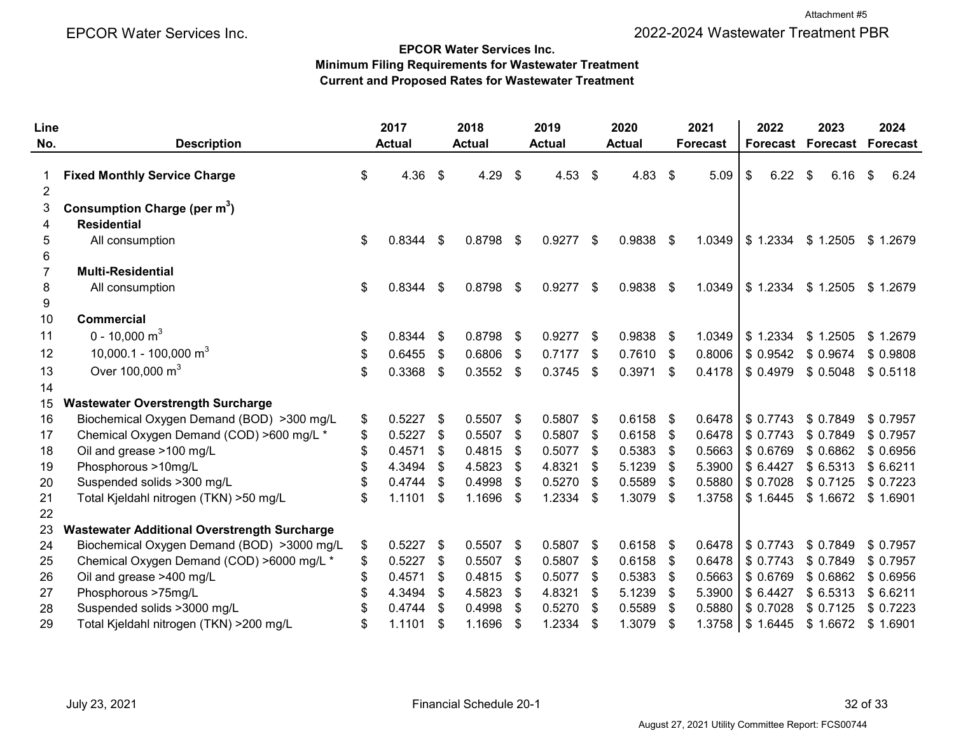#### EPCOR Water Services Inc.

Minimum Filing Requirements for Wastewater Treatment Current and Proposed Rates for Wastewater Treatment

| Line           |                                                     |    | 2017          |      | 2018          |      | 2019          |     | 2020          |     | 2021            | 2022       | 2023            | 2024            |
|----------------|-----------------------------------------------------|----|---------------|------|---------------|------|---------------|-----|---------------|-----|-----------------|------------|-----------------|-----------------|
| No.            | <b>Description</b>                                  |    | <b>Actual</b> |      | <b>Actual</b> |      | <b>Actual</b> |     | <b>Actual</b> |     | <b>Forecast</b> | Forecast   | <b>Forecast</b> | <b>Forecast</b> |
| $\overline{2}$ | <b>Fixed Monthly Service Charge</b>                 | \$ | 4.36          | \$   | 4.29          | \$   | 4.53          | \$  | $4.83$ \$     |     | 5.09            | \$<br>6.22 | \$<br>6.16      | 6.24<br>\$      |
| 3              | Consumption Charge (per m <sup>3</sup> )            |    |               |      |               |      |               |     |               |     |                 |            |                 |                 |
| 4              | <b>Residential</b>                                  |    |               |      |               |      |               |     |               |     |                 |            |                 |                 |
| 5              | All consumption                                     | \$ | 0.8344        | \$   | 0.8798        | -\$  | 0.9277        | \$  | 0.9838        | -\$ | 1.0349          | \$1.2334   | \$1.2505        | \$1.2679        |
| 6              |                                                     |    |               |      |               |      |               |     |               |     |                 |            |                 |                 |
| 7              | <b>Multi-Residential</b>                            |    |               |      |               |      |               |     |               |     |                 |            |                 |                 |
| 8              | All consumption                                     | \$ | 0.8344        | \$   | 0.8798        | \$   | 0.9277        | \$  | 0.9838        | -\$ | 1.0349          | \$1.2334   | \$1.2505        | \$1.2679        |
| 9              |                                                     |    |               |      |               |      |               |     |               |     |                 |            |                 |                 |
| 10             | <b>Commercial</b>                                   |    |               |      |               |      |               |     |               |     |                 |            |                 |                 |
| 11             | 0 - 10,000 m <sup>3</sup>                           | \$ | 0.8344        | \$   | 0.8798        | - \$ | 0.9277        | \$  | $0.9838$ \$   |     | 1.0349          | \$1.2334   | \$1.2505        | \$1.2679        |
| 12             | 10,000.1 - 100,000 m <sup>3</sup>                   | S  | 0.6455        | \$   | 0.6806        | \$   | 0.7177        | -\$ | $0.7610$ \$   |     | 0.8006          | \$0.9542   | \$ 0.9674       | \$ 0.9808       |
| 13             | Over 100,000 m <sup>3</sup>                         | \$ | 0.3368        | \$   | $0.3552$ \$   |      | 0.3745        | \$  | $0.3971$ \$   |     | 0.4178          | \$ 0.4979  | \$0.5048        | \$0.5118        |
| 14             |                                                     |    |               |      |               |      |               |     |               |     |                 |            |                 |                 |
| 15             | <b>Wastewater Overstrength Surcharge</b>            |    |               |      |               |      |               |     |               |     |                 |            |                 |                 |
| 16             | Biochemical Oxygen Demand (BOD) >300 mg/L           | \$ | 0.5227        | \$   | 0.5507        | -\$  | 0.5807        | -\$ | $0.6158$ \$   |     | 0.6478          | \$0.7743   | \$ 0.7849       | \$0.7957        |
| 17             | Chemical Oxygen Demand (COD) >600 mg/L *            | \$ | 0.5227        | \$   | 0.5507        | \$   | 0.5807        | \$  | 0.6158        | \$  | 0.6478          | \$0.7743   | \$0.7849        | \$0.7957        |
| 18             | Oil and grease >100 mg/L                            |    | 0.4571        | \$   | 0.4815        | \$   | 0.5077        | \$  | 0.5383        | \$  | 0.5663          | \$ 0.6769  | \$ 0.6862       | \$ 0.6956       |
| 19             | Phosphorous >10mg/L                                 |    | 4.3494        | \$   | 4.5823        | -\$  | 4.8321        | S   | 5.1239        | \$  | 5.3900          | \$6.4427   | \$6.5313        | \$6.6211        |
| 20             | Suspended solids >300 mg/L                          |    | 0.4744        | \$   | 0.4998        | \$   | 0.5270        | \$  | 0.5589        | \$  | 0.5880          | \$0.7028   | \$0.7125        | \$ 0.7223       |
| 21             | Total Kjeldahl nitrogen (TKN) >50 mg/L              |    | 1.1101        | \$   | 1.1696        | \$   | 1.2334        | \$  | 1.3079        | -\$ | 1.3758          | \$1.6445   | \$1.6672        | \$1.6901        |
| 22             |                                                     |    |               |      |               |      |               |     |               |     |                 |            |                 |                 |
| 23             | <b>Wastewater Additional Overstrength Surcharge</b> |    |               |      |               |      |               |     |               |     |                 |            |                 |                 |
| 24             | Biochemical Oxygen Demand (BOD) >3000 mg/L          | \$ | 0.5227        | \$   | 0.5507        | \$   | 0.5807        | \$  | 0.6158        | \$  | 0.6478          | \$0.7743   | \$0.7849        | \$0.7957        |
| 25             | Chemical Oxygen Demand (COD) >6000 mg/L *           |    | 0.5227        | \$   | 0.5507        | \$   | 0.5807        | \$  | 0.6158        | \$  | 0.6478          | \$0.7743   | \$0.7849        | \$0.7957        |
| 26             | Oil and grease >400 mg/L                            |    | 0.4571        | \$   | 0.4815        | \$   | 0.5077        | \$  | 0.5383        | \$  | 0.5663          | \$ 0.6769  | \$0.6862        | \$ 0.6956       |
| 27             | Phosphorous >75mg/L                                 |    | 4.3494        | - \$ | 4.5823        | \$   | 4.8321        | S   | 5.1239        | -\$ | 5.3900          | \$6.4427   | \$6.5313        | \$6.6211        |
| 28             | Suspended solids >3000 mg/L                         |    | 0.4744        |      | 0.4998        |      | 0.5270        |     | 0.5589        |     | 0.5880          | \$ 0.7028  | \$0.7125        | \$0.7223        |
| 29             | Total Kjeldahl nitrogen (TKN) > 200 mg/L            |    | 1.1101        | \$   | 1.1696        | \$   | 1.2334        | \$  | 1.3079        | \$  | 1.3758          | \$1.6445   | \$1.6672        | \$1.6901        |